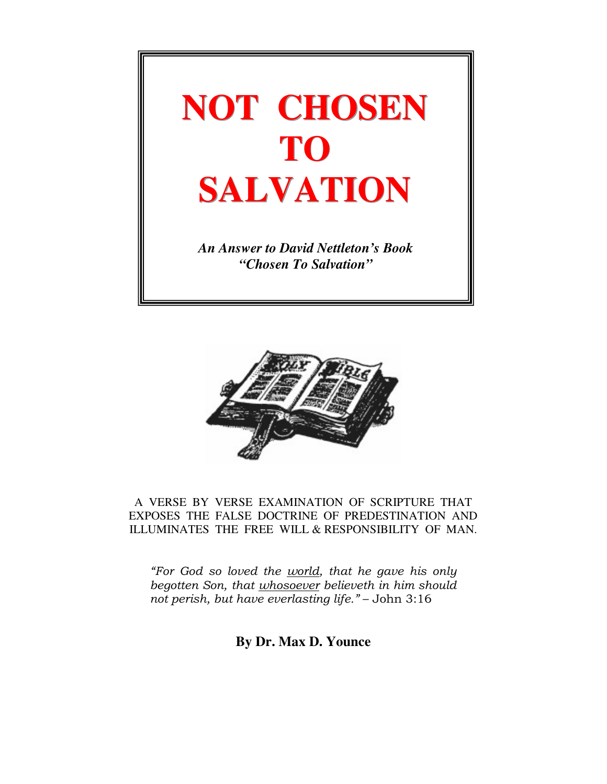



A VERSE BY VERSE EXAMINATION OF SCRIPTURE THAT EXPOSES THE FALSE DOCTRINE OF PREDESTINATION AND ILLUMINATES THE FREE WILL & RESPONSIBILITY OF MAN.

"For God so loved the world, that he gave his only begotten Son, that whosoever believeth in him should not perish, but have everlasting life." – John 3:16

**By Dr. Max D. Younce**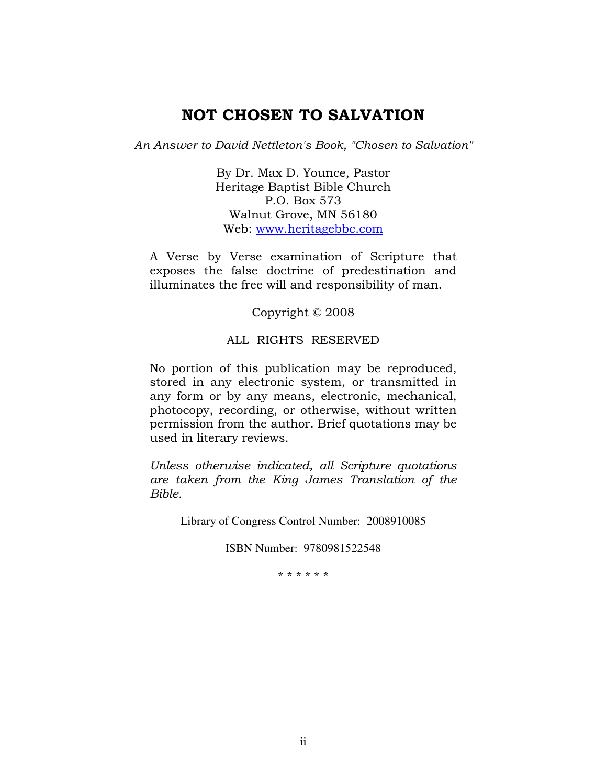# NOT CHOSEN TO SALVATION

An Answer to David Nettleton's Book, "Chosen to Salvation"

By Dr. Max D. Younce, Pastor Heritage Baptist Bible Church P.O. Box 573 Walnut Grove, MN 56180 Web: www.heritagebbc.com

A Verse by Verse examination of Scripture that exposes the false doctrine of predestination and illuminates the free will and responsibility of man.

Copyright © 2008

#### ALL RIGHTS RESERVED

No portion of this publication may be reproduced, stored in any electronic system, or transmitted in any form or by any means, electronic, mechanical, photocopy, recording, or otherwise, without written permission from the author. Brief quotations may be used in literary reviews.

Unless otherwise indicated, all Scripture quotations are taken from the King James Translation of the Bible.

Library of Congress Control Number: 2008910085

ISBN Number: 9780981522548

\* \* \* \* \* \*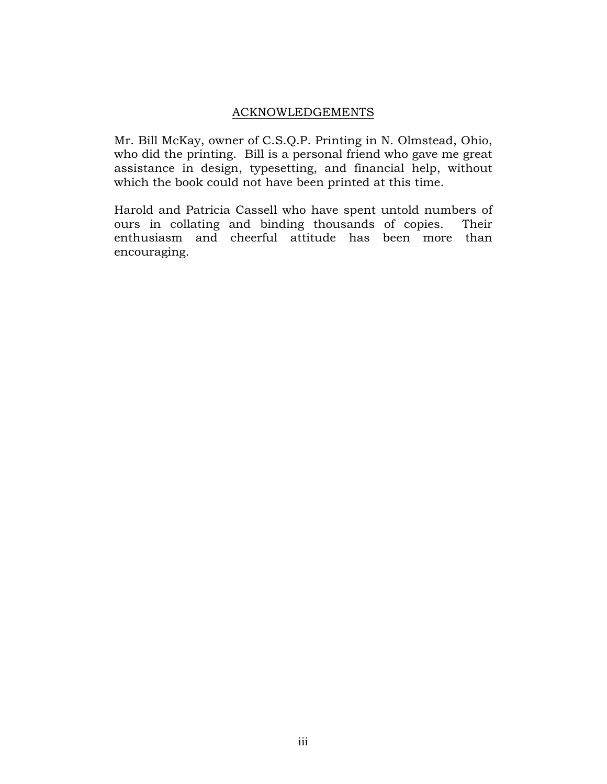#### ACKNOWLEDGEMENTS

Mr. Bill McKay, owner of C.S.Q.P. Printing in N. Olmstead, Ohio, who did the printing. Bill is a personal friend who gave me great assistance in design, typesetting, and financial help, without which the book could not have been printed at this time.

Harold and Patricia Cassell who have spent untold numbers of ours in collating and binding thousands of copies. Their enthusiasm and cheerful attitude has been more than encouraging.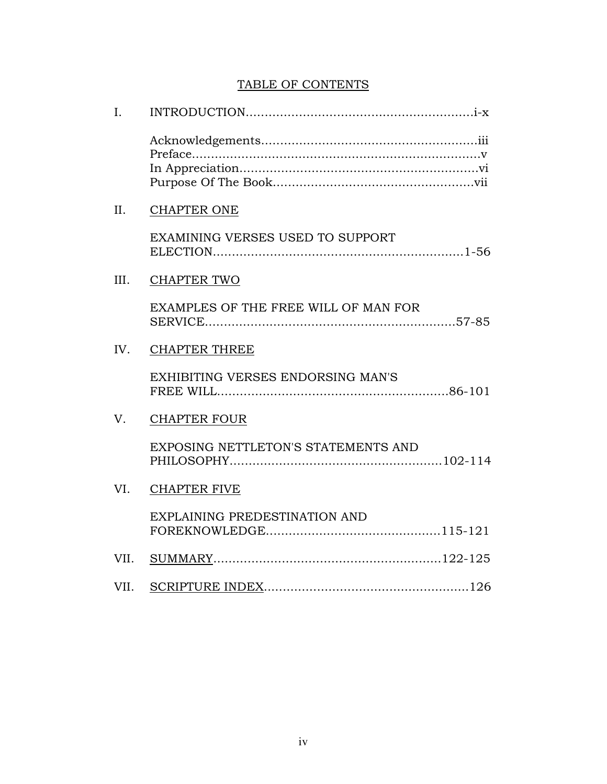## TABLE OF CONTENTS

| I.   |                                         |
|------|-----------------------------------------|
|      |                                         |
| II.  | <b>CHAPTER ONE</b>                      |
|      | <b>EXAMINING VERSES USED TO SUPPORT</b> |
| III. | <b>CHAPTER TWO</b>                      |
|      | EXAMPLES OF THE FREE WILL OF MAN FOR    |
| IV.  | <b>CHAPTER THREE</b>                    |
|      | EXHIBITING VERSES ENDORSING MAN'S       |
| V.   | <b>CHAPTER FOUR</b>                     |
|      | EXPOSING NETTLETON'S STATEMENTS AND     |
| VI.  | <b>CHAPTER FIVE</b>                     |
|      | EXPLAINING PREDESTINATION AND           |
| VII. |                                         |
| VII. |                                         |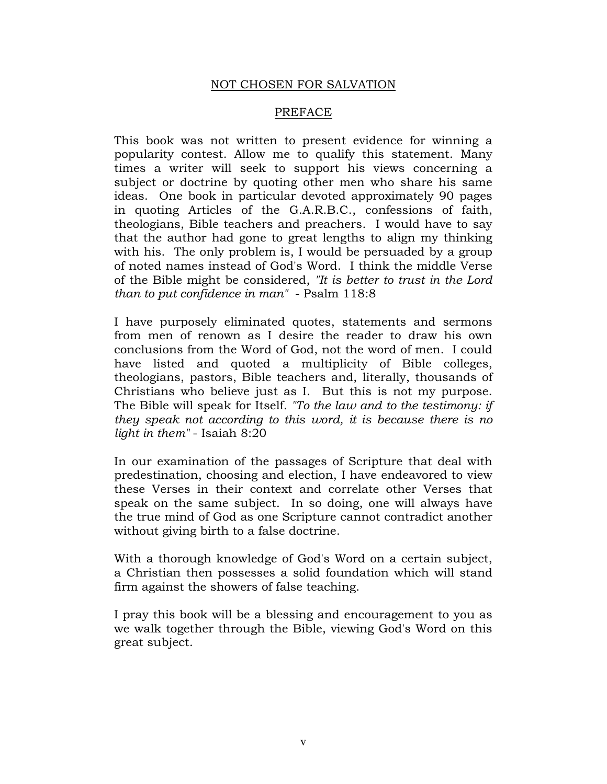### NOT CHOSEN FOR SALVATION

#### PREFACE

This book was not written to present evidence for winning a popularity contest. Allow me to qualify this statement. Many times a writer will seek to support his views concerning a subject or doctrine by quoting other men who share his same ideas. One book in particular devoted approximately 90 pages in quoting Articles of the G.A.R.B.C., confessions of faith, theologians, Bible teachers and preachers. I would have to say that the author had gone to great lengths to align my thinking with his. The only problem is, I would be persuaded by a group of noted names instead of God's Word. I think the middle Verse of the Bible might be considered, "It is better to trust in the Lord than to put confidence in man" - Psalm 118:8

I have purposely eliminated quotes, statements and sermons from men of renown as I desire the reader to draw his own conclusions from the Word of God, not the word of men. I could have listed and quoted a multiplicity of Bible colleges, theologians, pastors, Bible teachers and, literally, thousands of Christians who believe just as I. But this is not my purpose. The Bible will speak for Itself. "To the law and to the testimony: if they speak not according to this word, it is because there is no light in them" - Isaiah 8:20

In our examination of the passages of Scripture that deal with predestination, choosing and election, I have endeavored to view these Verses in their context and correlate other Verses that speak on the same subject. In so doing, one will always have the true mind of God as one Scripture cannot contradict another without giving birth to a false doctrine.

With a thorough knowledge of God's Word on a certain subject, a Christian then possesses a solid foundation which will stand firm against the showers of false teaching.

I pray this book will be a blessing and encouragement to you as we walk together through the Bible, viewing God's Word on this great subject.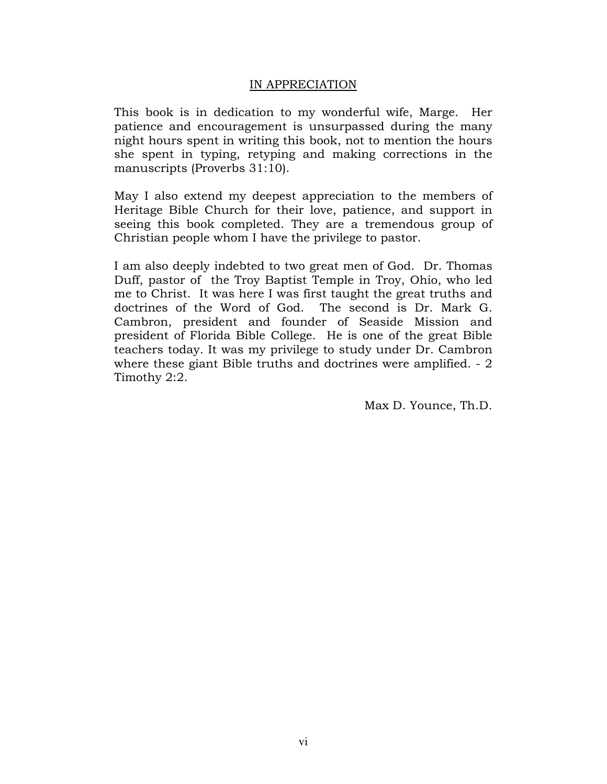### IN APPRECIATION

This book is in dedication to my wonderful wife, Marge. Her patience and encouragement is unsurpassed during the many night hours spent in writing this book, not to mention the hours she spent in typing, retyping and making corrections in the manuscripts (Proverbs 31:10).

May I also extend my deepest appreciation to the members of Heritage Bible Church for their love, patience, and support in seeing this book completed. They are a tremendous group of Christian people whom I have the privilege to pastor.

I am also deeply indebted to two great men of God. Dr. Thomas Duff, pastor of the Troy Baptist Temple in Troy, Ohio, who led me to Christ. It was here I was first taught the great truths and doctrines of the Word of God. The second is Dr. Mark G. Cambron, president and founder of Seaside Mission and president of Florida Bible College. He is one of the great Bible teachers today. It was my privilege to study under Dr. Cambron where these giant Bible truths and doctrines were amplified. - 2 Timothy 2:2.

Max D. Younce, Th.D.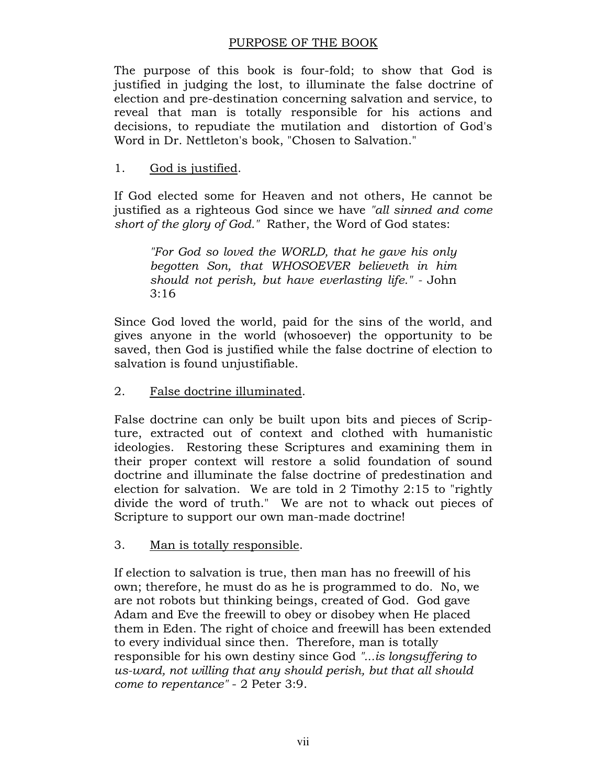### PURPOSE OF THE BOOK

The purpose of this book is four-fold; to show that God is justified in judging the lost, to illuminate the false doctrine of election and pre-destination concerning salvation and service, to reveal that man is totally responsible for his actions and decisions, to repudiate the mutilation and distortion of God's Word in Dr. Nettleton's book, "Chosen to Salvation."

### 1. God is justified.

If God elected some for Heaven and not others, He cannot be justified as a righteous God since we have "all sinned and come short of the glory of God." Rather, the Word of God states:

"For God so loved the WORLD, that he gave his only begotten Son, that WHOSOEVER believeth in him should not perish, but have everlasting life." - John 3:16

Since God loved the world, paid for the sins of the world, and gives anyone in the world (whosoever) the opportunity to be saved, then God is justified while the false doctrine of election to salvation is found unjustifiable.

### 2. False doctrine illuminated.

False doctrine can only be built upon bits and pieces of Scripture, extracted out of context and clothed with humanistic ideologies. Restoring these Scriptures and examining them in their proper context will restore a solid foundation of sound doctrine and illuminate the false doctrine of predestination and election for salvation. We are told in 2 Timothy 2:15 to "rightly divide the word of truth." We are not to whack out pieces of Scripture to support our own man-made doctrine!

### 3. Man is totally responsible.

If election to salvation is true, then man has no freewill of his own; therefore, he must do as he is programmed to do. No, we are not robots but thinking beings, created of God. God gave Adam and Eve the freewill to obey or disobey when He placed them in Eden. The right of choice and freewill has been extended to every individual since then. Therefore, man is totally responsible for his own destiny since God "...is longsuffering to us-ward, not willing that any should perish, but that all should come to repentance" - 2 Peter 3:9.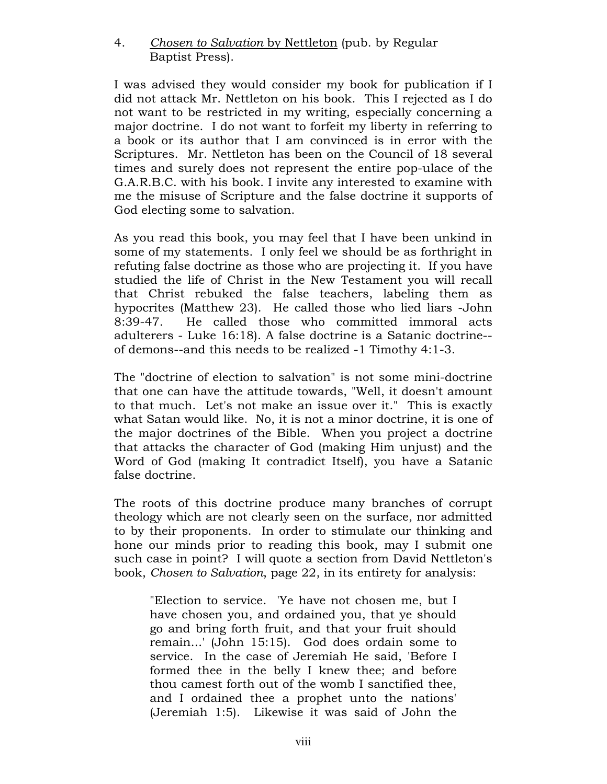### 4. Chosen to Salvation by Nettleton (pub. by Regular Baptist Press).

I was advised they would consider my book for publication if I did not attack Mr. Nettleton on his book. This I rejected as I do not want to be restricted in my writing, especially concerning a major doctrine. I do not want to forfeit my liberty in referring to a book or its author that I am convinced is in error with the Scriptures. Mr. Nettleton has been on the Council of 18 several times and surely does not represent the entire pop-ulace of the G.A.R.B.C. with his book. I invite any interested to examine with me the misuse of Scripture and the false doctrine it supports of God electing some to salvation.

As you read this book, you may feel that I have been unkind in some of my statements. I only feel we should be as forthright in refuting false doctrine as those who are projecting it. If you have studied the life of Christ in the New Testament you will recall that Christ rebuked the false teachers, labeling them as hypocrites (Matthew 23). He called those who lied liars -John 8:39-47. He called those who committed immoral acts adulterers - Luke 16:18). A false doctrine is a Satanic doctrine- of demons--and this needs to be realized -1 Timothy 4:1-3.

The "doctrine of election to salvation" is not some mini-doctrine that one can have the attitude towards, "Well, it doesn't amount to that much. Let's not make an issue over it." This is exactly what Satan would like. No, it is not a minor doctrine, it is one of the major doctrines of the Bible. When you project a doctrine that attacks the character of God (making Him unjust) and the Word of God (making It contradict Itself), you have a Satanic false doctrine.

The roots of this doctrine produce many branches of corrupt theology which are not clearly seen on the surface, nor admitted to by their proponents. In order to stimulate our thinking and hone our minds prior to reading this book, may I submit one such case in point? I will quote a section from David Nettleton's book, Chosen to Salvation, page 22, in its entirety for analysis:

"Election to service. 'Ye have not chosen me, but I have chosen you, and ordained you, that ye should go and bring forth fruit, and that your fruit should remain...' (John 15:15). God does ordain some to service. In the case of Jeremiah He said, 'Before I formed thee in the belly I knew thee; and before thou camest forth out of the womb I sanctified thee, and I ordained thee a prophet unto the nations' (Jeremiah 1:5). Likewise it was said of John the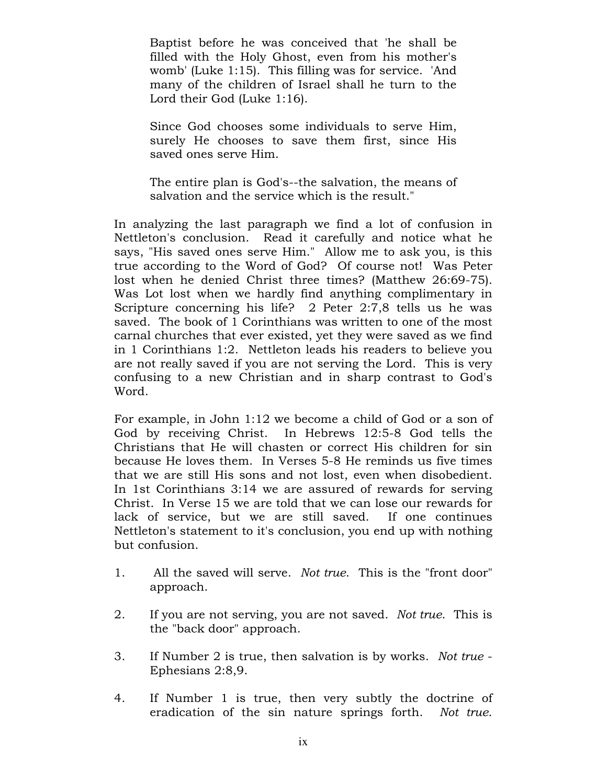Baptist before he was conceived that 'he shall be filled with the Holy Ghost, even from his mother's womb' (Luke 1:15). This filling was for service. 'And many of the children of Israel shall he turn to the Lord their God (Luke 1:16).

Since God chooses some individuals to serve Him, surely He chooses to save them first, since His saved ones serve Him.

The entire plan is God's--the salvation, the means of salvation and the service which is the result."

In analyzing the last paragraph we find a lot of confusion in Nettleton's conclusion. Read it carefully and notice what he says, "His saved ones serve Him." Allow me to ask you, is this true according to the Word of God? Of course not! Was Peter lost when he denied Christ three times? (Matthew 26:69-75). Was Lot lost when we hardly find anything complimentary in Scripture concerning his life? 2 Peter 2:7,8 tells us he was saved. The book of 1 Corinthians was written to one of the most carnal churches that ever existed, yet they were saved as we find in 1 Corinthians 1:2. Nettleton leads his readers to believe you are not really saved if you are not serving the Lord. This is very confusing to a new Christian and in sharp contrast to God's Word.

For example, in John 1:12 we become a child of God or a son of God by receiving Christ. In Hebrews 12:5-8 God tells the Christians that He will chasten or correct His children for sin because He loves them. In Verses 5-8 He reminds us five times that we are still His sons and not lost, even when disobedient. In 1st Corinthians 3:14 we are assured of rewards for serving Christ. In Verse 15 we are told that we can lose our rewards for lack of service, but we are still saved. If one continues Nettleton's statement to it's conclusion, you end up with nothing but confusion.

- 1. All the saved will serve. Not true. This is the "front door" approach.
- 2. If you are not serving, you are not saved. Not true. This is the "back door" approach.
- 3. If Number 2 is true, then salvation is by works. Not true Ephesians 2:8,9.
- 4. If Number 1 is true, then very subtly the doctrine of eradication of the sin nature springs forth. Not true.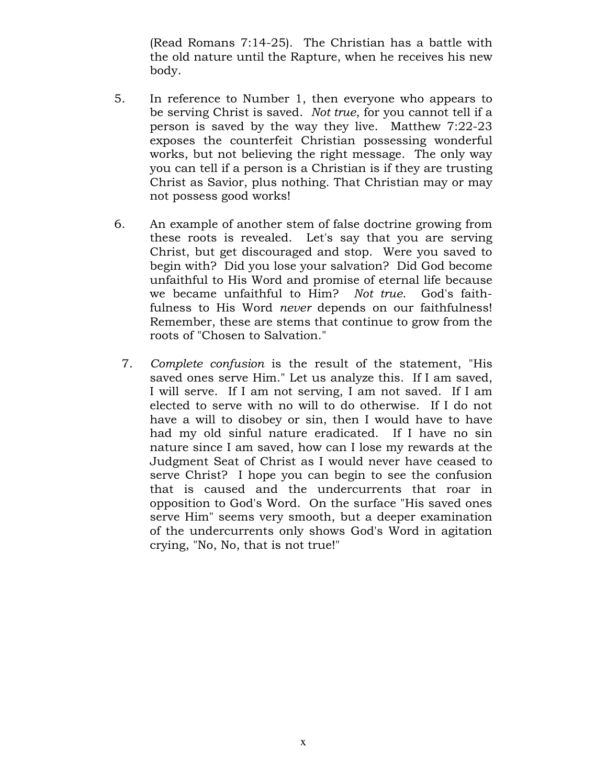(Read Romans 7:14-25). The Christian has a battle with the old nature until the Rapture, when he receives his new body.

- 5. In reference to Number 1, then everyone who appears to be serving Christ is saved. Not true, for you cannot tell if a person is saved by the way they live. Matthew 7:22-23 exposes the counterfeit Christian possessing wonderful works, but not believing the right message. The only way you can tell if a person is a Christian is if they are trusting Christ as Savior, plus nothing. That Christian may or may not possess good works!
- 6. An example of another stem of false doctrine growing from these roots is revealed. Let's say that you are serving Christ, but get discouraged and stop. Were you saved to begin with? Did you lose your salvation? Did God become unfaithful to His Word and promise of eternal life because we became unfaithful to Him? Not true. God's faithfulness to His Word never depends on our faithfulness! Remember, these are stems that continue to grow from the roots of "Chosen to Salvation."
	- 7. Complete confusion is the result of the statement, "His saved ones serve Him." Let us analyze this. If I am saved, I will serve. If I am not serving, I am not saved. If I am elected to serve with no will to do otherwise. If I do not have a will to disobey or sin, then I would have to have had my old sinful nature eradicated. If I have no sin nature since I am saved, how can I lose my rewards at the Judgment Seat of Christ as I would never have ceased to serve Christ? I hope you can begin to see the confusion that is caused and the undercurrents that roar in opposition to God's Word. On the surface "His saved ones serve Him" seems very smooth, but a deeper examination of the undercurrents only shows God's Word in agitation crying, "No, No, that is not true!"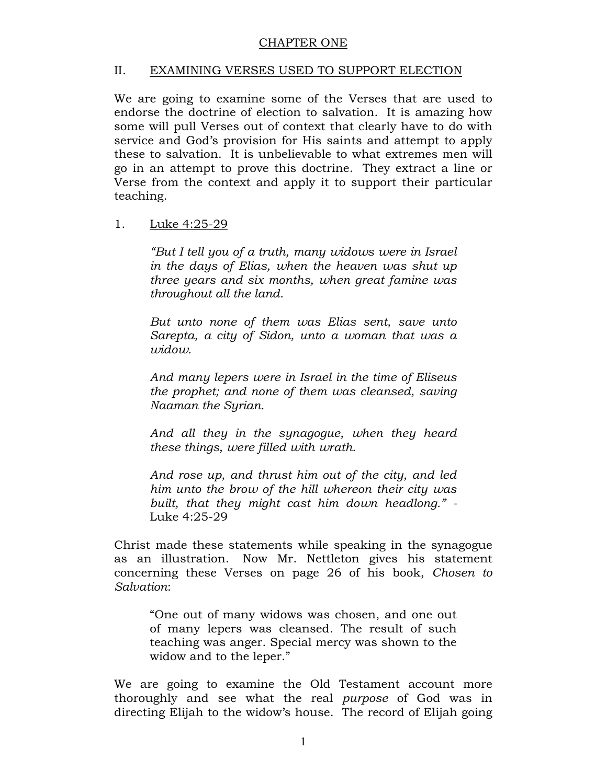### CHAPTER ONE

### II. EXAMINING VERSES USED TO SUPPORT ELECTION

We are going to examine some of the Verses that are used to endorse the doctrine of election to salvation. It is amazing how some will pull Verses out of context that clearly have to do with service and God's provision for His saints and attempt to apply these to salvation. It is unbelievable to what extremes men will go in an attempt to prove this doctrine. They extract a line or Verse from the context and apply it to support their particular teaching.

### 1. Luke 4:25-29

"But I tell you of a truth, many widows were in Israel in the days of Elias, when the heaven was shut up three years and six months, when great famine was throughout all the land.

But unto none of them was Elias sent, save unto Sarepta, a city of Sidon, unto a woman that was a widow.

And many lepers were in Israel in the time of Eliseus the prophet; and none of them was cleansed, saving Naaman the Syrian.

And all they in the synagogue, when they heard these things, were filled with wrath.

And rose up, and thrust him out of the city, and led him unto the brow of the hill whereon their city was built, that they might cast him down headlong." - Luke 4:25-29

Christ made these statements while speaking in the synagogue as an illustration. Now Mr. Nettleton gives his statement concerning these Verses on page 26 of his book, Chosen to Salvation:

"One out of many widows was chosen, and one out of many lepers was cleansed. The result of such teaching was anger. Special mercy was shown to the widow and to the leper."

We are going to examine the Old Testament account more thoroughly and see what the real purpose of God was in directing Elijah to the widow's house. The record of Elijah going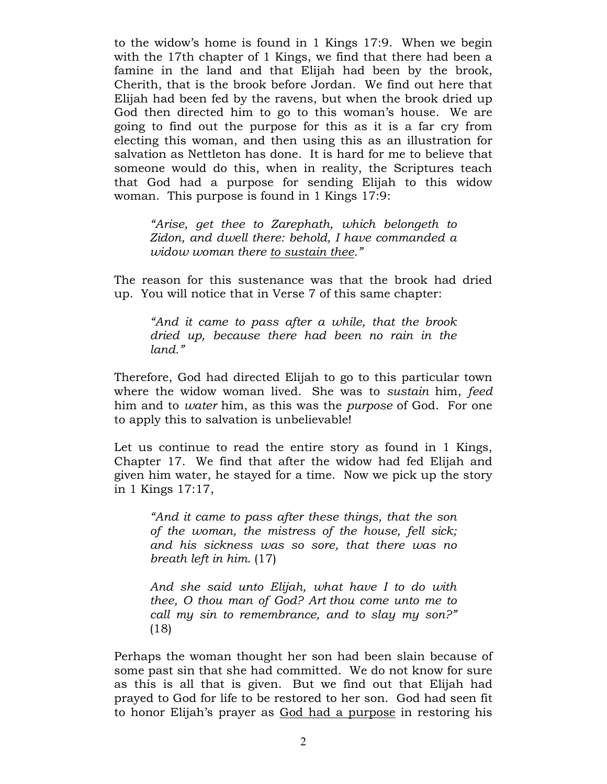to the widow's home is found in 1 Kings 17:9. When we begin with the 17th chapter of 1 Kings, we find that there had been a famine in the land and that Elijah had been by the brook, Cherith, that is the brook before Jordan. We find out here that Elijah had been fed by the ravens, but when the brook dried up God then directed him to go to this woman's house. We are going to find out the purpose for this as it is a far cry from electing this woman, and then using this as an illustration for salvation as Nettleton has done. It is hard for me to believe that someone would do this, when in reality, the Scriptures teach that God had a purpose for sending Elijah to this widow woman. This purpose is found in 1 Kings 17:9:

"Arise, get thee to Zarephath, which belongeth to Zidon, and dwell there: behold, I have commanded a widow woman there to sustain thee."

The reason for this sustenance was that the brook had dried up. You will notice that in Verse 7 of this same chapter:

"And it came to pass after a while, that the brook dried up, because there had been no rain in the land."

Therefore, God had directed Elijah to go to this particular town where the widow woman lived. She was to sustain him, feed him and to *water* him, as this was the *purpose* of God. For one to apply this to salvation is unbelievable!

Let us continue to read the entire story as found in 1 Kings, Chapter 17. We find that after the widow had fed Elijah and given him water, he stayed for a time. Now we pick up the story in 1 Kings 17:17,

"And it came to pass after these things, that the son of the woman, the mistress of the house, fell sick; and his sickness was so sore, that there was no breath left in him. (17)

And she said unto Elijah, what have I to do with thee, O thou man of God? Art thou come unto me to call my sin to remembrance, and to slay my son?" (18)

Perhaps the woman thought her son had been slain because of some past sin that she had committed. We do not know for sure as this is all that is given. But we find out that Elijah had prayed to God for life to be restored to her son. God had seen fit to honor Elijah's prayer as God had a purpose in restoring his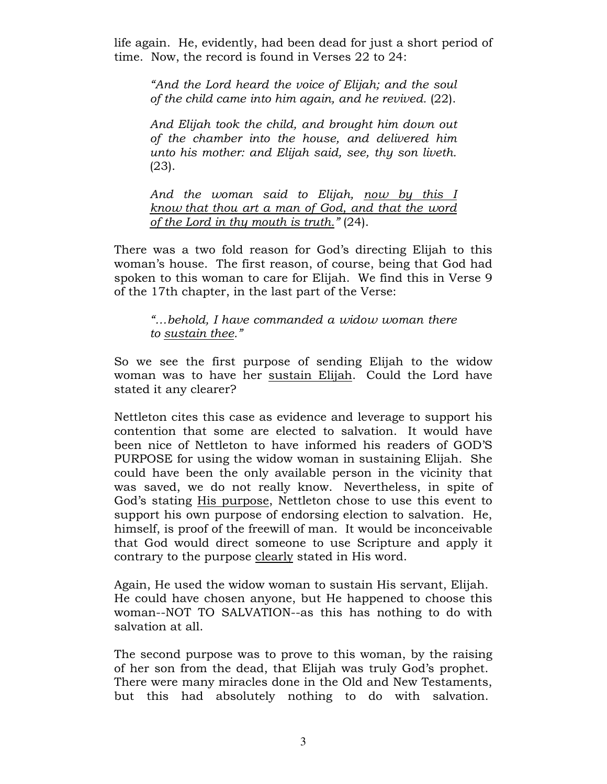life again. He, evidently, had been dead for just a short period of time. Now, the record is found in Verses 22 to 24:

"And the Lord heard the voice of Elijah; and the soul of the child came into him again, and he revived. (22).

And Elijah took the child, and brought him down out of the chamber into the house, and delivered him unto his mother: and Elijah said, see, thy son liveth. (23).

And the woman said to Elijah, now by this I know that thou art a man of God, and that the word of the Lord in thy mouth is truth." (24).

There was a two fold reason for God's directing Elijah to this woman's house. The first reason, of course, being that God had spoken to this woman to care for Elijah. We find this in Verse 9 of the 17th chapter, in the last part of the Verse:

"…behold, I have commanded a widow woman there to sustain thee."

So we see the first purpose of sending Elijah to the widow woman was to have her sustain Elijah. Could the Lord have stated it any clearer?

Nettleton cites this case as evidence and leverage to support his contention that some are elected to salvation. It would have been nice of Nettleton to have informed his readers of GOD'S PURPOSE for using the widow woman in sustaining Elijah. She could have been the only available person in the vicinity that was saved, we do not really know. Nevertheless, in spite of God's stating His purpose, Nettleton chose to use this event to support his own purpose of endorsing election to salvation. He, himself, is proof of the freewill of man. It would be inconceivable that God would direct someone to use Scripture and apply it contrary to the purpose clearly stated in His word.

Again, He used the widow woman to sustain His servant, Elijah. He could have chosen anyone, but He happened to choose this woman--NOT TO SALVATION--as this has nothing to do with salvation at all.

The second purpose was to prove to this woman, by the raising of her son from the dead, that Elijah was truly God's prophet. There were many miracles done in the Old and New Testaments, but this had absolutely nothing to do with salvation.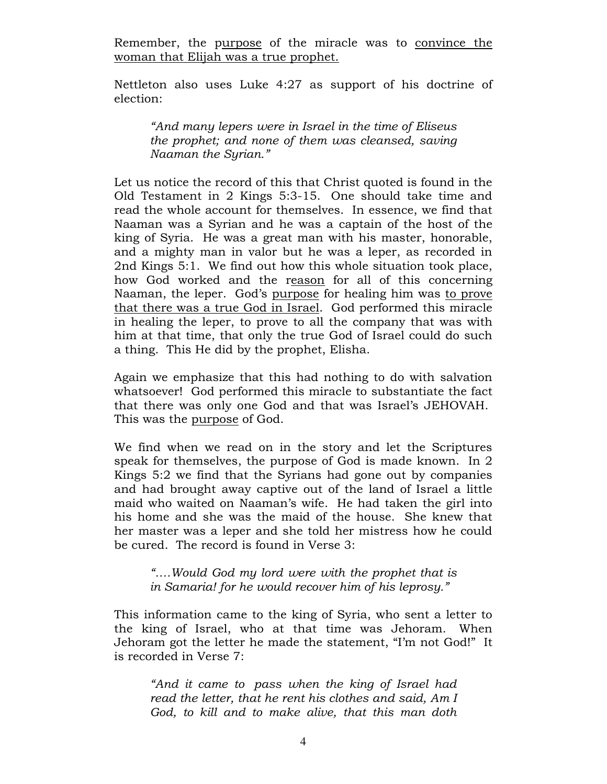Remember, the purpose of the miracle was to convince the woman that Elijah was a true prophet.

Nettleton also uses Luke 4:27 as support of his doctrine of election:

"And many lepers were in Israel in the time of Eliseus the prophet; and none of them was cleansed, saving Naaman the Syrian."

Let us notice the record of this that Christ quoted is found in the Old Testament in 2 Kings 5:3-15. One should take time and read the whole account for themselves. In essence, we find that Naaman was a Syrian and he was a captain of the host of the king of Syria. He was a great man with his master, honorable, and a mighty man in valor but he was a leper, as recorded in 2nd Kings 5:1. We find out how this whole situation took place, how God worked and the reason for all of this concerning Naaman, the leper. God's purpose for healing him was to prove that there was a true God in Israel. God performed this miracle in healing the leper, to prove to all the company that was with him at that time, that only the true God of Israel could do such a thing. This He did by the prophet, Elisha.

Again we emphasize that this had nothing to do with salvation whatsoever! God performed this miracle to substantiate the fact that there was only one God and that was Israel's JEHOVAH. This was the purpose of God.

We find when we read on in the story and let the Scriptures speak for themselves, the purpose of God is made known. In 2 Kings 5:2 we find that the Syrians had gone out by companies and had brought away captive out of the land of Israel a little maid who waited on Naaman's wife. He had taken the girl into his home and she was the maid of the house. She knew that her master was a leper and she told her mistress how he could be cured. The record is found in Verse 3:

"….Would God my lord were with the prophet that is in Samaria! for he would recover him of his leprosy."

This information came to the king of Syria, who sent a letter to the king of Israel, who at that time was Jehoram. When Jehoram got the letter he made the statement, "I'm not God!" It is recorded in Verse 7:

"And it came to pass when the king of Israel had read the letter, that he rent his clothes and said, Am I God, to kill and to make alive, that this man doth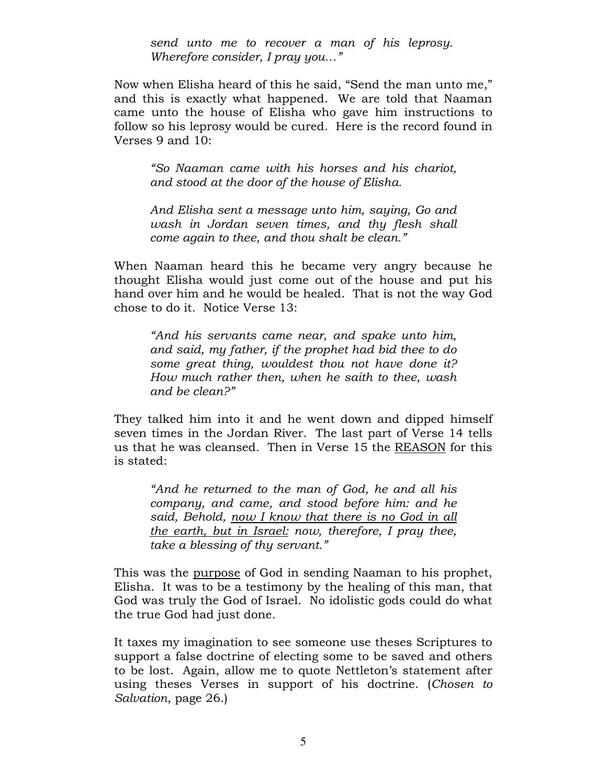send unto me to recover a man of his leprosy. Wherefore consider, I pray you..."

Now when Elisha heard of this he said, "Send the man unto me," and this is exactly what happened. We are told that Naaman came unto the house of Elisha who gave him instructions to follow so his leprosy would be cured. Here is the record found in Verses 9 and 10:

"So Naaman came with his horses and his chariot, and stood at the door of the house of Elisha.

And Elisha sent a message unto him, saying, Go and wash in Jordan seven times, and thy flesh shall come again to thee, and thou shalt be clean."

When Naaman heard this he became very angry because he thought Elisha would just come out of the house and put his hand over him and he would be healed. That is not the way God chose to do it. Notice Verse 13:

"And his servants came near, and spake unto him, and said, my father, if the prophet had bid thee to do some great thing, wouldest thou not have done it? How much rather then, when he saith to thee, wash and be clean?"

They talked him into it and he went down and dipped himself seven times in the Jordan River. The last part of Verse 14 tells us that he was cleansed. Then in Verse 15 the REASON for this is stated:

"And he returned to the man of God, he and all his company, and came, and stood before him: and he said, Behold, now I know that there is no God in all the earth, but in Israel: now, therefore, I pray thee, take a blessing of thy servant."

This was the purpose of God in sending Naaman to his prophet, Elisha. It was to be a testimony by the healing of this man, that God was truly the God of Israel. No idolistic gods could do what the true God had just done.

It taxes my imagination to see someone use theses Scriptures to support a false doctrine of electing some to be saved and others to be lost. Again, allow me to quote Nettleton's statement after using theses Verses in support of his doctrine. (Chosen to Salvation, page 26.)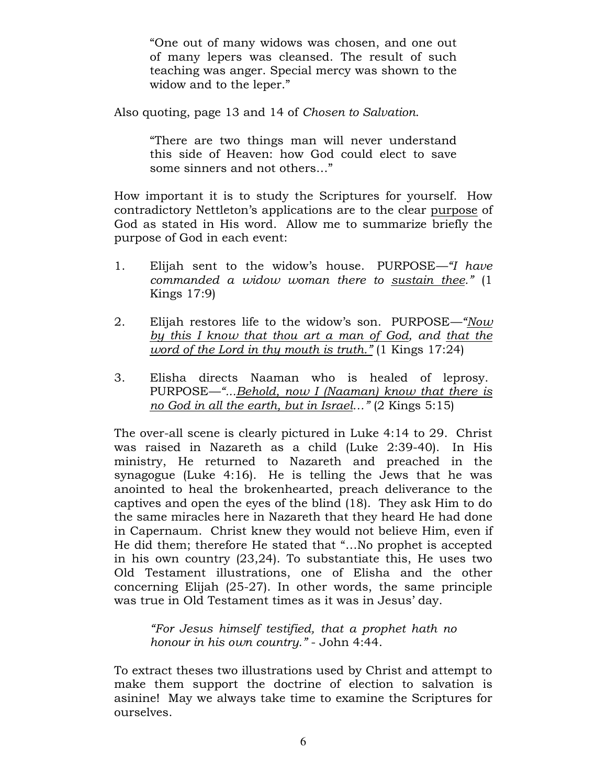"One out of many widows was chosen, and one out of many lepers was cleansed. The result of such teaching was anger. Special mercy was shown to the widow and to the leper."

Also quoting, page 13 and 14 of Chosen to Salvation.

"There are two things man will never understand this side of Heaven: how God could elect to save some sinners and not others…"

How important it is to study the Scriptures for yourself. How contradictory Nettleton's applications are to the clear purpose of God as stated in His word. Allow me to summarize briefly the purpose of God in each event:

- 1. Elijah sent to the widow's house. PURPOSE—"I have commanded a widow woman there to sustain thee." (1 Kings 17:9)
- 2. Elijah restores life to the widow's son. PURPOSE—"Now by this I know that thou art a man of God, and that the word of the Lord in thy mouth is truth." (1 Kings 17:24)
- 3. Elisha directs Naaman who is healed of leprosy. PURPOSE—"...Behold, now I (Naaman) know that there is no God in all the earth, but in Israel…" (2 Kings 5:15)

The over-all scene is clearly pictured in Luke 4:14 to 29. Christ was raised in Nazareth as a child (Luke 2:39-40). In His ministry, He returned to Nazareth and preached in the synagogue (Luke 4:16). He is telling the Jews that he was anointed to heal the brokenhearted, preach deliverance to the captives and open the eyes of the blind (18). They ask Him to do the same miracles here in Nazareth that they heard He had done in Capernaum. Christ knew they would not believe Him, even if He did them; therefore He stated that "…No prophet is accepted in his own country (23,24). To substantiate this, He uses two Old Testament illustrations, one of Elisha and the other concerning Elijah (25-27). In other words, the same principle was true in Old Testament times as it was in Jesus' day.

"For Jesus himself testified, that a prophet hath no honour in his own country." - John 4:44.

To extract theses two illustrations used by Christ and attempt to make them support the doctrine of election to salvation is asinine! May we always take time to examine the Scriptures for ourselves.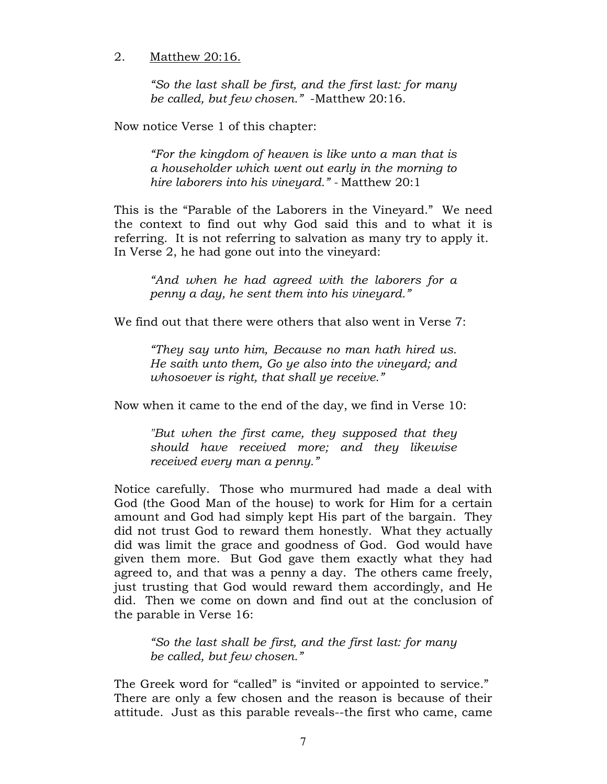### 2. Matthew 20:16.

"So the last shall be first, and the first last: for many be called, but few chosen." -Matthew 20:16.

Now notice Verse 1 of this chapter:

"For the kingdom of heaven is like unto a man that is a householder which went out early in the morning to hire laborers into his vineyard." - Matthew 20:1

This is the "Parable of the Laborers in the Vineyard." We need the context to find out why God said this and to what it is referring. It is not referring to salvation as many try to apply it. In Verse 2, he had gone out into the vineyard:

"And when he had agreed with the laborers for a penny a day, he sent them into his vineyard."

We find out that there were others that also went in Verse 7:

"They say unto him, Because no man hath hired us. He saith unto them, Go ye also into the vineyard; and whosoever is right, that shall ye receive."

Now when it came to the end of the day, we find in Verse 10:

"But when the first came, they supposed that they should have received more; and they likewise received every man a penny."

Notice carefully. Those who murmured had made a deal with God (the Good Man of the house) to work for Him for a certain amount and God had simply kept His part of the bargain. They did not trust God to reward them honestly. What they actually did was limit the grace and goodness of God. God would have given them more. But God gave them exactly what they had agreed to, and that was a penny a day. The others came freely, just trusting that God would reward them accordingly, and He did. Then we come on down and find out at the conclusion of the parable in Verse 16:

"So the last shall be first, and the first last: for many be called, but few chosen."

The Greek word for "called" is "invited or appointed to service." There are only a few chosen and the reason is because of their attitude. Just as this parable reveals--the first who came, came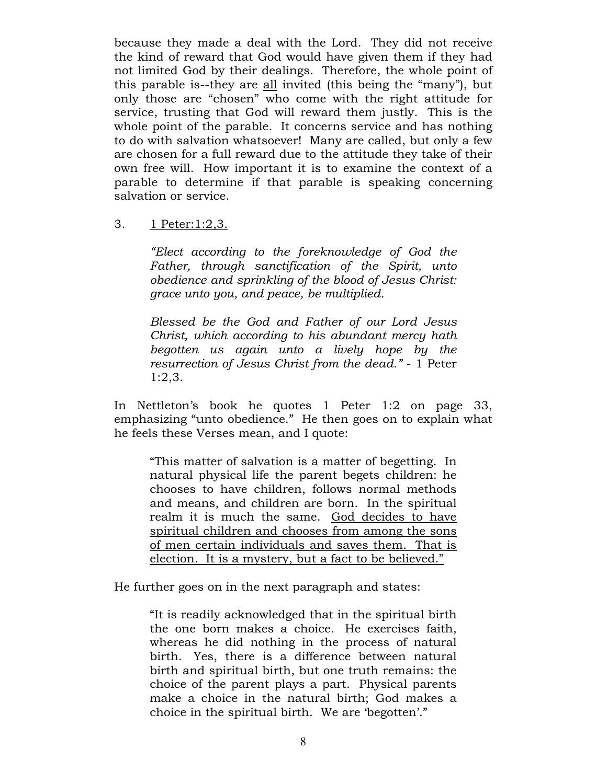because they made a deal with the Lord. They did not receive the kind of reward that God would have given them if they had not limited God by their dealings. Therefore, the whole point of this parable is--they are all invited (this being the "many"), but only those are "chosen" who come with the right attitude for service, trusting that God will reward them justly. This is the whole point of the parable. It concerns service and has nothing to do with salvation whatsoever! Many are called, but only a few are chosen for a full reward due to the attitude they take of their own free will. How important it is to examine the context of a parable to determine if that parable is speaking concerning salvation or service.

3. 1 Peter:1:2,3.

"Elect according to the foreknowledge of God the Father, through sanctification of the Spirit, unto obedience and sprinkling of the blood of Jesus Christ: grace unto you, and peace, be multiplied.

Blessed be the God and Father of our Lord Jesus Christ, which according to his abundant mercy hath begotten us again unto a lively hope by the resurrection of Jesus Christ from the dead." - 1 Peter 1:2,3.

In Nettleton's book he quotes 1 Peter 1:2 on page 33, emphasizing "unto obedience." He then goes on to explain what he feels these Verses mean, and I quote:

"This matter of salvation is a matter of begetting. In natural physical life the parent begets children: he chooses to have children, follows normal methods and means, and children are born. In the spiritual realm it is much the same. God decides to have spiritual children and chooses from among the sons of men certain individuals and saves them. That is election. It is a mystery, but a fact to be believed."

He further goes on in the next paragraph and states:

"It is readily acknowledged that in the spiritual birth the one born makes a choice. He exercises faith, whereas he did nothing in the process of natural birth. Yes, there is a difference between natural birth and spiritual birth, but one truth remains: the choice of the parent plays a part. Physical parents make a choice in the natural birth; God makes a choice in the spiritual birth. We are 'begotten'."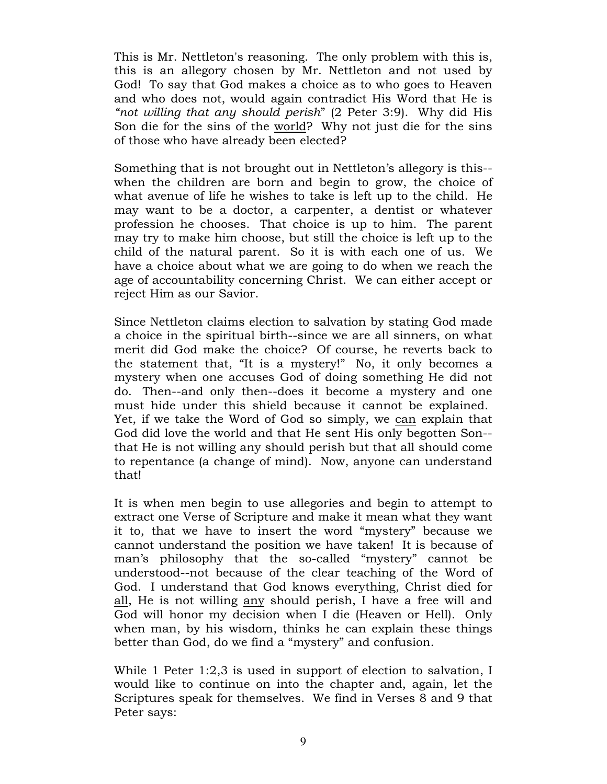This is Mr. Nettleton's reasoning. The only problem with this is, this is an allegory chosen by Mr. Nettleton and not used by God! To say that God makes a choice as to who goes to Heaven and who does not, would again contradict His Word that He is "not willing that any should perish" (2 Peter 3:9). Why did His Son die for the sins of the world? Why not just die for the sins of those who have already been elected?

Something that is not brought out in Nettleton's allegory is this- when the children are born and begin to grow, the choice of what avenue of life he wishes to take is left up to the child. He may want to be a doctor, a carpenter, a dentist or whatever profession he chooses. That choice is up to him. The parent may try to make him choose, but still the choice is left up to the child of the natural parent. So it is with each one of us. We have a choice about what we are going to do when we reach the age of accountability concerning Christ. We can either accept or reject Him as our Savior.

Since Nettleton claims election to salvation by stating God made a choice in the spiritual birth--since we are all sinners, on what merit did God make the choice? Of course, he reverts back to the statement that, "It is a mystery!" No, it only becomes a mystery when one accuses God of doing something He did not do. Then--and only then--does it become a mystery and one must hide under this shield because it cannot be explained. Yet, if we take the Word of God so simply, we can explain that God did love the world and that He sent His only begotten Son- that He is not willing any should perish but that all should come to repentance (a change of mind). Now, anyone can understand that!

It is when men begin to use allegories and begin to attempt to extract one Verse of Scripture and make it mean what they want it to, that we have to insert the word "mystery" because we cannot understand the position we have taken! It is because of man's philosophy that the so-called "mystery" cannot be understood--not because of the clear teaching of the Word of God. I understand that God knows everything, Christ died for all, He is not willing any should perish, I have a free will and God will honor my decision when I die (Heaven or Hell). Only when man, by his wisdom, thinks he can explain these things better than God, do we find a "mystery" and confusion.

While 1 Peter 1:2,3 is used in support of election to salvation, I would like to continue on into the chapter and, again, let the Scriptures speak for themselves. We find in Verses 8 and 9 that Peter says: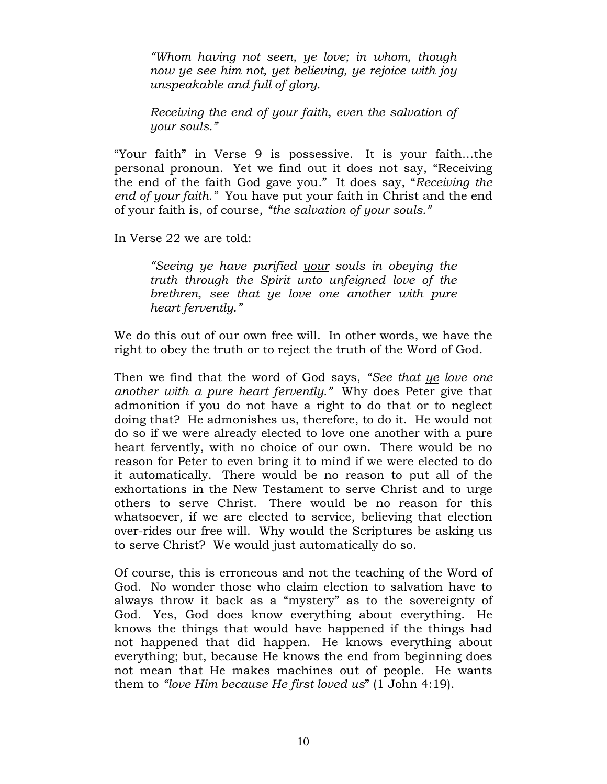"Whom having not seen, ye love; in whom, though now ye see him not, yet believing, ye rejoice with joy unspeakable and full of glory.

Receiving the end of your faith, even the salvation of your souls."

"Your faith" in Verse 9 is possessive. It is your faith…the personal pronoun. Yet we find out it does not say, "Receiving the end of the faith God gave you." It does say, "Receiving the end of your faith." You have put your faith in Christ and the end of your faith is, of course, "the salvation of your souls."

In Verse 22 we are told:

"Seeing ye have purified your souls in obeying the truth through the Spirit unto unfeigned love of the brethren, see that ye love one another with pure heart fervently."

We do this out of our own free will. In other words, we have the right to obey the truth or to reject the truth of the Word of God.

Then we find that the word of God says, "See that ye love one another with a pure heart fervently." Why does Peter give that admonition if you do not have a right to do that or to neglect doing that? He admonishes us, therefore, to do it. He would not do so if we were already elected to love one another with a pure heart fervently, with no choice of our own. There would be no reason for Peter to even bring it to mind if we were elected to do it automatically. There would be no reason to put all of the exhortations in the New Testament to serve Christ and to urge others to serve Christ. There would be no reason for this whatsoever, if we are elected to service, believing that election over-rides our free will. Why would the Scriptures be asking us to serve Christ? We would just automatically do so.

Of course, this is erroneous and not the teaching of the Word of God. No wonder those who claim election to salvation have to always throw it back as a "mystery" as to the sovereignty of God. Yes, God does know everything about everything. He knows the things that would have happened if the things had not happened that did happen. He knows everything about everything; but, because He knows the end from beginning does not mean that He makes machines out of people. He wants them to "love Him because He first loved us" (1 John 4:19).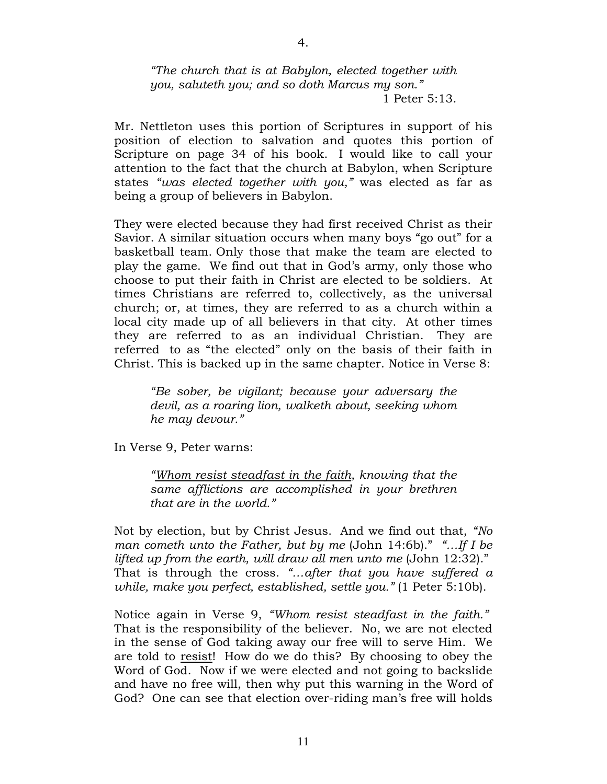#### "The church that is at Babylon, elected together with you, saluteth you; and so doth Marcus my son." 1 Peter 5:13.

Mr. Nettleton uses this portion of Scriptures in support of his position of election to salvation and quotes this portion of Scripture on page 34 of his book. I would like to call your attention to the fact that the church at Babylon, when Scripture states "was elected together with you," was elected as far as being a group of believers in Babylon.

They were elected because they had first received Christ as their Savior. A similar situation occurs when many boys "go out" for a basketball team. Only those that make the team are elected to play the game. We find out that in God's army, only those who choose to put their faith in Christ are elected to be soldiers. At times Christians are referred to, collectively, as the universal church; or, at times, they are referred to as a church within a local city made up of all believers in that city. At other times they are referred to as an individual Christian. They are referred to as "the elected" only on the basis of their faith in Christ. This is backed up in the same chapter. Notice in Verse 8:

"Be sober, be vigilant; because your adversary the devil, as a roaring lion, walketh about, seeking whom he may devour."

In Verse 9, Peter warns:

"Whom resist steadfast in the faith, knowing that the same afflictions are accomplished in your brethren that are in the world."

Not by election, but by Christ Jesus. And we find out that, "No man cometh unto the Father, but by me (John 14:6b)." "...If I be lifted up from the earth, will draw all men unto me (John 12:32)." That is through the cross. "…after that you have suffered a while, make you perfect, established, settle you." (1 Peter 5:10b).

Notice again in Verse 9, "Whom resist steadfast in the faith." That is the responsibility of the believer. No, we are not elected in the sense of God taking away our free will to serve Him. We are told to resist! How do we do this? By choosing to obey the Word of God. Now if we were elected and not going to backslide and have no free will, then why put this warning in the Word of God? One can see that election over-riding man's free will holds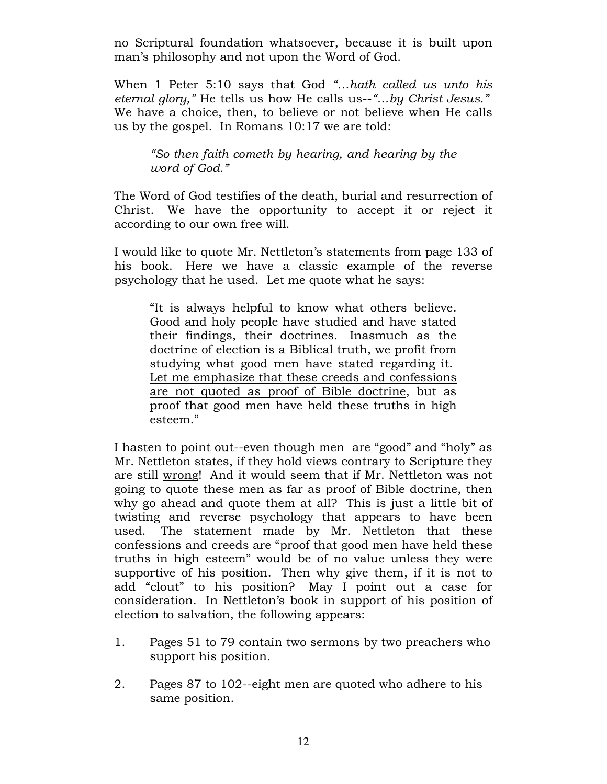no Scriptural foundation whatsoever, because it is built upon man's philosophy and not upon the Word of God.

When 1 Peter 5:10 says that God "...hath called us unto his eternal glory," He tells us how He calls us--"...by Christ Jesus." We have a choice, then, to believe or not believe when He calls us by the gospel. In Romans 10:17 we are told:

"So then faith cometh by hearing, and hearing by the word of God."

The Word of God testifies of the death, burial and resurrection of Christ. We have the opportunity to accept it or reject it according to our own free will.

I would like to quote Mr. Nettleton's statements from page 133 of his book. Here we have a classic example of the reverse psychology that he used. Let me quote what he says:

"It is always helpful to know what others believe. Good and holy people have studied and have stated their findings, their doctrines. Inasmuch as the doctrine of election is a Biblical truth, we profit from studying what good men have stated regarding it. Let me emphasize that these creeds and confessions are not quoted as proof of Bible doctrine, but as proof that good men have held these truths in high esteem."

I hasten to point out--even though men are "good" and "holy" as Mr. Nettleton states, if they hold views contrary to Scripture they are still wrong! And it would seem that if Mr. Nettleton was not going to quote these men as far as proof of Bible doctrine, then why go ahead and quote them at all? This is just a little bit of twisting and reverse psychology that appears to have been used. The statement made by Mr. Nettleton that these confessions and creeds are "proof that good men have held these truths in high esteem" would be of no value unless they were supportive of his position. Then why give them, if it is not to add "clout" to his position? May I point out a case for consideration. In Nettleton's book in support of his position of election to salvation, the following appears:

- 1. Pages 51 to 79 contain two sermons by two preachers who support his position.
- 2. Pages 87 to 102--eight men are quoted who adhere to his same position.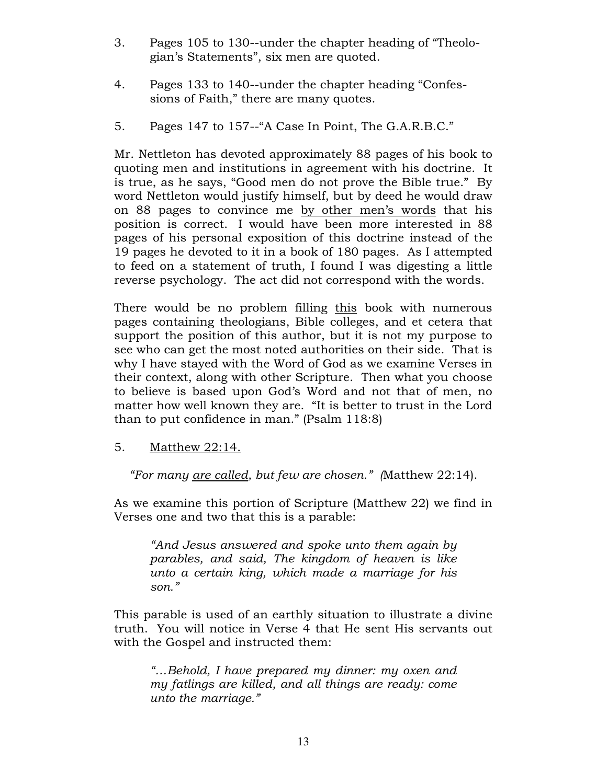- 3. Pages 105 to 130--under the chapter heading of "Theologian's Statements", six men are quoted.
- 4. Pages 133 to 140--under the chapter heading "Confessions of Faith," there are many quotes.
- 5. Pages 147 to 157--"A Case In Point, The G.A.R.B.C."

Mr. Nettleton has devoted approximately 88 pages of his book to quoting men and institutions in agreement with his doctrine. It is true, as he says, "Good men do not prove the Bible true." By word Nettleton would justify himself, but by deed he would draw on 88 pages to convince me by other men's words that his position is correct. I would have been more interested in 88 pages of his personal exposition of this doctrine instead of the 19 pages he devoted to it in a book of 180 pages. As I attempted to feed on a statement of truth, I found I was digesting a little reverse psychology. The act did not correspond with the words.

There would be no problem filling this book with numerous pages containing theologians, Bible colleges, and et cetera that support the position of this author, but it is not my purpose to see who can get the most noted authorities on their side. That is why I have stayed with the Word of God as we examine Verses in their context, along with other Scripture. Then what you choose to believe is based upon God's Word and not that of men, no matter how well known they are. "It is better to trust in the Lord than to put confidence in man." (Psalm 118:8)

5. Matthew 22:14.

"For many are called, but few are chosen." (Matthew 22:14).

As we examine this portion of Scripture (Matthew 22) we find in Verses one and two that this is a parable:

"And Jesus answered and spoke unto them again by parables, and said, The kingdom of heaven is like unto a certain king, which made a marriage for his son."

This parable is used of an earthly situation to illustrate a divine truth. You will notice in Verse 4 that He sent His servants out with the Gospel and instructed them:

"…Behold, I have prepared my dinner: my oxen and my fatlings are killed, and all things are ready: come unto the marriage."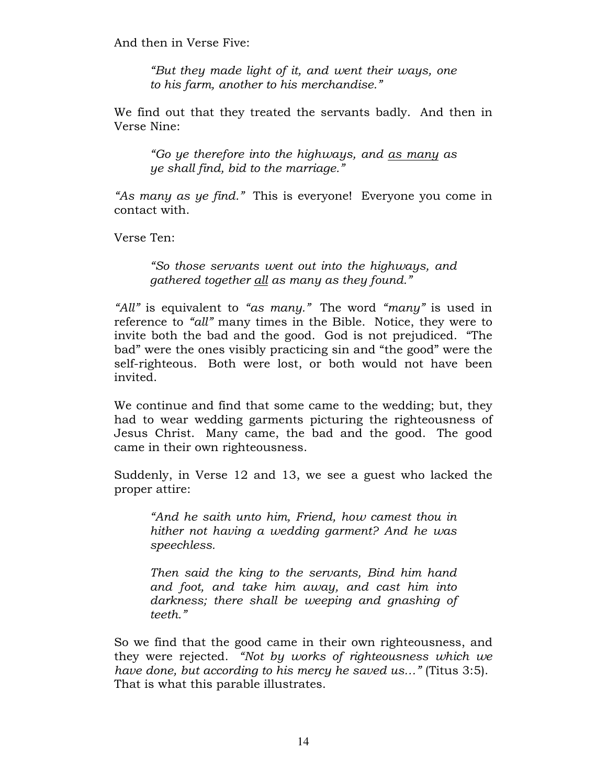And then in Verse Five:

"But they made light of it, and went their ways, one to his farm, another to his merchandise."

We find out that they treated the servants badly. And then in Verse Nine:

"Go ye therefore into the highways, and as many as ye shall find, bid to the marriage."

"As many as ye find." This is everyone! Everyone you come in contact with.

Verse Ten:

"So those servants went out into the highways, and gathered together all as many as they found."

"All" is equivalent to "as many." The word "many" is used in reference to "all" many times in the Bible. Notice, they were to invite both the bad and the good. God is not prejudiced. "The bad" were the ones visibly practicing sin and "the good" were the self-righteous. Both were lost, or both would not have been invited.

We continue and find that some came to the wedding; but, they had to wear wedding garments picturing the righteousness of Jesus Christ. Many came, the bad and the good. The good came in their own righteousness.

Suddenly, in Verse 12 and 13, we see a guest who lacked the proper attire:

"And he saith unto him, Friend, how camest thou in hither not having a wedding garment? And he was speechless.

Then said the king to the servants, Bind him hand and foot, and take him away, and cast him into darkness; there shall be weeping and gnashing of teeth."

So we find that the good came in their own righteousness, and they were rejected. "Not by works of righteousness which we have done, but according to his mercy he saved us..." (Titus 3:5). That is what this parable illustrates.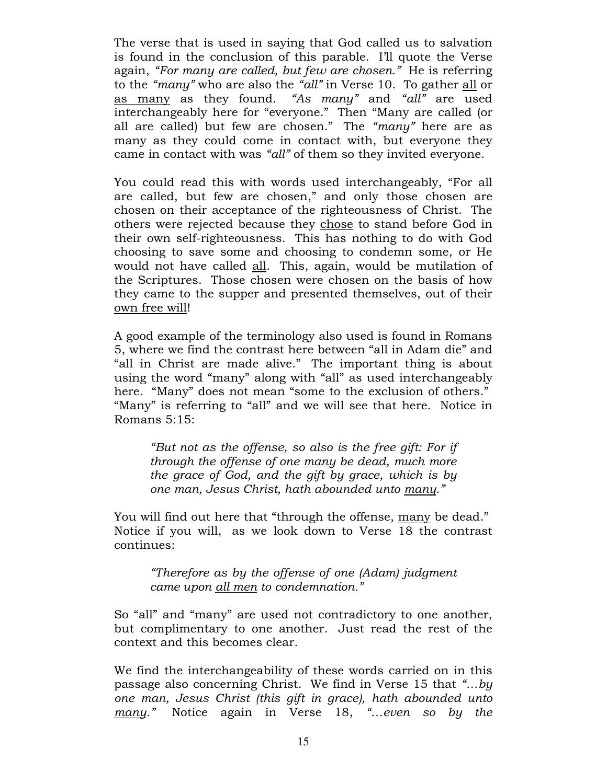The verse that is used in saying that God called us to salvation is found in the conclusion of this parable. I'll quote the Verse again, "For many are called, but few are chosen." He is referring to the "many" who are also the "all" in Verse 10. To gather all or as many as they found. "As many" and "all" are used interchangeably here for "everyone." Then "Many are called (or all are called) but few are chosen." The "many" here are as many as they could come in contact with, but everyone they came in contact with was "all" of them so they invited everyone.

You could read this with words used interchangeably, "For all are called, but few are chosen," and only those chosen are chosen on their acceptance of the righteousness of Christ. The others were rejected because they chose to stand before God in their own self-righteousness. This has nothing to do with God choosing to save some and choosing to condemn some, or He would not have called all. This, again, would be mutilation of the Scriptures. Those chosen were chosen on the basis of how they came to the supper and presented themselves, out of their own free will!

A good example of the terminology also used is found in Romans 5, where we find the contrast here between "all in Adam die" and "all in Christ are made alive." The important thing is about using the word "many" along with "all" as used interchangeably here. "Many" does not mean "some to the exclusion of others." "Many" is referring to "all" and we will see that here. Notice in Romans 5:15:

"But not as the offense, so also is the free gift: For if through the offense of one many be dead, much more the grace of God, and the gift by grace, which is by one man, Jesus Christ, hath abounded unto many."

You will find out here that "through the offense, many be dead." Notice if you will, as we look down to Verse 18 the contrast continues:

"Therefore as by the offense of one (Adam) judgment came upon all men to condemnation."

So "all" and "many" are used not contradictory to one another, but complimentary to one another. Just read the rest of the context and this becomes clear.

We find the interchangeability of these words carried on in this passage also concerning Christ. We find in Verse 15 that "...by one man, Jesus Christ (this gift in grace), hath abounded unto many." Notice again in Verse 18, "...even so by the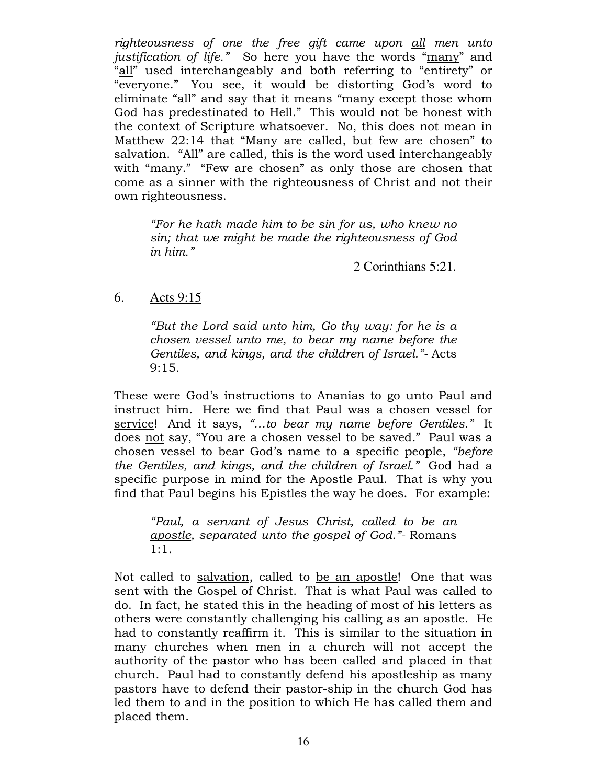righteousness of one the free gift came upon all men unto justification of life." So here you have the words "many" and "all" used interchangeably and both referring to "entirety" or "everyone." You see, it would be distorting God's word to eliminate "all" and say that it means "many except those whom God has predestinated to Hell." This would not be honest with the context of Scripture whatsoever. No, this does not mean in Matthew 22:14 that "Many are called, but few are chosen" to salvation. "All" are called, this is the word used interchangeably with "many." "Few are chosen" as only those are chosen that come as a sinner with the righteousness of Christ and not their own righteousness.

"For he hath made him to be sin for us, who knew no sin; that we might be made the righteousness of God in him."

2 Corinthians 5:21*.* 

### 6. Acts 9:15

"But the Lord said unto him, Go thy way: for he is a chosen vessel unto me, to bear my name before the Gentiles, and kings, and the children of Israel."- Acts 9:15.

These were God's instructions to Ananias to go unto Paul and instruct him. Here we find that Paul was a chosen vessel for service! And it says, "...to bear my name before Gentiles." It does not say, "You are a chosen vessel to be saved." Paul was a chosen vessel to bear God's name to a specific people, "before the Gentiles, and kings, and the children of Israel." God had a specific purpose in mind for the Apostle Paul. That is why you find that Paul begins his Epistles the way he does. For example:

"Paul, a servant of Jesus Christ, called to be an apostle, separated unto the gospel of God."- Romans 1:1.

Not called to salvation, called to be an apostle! One that was sent with the Gospel of Christ. That is what Paul was called to do. In fact, he stated this in the heading of most of his letters as others were constantly challenging his calling as an apostle. He had to constantly reaffirm it. This is similar to the situation in many churches when men in a church will not accept the authority of the pastor who has been called and placed in that church. Paul had to constantly defend his apostleship as many pastors have to defend their pastor-ship in the church God has led them to and in the position to which He has called them and placed them.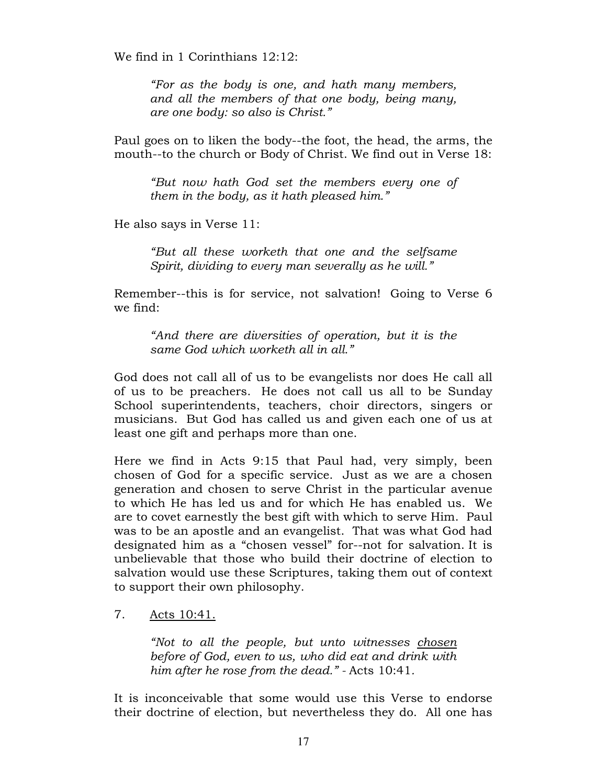We find in 1 Corinthians 12:12:

"For as the body is one, and hath many members, and all the members of that one body, being many, are one body: so also is Christ."

Paul goes on to liken the body--the foot, the head, the arms, the mouth--to the church or Body of Christ. We find out in Verse 18:

"But now hath God set the members every one of them in the body, as it hath pleased him."

He also says in Verse 11:

"But all these worketh that one and the selfsame Spirit, dividing to every man severally as he will."

Remember--this is for service, not salvation! Going to Verse 6 we find:

"And there are diversities of operation, but it is the same God which worketh all in all."

God does not call all of us to be evangelists nor does He call all of us to be preachers. He does not call us all to be Sunday School superintendents, teachers, choir directors, singers or musicians. But God has called us and given each one of us at least one gift and perhaps more than one.

Here we find in Acts 9:15 that Paul had, very simply, been chosen of God for a specific service. Just as we are a chosen generation and chosen to serve Christ in the particular avenue to which He has led us and for which He has enabled us. We are to covet earnestly the best gift with which to serve Him. Paul was to be an apostle and an evangelist. That was what God had designated him as a "chosen vessel" for--not for salvation. It is unbelievable that those who build their doctrine of election to salvation would use these Scriptures, taking them out of context to support their own philosophy.

### 7. Acts 10:41.

"Not to all the people, but unto witnesses chosen before of God, even to us, who did eat and drink with him after he rose from the dead." - Acts 10:41.

It is inconceivable that some would use this Verse to endorse their doctrine of election, but nevertheless they do. All one has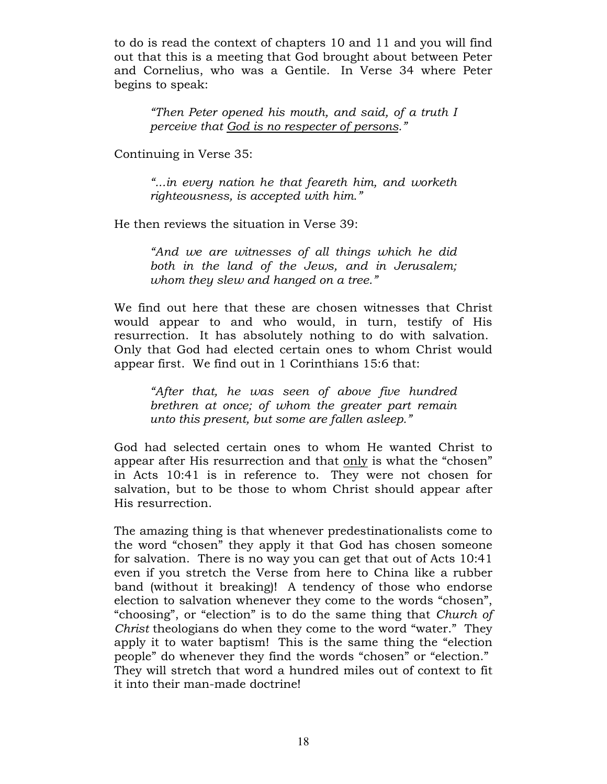to do is read the context of chapters 10 and 11 and you will find out that this is a meeting that God brought about between Peter and Cornelius, who was a Gentile. In Verse 34 where Peter begins to speak:

"Then Peter opened his mouth, and said, of a truth I perceive that God is no respecter of persons."

Continuing in Verse 35:

"...in every nation he that feareth him, and worketh righteousness, is accepted with him."

He then reviews the situation in Verse 39:

"And we are witnesses of all things which he did both in the land of the Jews, and in Jerusalem; whom they slew and hanged on a tree."

We find out here that these are chosen witnesses that Christ would appear to and who would, in turn, testify of His resurrection. It has absolutely nothing to do with salvation. Only that God had elected certain ones to whom Christ would appear first. We find out in 1 Corinthians 15:6 that:

"After that, he was seen of above five hundred brethren at once; of whom the greater part remain unto this present, but some are fallen asleep."

God had selected certain ones to whom He wanted Christ to appear after His resurrection and that only is what the "chosen" in Acts 10:41 is in reference to. They were not chosen for salvation, but to be those to whom Christ should appear after His resurrection.

The amazing thing is that whenever predestinationalists come to the word "chosen" they apply it that God has chosen someone for salvation. There is no way you can get that out of Acts 10:41 even if you stretch the Verse from here to China like a rubber band (without it breaking)! A tendency of those who endorse election to salvation whenever they come to the words "chosen", "choosing", or "election" is to do the same thing that Church of Christ theologians do when they come to the word "water." They apply it to water baptism! This is the same thing the "election people" do whenever they find the words "chosen" or "election." They will stretch that word a hundred miles out of context to fit it into their man-made doctrine!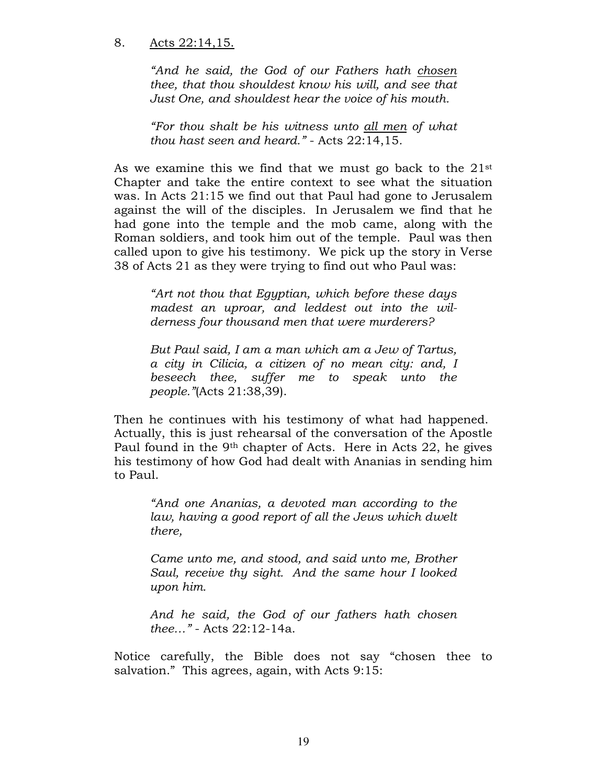### 8. Acts 22:14,15.

"And he said, the God of our Fathers hath chosen thee, that thou shouldest know his will, and see that Just One, and shouldest hear the voice of his mouth.

"For thou shalt be his witness unto all men of what thou hast seen and heard." - Acts 22:14,15.

As we examine this we find that we must go back to the 21st Chapter and take the entire context to see what the situation was. In Acts 21:15 we find out that Paul had gone to Jerusalem against the will of the disciples. In Jerusalem we find that he had gone into the temple and the mob came, along with the Roman soldiers, and took him out of the temple. Paul was then called upon to give his testimony. We pick up the story in Verse 38 of Acts 21 as they were trying to find out who Paul was:

"Art not thou that Egyptian, which before these days madest an uproar, and leddest out into the wilderness four thousand men that were murderers?

But Paul said, I am a man which am a Jew of Tartus, a city in Cilicia, a citizen of no mean city: and, I beseech thee, suffer me to speak unto the people."(Acts 21:38,39).

Then he continues with his testimony of what had happened. Actually, this is just rehearsal of the conversation of the Apostle Paul found in the 9th chapter of Acts. Here in Acts 22, he gives his testimony of how God had dealt with Ananias in sending him to Paul.

"And one Ananias, a devoted man according to the law, having a good report of all the Jews which dwelt there,

Came unto me, and stood, and said unto me, Brother Saul, receive thy sight. And the same hour I looked upon him.

And he said, the God of our fathers hath chosen thee…" - Acts 22:12-14a.

Notice carefully, the Bible does not say "chosen thee to salvation." This agrees, again, with Acts 9:15: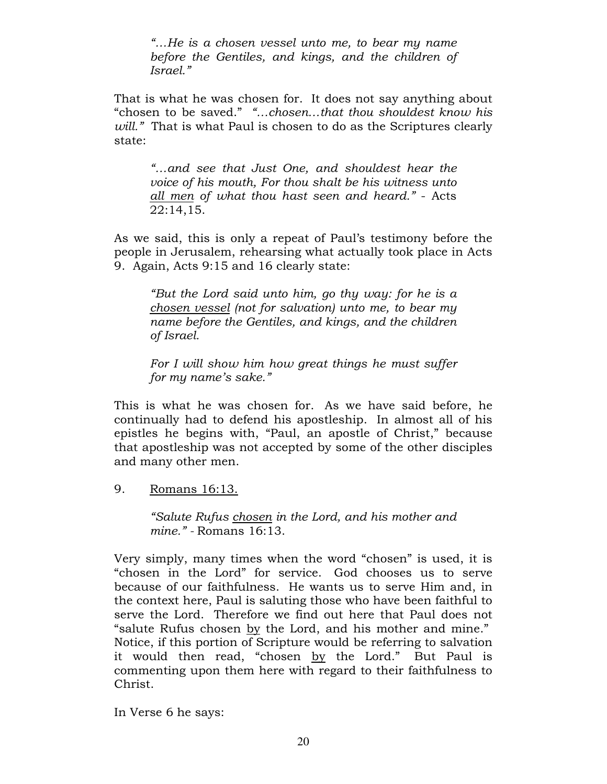"…He is a chosen vessel unto me, to bear my name before the Gentiles, and kings, and the children of Israel."

That is what he was chosen for. It does not say anything about "chosen to be saved." "…chosen…that thou shouldest know his will." That is what Paul is chosen to do as the Scriptures clearly state:

"…and see that Just One, and shouldest hear the voice of his mouth, For thou shalt be his witness unto all men of what thou hast seen and heard." - Acts 22:14,15.

As we said, this is only a repeat of Paul's testimony before the people in Jerusalem, rehearsing what actually took place in Acts 9. Again, Acts 9:15 and 16 clearly state:

"But the Lord said unto him, go thy way: for he is a chosen vessel (not for salvation) unto me, to bear my name before the Gentiles, and kings, and the children of Israel.

For I will show him how great things he must suffer for my name's sake."

This is what he was chosen for. As we have said before, he continually had to defend his apostleship. In almost all of his epistles he begins with, "Paul, an apostle of Christ," because that apostleship was not accepted by some of the other disciples and many other men.

9. Romans 16:13.

"Salute Rufus chosen in the Lord, and his mother and mine." - Romans 16:13.

Very simply, many times when the word "chosen" is used, it is "chosen in the Lord" for service. God chooses us to serve because of our faithfulness. He wants us to serve Him and, in the context here, Paul is saluting those who have been faithful to serve the Lord. Therefore we find out here that Paul does not "salute Rufus chosen by the Lord, and his mother and mine." Notice, if this portion of Scripture would be referring to salvation it would then read, "chosen by the Lord." But Paul is commenting upon them here with regard to their faithfulness to Christ.

In Verse 6 he says: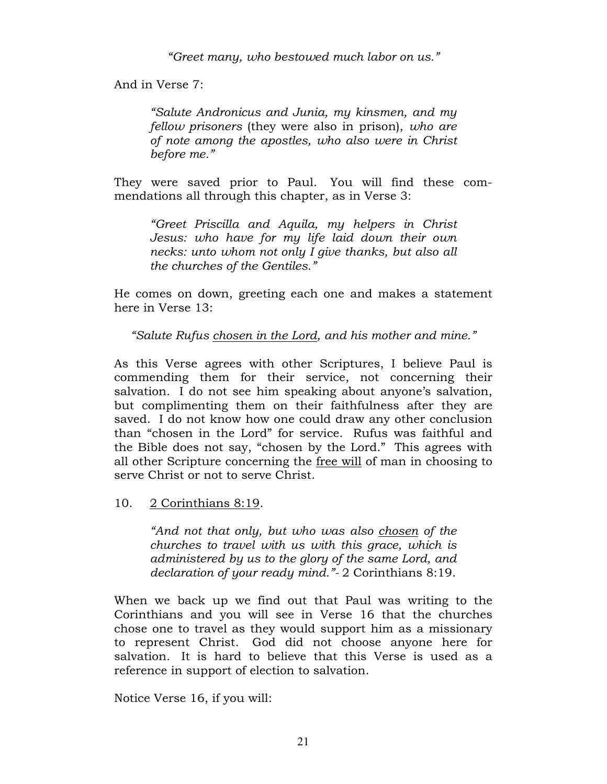"Greet many, who bestowed much labor on us."

And in Verse 7:

"Salute Andronicus and Junia, my kinsmen, and my fellow prisoners (they were also in prison), who are of note among the apostles, who also were in Christ before me."

They were saved prior to Paul. You will find these commendations all through this chapter, as in Verse 3:

"Greet Priscilla and Aquila, my helpers in Christ Jesus: who have for my life laid down their own necks: unto whom not only I give thanks, but also all the churches of the Gentiles."

He comes on down, greeting each one and makes a statement here in Verse 13:

"Salute Rufus chosen in the Lord, and his mother and mine."

As this Verse agrees with other Scriptures, I believe Paul is commending them for their service, not concerning their salvation. I do not see him speaking about anyone's salvation, but complimenting them on their faithfulness after they are saved. I do not know how one could draw any other conclusion than "chosen in the Lord" for service. Rufus was faithful and the Bible does not say, "chosen by the Lord." This agrees with all other Scripture concerning the free will of man in choosing to serve Christ or not to serve Christ.

10. 2 Corinthians 8:19.

"And not that only, but who was also chosen of the churches to travel with us with this grace, which is administered by us to the glory of the same Lord, and declaration of your ready mind."- 2 Corinthians 8:19.

When we back up we find out that Paul was writing to the Corinthians and you will see in Verse 16 that the churches chose one to travel as they would support him as a missionary to represent Christ. God did not choose anyone here for salvation. It is hard to believe that this Verse is used as a reference in support of election to salvation.

Notice Verse 16, if you will: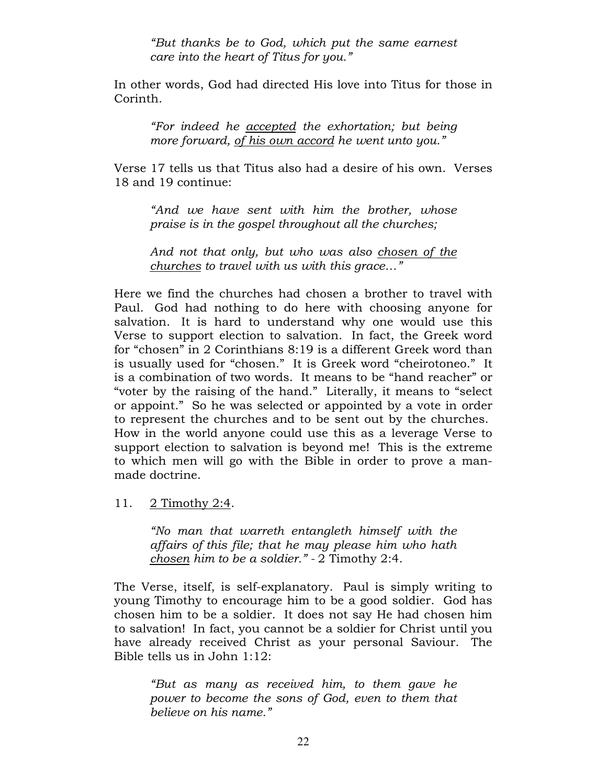"But thanks be to God, which put the same earnest care into the heart of Titus for you."

In other words, God had directed His love into Titus for those in Corinth.

"For indeed he accepted the exhortation; but being more forward, of his own accord he went unto you."

Verse 17 tells us that Titus also had a desire of his own. Verses 18 and 19 continue:

"And we have sent with him the brother, whose praise is in the gospel throughout all the churches;

And not that only, but who was also chosen of the churches to travel with us with this grace…"

Here we find the churches had chosen a brother to travel with Paul. God had nothing to do here with choosing anyone for salvation. It is hard to understand why one would use this Verse to support election to salvation. In fact, the Greek word for "chosen" in 2 Corinthians 8:19 is a different Greek word than is usually used for "chosen." It is Greek word "cheirotoneo." It is a combination of two words. It means to be "hand reacher" or "voter by the raising of the hand." Literally, it means to "select or appoint." So he was selected or appointed by a vote in order to represent the churches and to be sent out by the churches. How in the world anyone could use this as a leverage Verse to support election to salvation is beyond me! This is the extreme to which men will go with the Bible in order to prove a manmade doctrine.

11. 2 Timothy 2:4.

"No man that warreth entangleth himself with the affairs of this file; that he may please him who hath chosen him to be a soldier." - 2 Timothy 2:4.

The Verse, itself, is self-explanatory. Paul is simply writing to young Timothy to encourage him to be a good soldier. God has chosen him to be a soldier. It does not say He had chosen him to salvation! In fact, you cannot be a soldier for Christ until you have already received Christ as your personal Saviour. The Bible tells us in John 1:12:

"But as many as received him, to them gave he power to become the sons of God, even to them that believe on his name."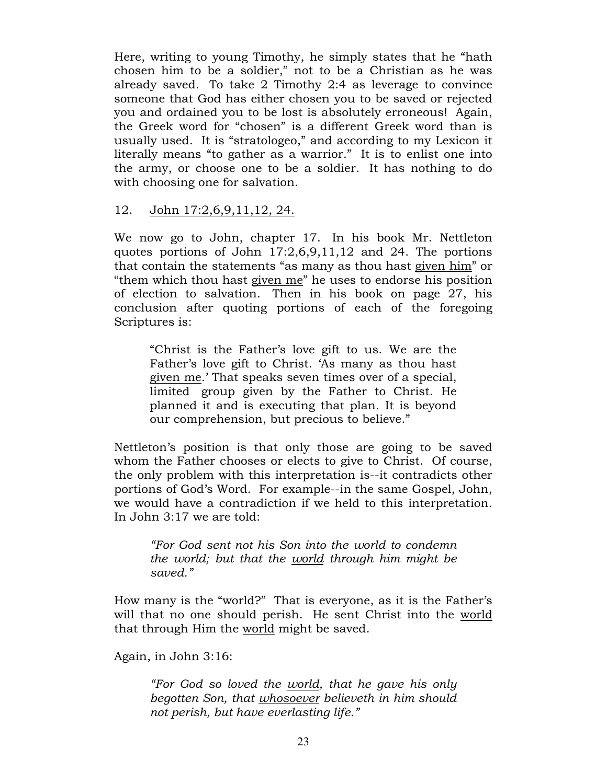Here, writing to young Timothy, he simply states that he "hath chosen him to be a soldier," not to be a Christian as he was already saved. To take 2 Timothy 2:4 as leverage to convince someone that God has either chosen you to be saved or rejected you and ordained you to be lost is absolutely erroneous! Again, the Greek word for "chosen" is a different Greek word than is usually used. It is "stratologeo," and according to my Lexicon it literally means "to gather as a warrior." It is to enlist one into the army, or choose one to be a soldier. It has nothing to do with choosing one for salvation.

### 12. John 17:2,6,9,11,12, 24.

We now go to John, chapter 17. In his book Mr. Nettleton quotes portions of John 17:2,6,9,11,12 and 24. The portions that contain the statements "as many as thou hast given him" or "them which thou hast given me" he uses to endorse his position of election to salvation. Then in his book on page 27, his conclusion after quoting portions of each of the foregoing Scriptures is:

"Christ is the Father's love gift to us. We are the Father's love gift to Christ. 'As many as thou hast given me.' That speaks seven times over of a special, limited group given by the Father to Christ. He planned it and is executing that plan. It is beyond our comprehension, but precious to believe."

Nettleton's position is that only those are going to be saved whom the Father chooses or elects to give to Christ. Of course, the only problem with this interpretation is--it contradicts other portions of God's Word. For example--in the same Gospel, John, we would have a contradiction if we held to this interpretation. In John 3:17 we are told:

"For God sent not his Son into the world to condemn the world; but that the world through him might be saved."

How many is the "world?" That is everyone, as it is the Father's will that no one should perish. He sent Christ into the world that through Him the world might be saved.

Again, in John 3:16:

"For God so loved the world, that he gave his only begotten Son, that whosoever believeth in him should not perish, but have everlasting life."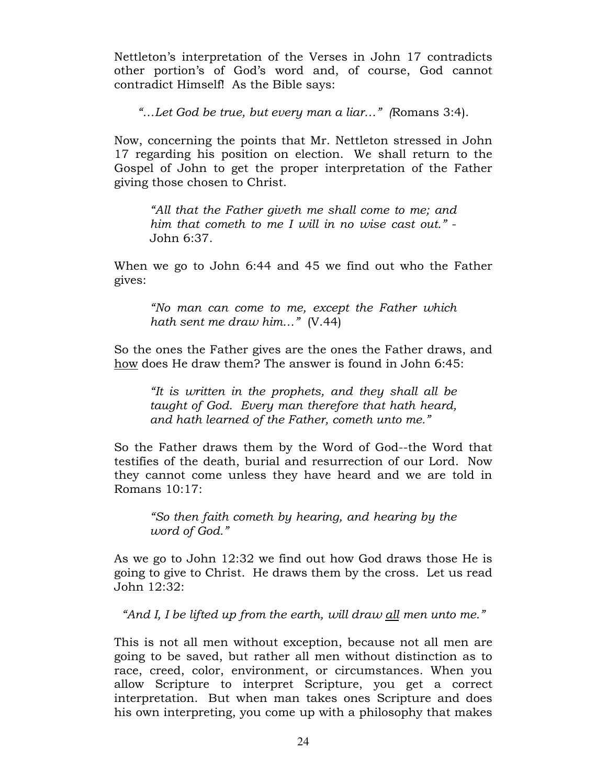Nettleton's interpretation of the Verses in John 17 contradicts other portion's of God's word and, of course, God cannot contradict Himself! As the Bible says:

"…Let God be true, but every man a liar…" (Romans 3:4).

Now, concerning the points that Mr. Nettleton stressed in John 17 regarding his position on election. We shall return to the Gospel of John to get the proper interpretation of the Father giving those chosen to Christ.

"All that the Father giveth me shall come to me; and him that cometh to me I will in no wise cast out." - John 6:37.

When we go to John 6:44 and 45 we find out who the Father gives:

"No man can come to me, except the Father which hath sent me draw him..." (V.44)

So the ones the Father gives are the ones the Father draws, and how does He draw them? The answer is found in John 6:45:

"It is written in the prophets, and they shall all be taught of God. Every man therefore that hath heard, and hath learned of the Father, cometh unto me."

So the Father draws them by the Word of God--the Word that testifies of the death, burial and resurrection of our Lord. Now they cannot come unless they have heard and we are told in Romans 10:17:

"So then faith cometh by hearing, and hearing by the word of God."

As we go to John 12:32 we find out how God draws those He is going to give to Christ. He draws them by the cross. Let us read John 12:32:

"And I, I be lifted up from the earth, will draw all men unto me."

This is not all men without exception, because not all men are going to be saved, but rather all men without distinction as to race, creed, color, environment, or circumstances. When you allow Scripture to interpret Scripture, you get a correct interpretation. But when man takes ones Scripture and does his own interpreting, you come up with a philosophy that makes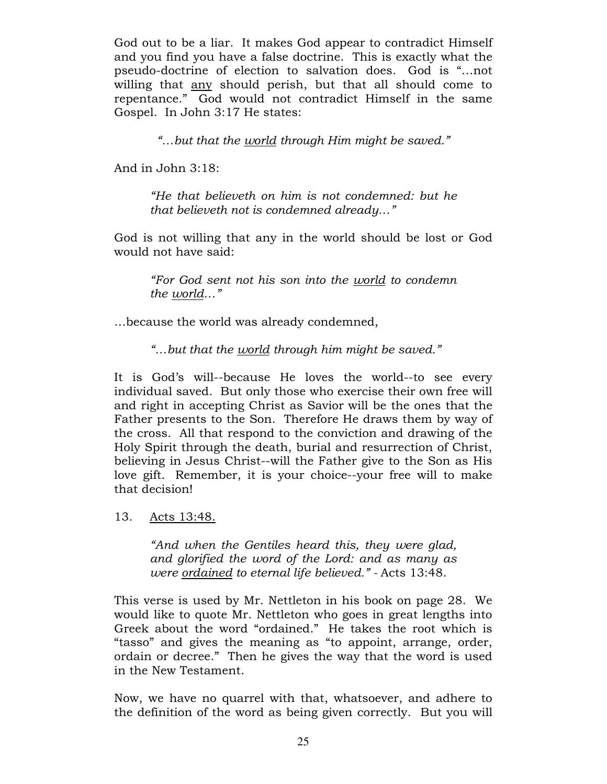God out to be a liar. It makes God appear to contradict Himself and you find you have a false doctrine. This is exactly what the pseudo-doctrine of election to salvation does. God is "…not willing that any should perish, but that all should come to repentance." God would not contradict Himself in the same Gospel. In John 3:17 He states:

"...but that the world through Him might be saved."

And in John 3:18:

"He that believeth on him is not condemned: but he that believeth not is condemned already…"

God is not willing that any in the world should be lost or God would not have said:

"For God sent not his son into the world to condemn the world…"

…because the world was already condemned,

"…but that the world through him might be saved."

It is God's will--because He loves the world--to see every individual saved. But only those who exercise their own free will and right in accepting Christ as Savior will be the ones that the Father presents to the Son. Therefore He draws them by way of the cross. All that respond to the conviction and drawing of the Holy Spirit through the death, burial and resurrection of Christ, believing in Jesus Christ--will the Father give to the Son as His love gift. Remember, it is your choice--your free will to make that decision!

13. Acts 13:48.

"And when the Gentiles heard this, they were glad, and glorified the word of the Lord: and as many as were ordained to eternal life believed." - Acts 13:48.

This verse is used by Mr. Nettleton in his book on page 28. We would like to quote Mr. Nettleton who goes in great lengths into Greek about the word "ordained." He takes the root which is "tasso" and gives the meaning as "to appoint, arrange, order, ordain or decree." Then he gives the way that the word is used in the New Testament.

Now, we have no quarrel with that, whatsoever, and adhere to the definition of the word as being given correctly. But you will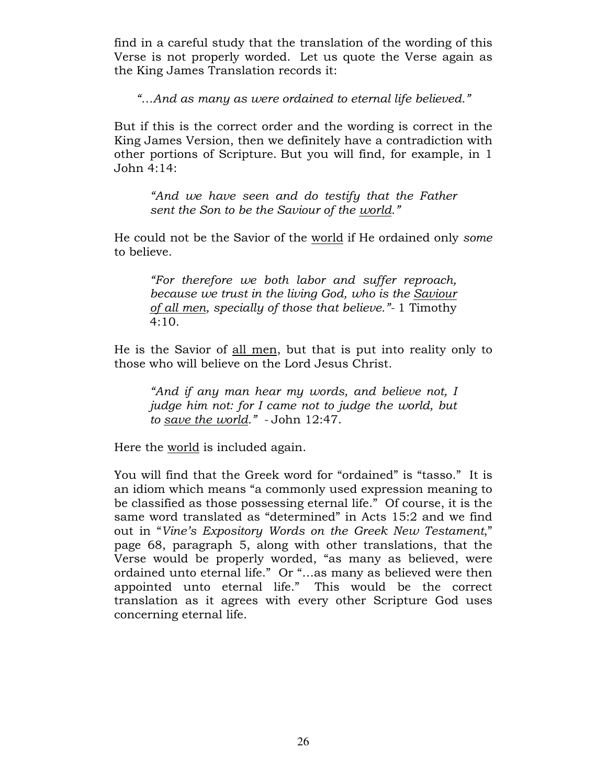find in a careful study that the translation of the wording of this Verse is not properly worded. Let us quote the Verse again as the King James Translation records it:

"…And as many as were ordained to eternal life believed."

But if this is the correct order and the wording is correct in the King James Version, then we definitely have a contradiction with other portions of Scripture. But you will find, for example, in 1 John 4:14:

"And we have seen and do testify that the Father sent the Son to be the Saviour of the world."

He could not be the Savior of the world if He ordained only some to believe.

"For therefore we both labor and suffer reproach, because we trust in the living God, who is the Saviour of all men, specially of those that believe."- 1 Timothy 4:10.

He is the Savior of all men, but that is put into reality only to those who will believe on the Lord Jesus Christ.

"And if any man hear my words, and believe not, I judge him not: for I came not to judge the world, but to save the world." - John 12:47.

Here the world is included again.

You will find that the Greek word for "ordained" is "tasso." It is an idiom which means "a commonly used expression meaning to be classified as those possessing eternal life." Of course, it is the same word translated as "determined" in Acts 15:2 and we find out in "Vine's Expository Words on the Greek New Testament," page 68, paragraph 5, along with other translations, that the Verse would be properly worded, "as many as believed, were ordained unto eternal life." Or "…as many as believed were then appointed unto eternal life." This would be the correct translation as it agrees with every other Scripture God uses concerning eternal life.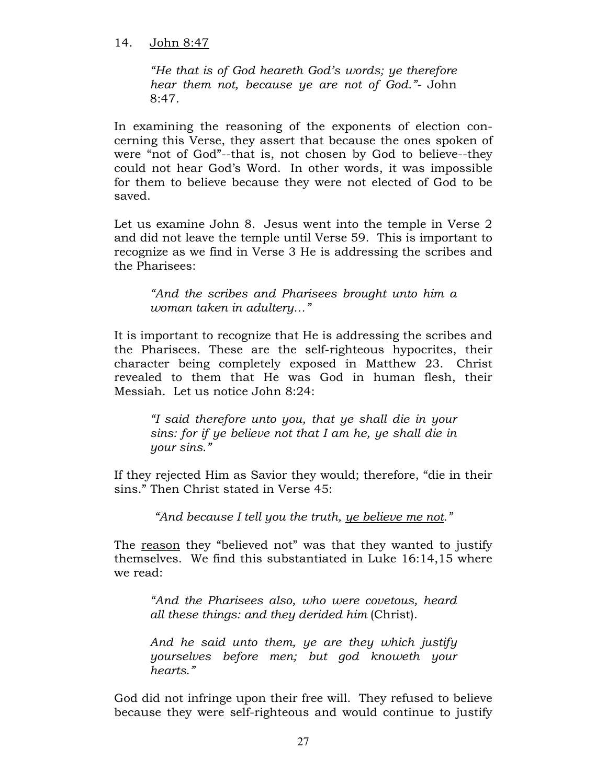#### 14. John 8:47

"He that is of God heareth God's words; ye therefore hear them not, because ye are not of God."- John 8:47.

In examining the reasoning of the exponents of election concerning this Verse, they assert that because the ones spoken of were "not of God"--that is, not chosen by God to believe--they could not hear God's Word. In other words, it was impossible for them to believe because they were not elected of God to be saved.

Let us examine John 8. Jesus went into the temple in Verse 2 and did not leave the temple until Verse 59. This is important to recognize as we find in Verse 3 He is addressing the scribes and the Pharisees:

"And the scribes and Pharisees brought unto him a woman taken in adultery…"

It is important to recognize that He is addressing the scribes and the Pharisees. These are the self-righteous hypocrites, their character being completely exposed in Matthew 23. Christ revealed to them that He was God in human flesh, their Messiah. Let us notice John 8:24:

"I said therefore unto you, that ye shall die in your sins: for if ye believe not that I am he, ye shall die in your sins."

If they rejected Him as Savior they would; therefore, "die in their sins." Then Christ stated in Verse 45:

"And because I tell you the truth, ye believe me not."

The reason they "believed not" was that they wanted to justify themselves. We find this substantiated in Luke 16:14,15 where we read:

"And the Pharisees also, who were covetous, heard all these things: and they derided him (Christ).

And he said unto them, ye are they which justify yourselves before men; but god knoweth your hearts."

God did not infringe upon their free will. They refused to believe because they were self-righteous and would continue to justify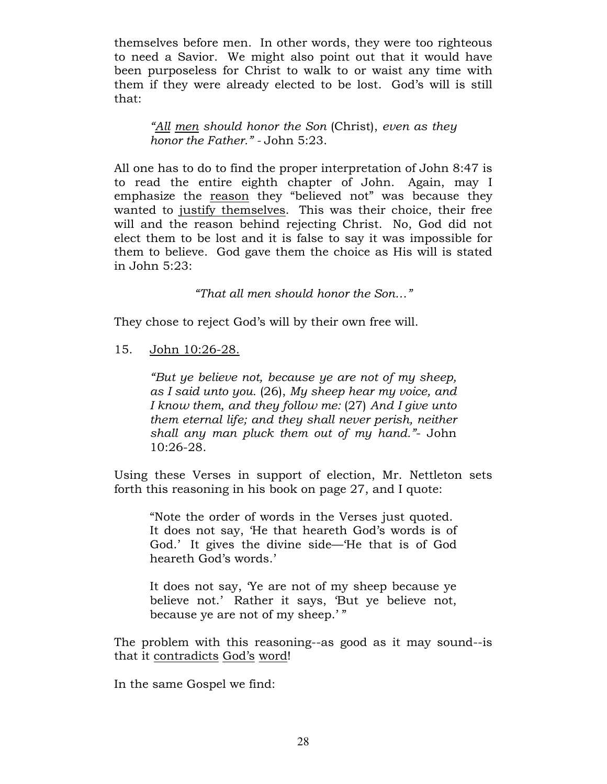themselves before men. In other words, they were too righteous to need a Savior. We might also point out that it would have been purposeless for Christ to walk to or waist any time with them if they were already elected to be lost. God's will is still that:

"All men should honor the Son (Christ), even as they honor the Father." - John 5:23.

All one has to do to find the proper interpretation of John 8:47 is to read the entire eighth chapter of John. Again, may I emphasize the reason they "believed not" was because they wanted to justify themselves. This was their choice, their free will and the reason behind rejecting Christ. No, God did not elect them to be lost and it is false to say it was impossible for them to believe. God gave them the choice as His will is stated in John 5:23:

"That all men should honor the Son…"

They chose to reject God's will by their own free will.

15. John 10:26-28.

"But ye believe not, because ye are not of my sheep, as I said unto you. (26), My sheep hear my voice, and I know them, and they follow me: (27) And I give unto them eternal life; and they shall never perish, neither shall any man pluck them out of my hand."- John 10:26-28.

Using these Verses in support of election, Mr. Nettleton sets forth this reasoning in his book on page 27, and I quote:

"Note the order of words in the Verses just quoted. It does not say, 'He that heareth God's words is of God.' It gives the divine side—'He that is of God heareth God's words.'

It does not say, 'Ye are not of my sheep because ye believe not.' Rather it says, 'But ye believe not, because ye are not of my sheep.' "

The problem with this reasoning--as good as it may sound--is that it contradicts God's word!

In the same Gospel we find: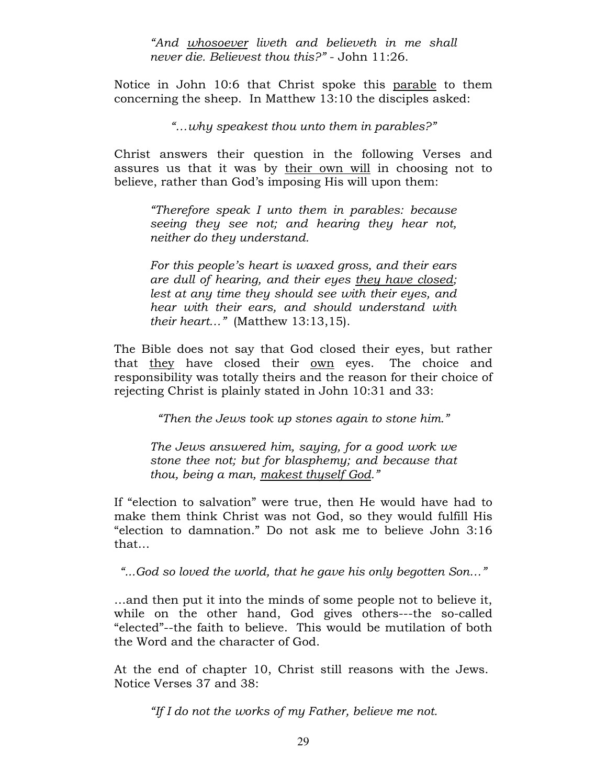"And whosoever liveth and believeth in me shall never die. Believest thou this?" - John 11:26.

Notice in John 10:6 that Christ spoke this parable to them concerning the sheep. In Matthew 13:10 the disciples asked:

"…why speakest thou unto them in parables?"

Christ answers their question in the following Verses and assures us that it was by their own will in choosing not to believe, rather than God's imposing His will upon them:

"Therefore speak I unto them in parables: because seeing they see not; and hearing they hear not, neither do they understand.

For this people's heart is waxed gross, and their ears are dull of hearing, and their eyes they have closed; lest at any time they should see with their eyes, and hear with their ears, and should understand with their heart…" (Matthew 13:13,15).

The Bible does not say that God closed their eyes, but rather that they have closed their own eyes. The choice and responsibility was totally theirs and the reason for their choice of rejecting Christ is plainly stated in John 10:31 and 33:

"Then the Jews took up stones again to stone him."

The Jews answered him, saying, for a good work we stone thee not; but for blasphemy; and because that thou, being a man, makest thyself God."

If "election to salvation" were true, then He would have had to make them think Christ was not God, so they would fulfill His "election to damnation." Do not ask me to believe John 3:16 that…

"...God so loved the world, that he gave his only begotten Son…"

…and then put it into the minds of some people not to believe it, while on the other hand, God gives others---the so-called "elected"--the faith to believe. This would be mutilation of both the Word and the character of God.

At the end of chapter 10, Christ still reasons with the Jews. Notice Verses 37 and 38:

"If I do not the works of my Father, believe me not.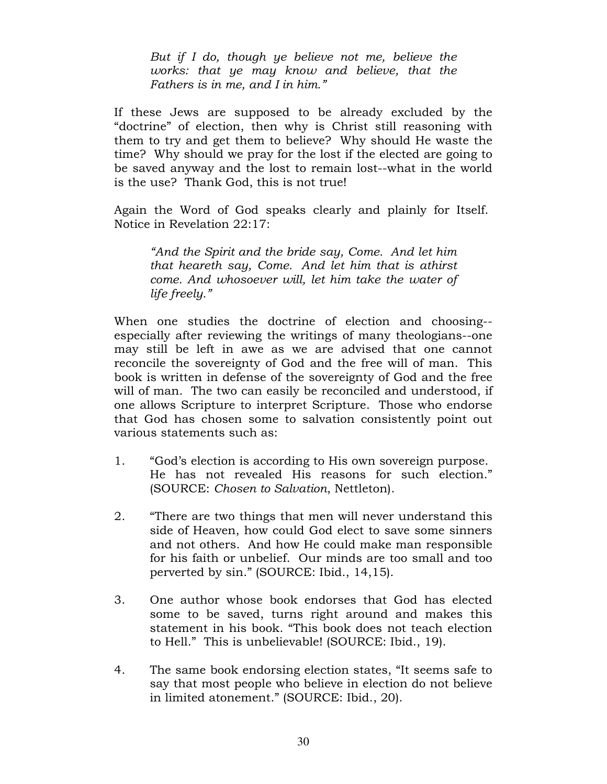But if I do, though ye believe not me, believe the works: that ye may know and believe, that the Fathers is in me, and I in him."

If these Jews are supposed to be already excluded by the "doctrine" of election, then why is Christ still reasoning with them to try and get them to believe? Why should He waste the time? Why should we pray for the lost if the elected are going to be saved anyway and the lost to remain lost--what in the world is the use? Thank God, this is not true!

Again the Word of God speaks clearly and plainly for Itself. Notice in Revelation 22:17:

"And the Spirit and the bride say, Come. And let him that heareth say, Come. And let him that is athirst come. And whosoever will, let him take the water of life freely."

When one studies the doctrine of election and choosing- especially after reviewing the writings of many theologians--one may still be left in awe as we are advised that one cannot reconcile the sovereignty of God and the free will of man. This book is written in defense of the sovereignty of God and the free will of man. The two can easily be reconciled and understood, if one allows Scripture to interpret Scripture. Those who endorse that God has chosen some to salvation consistently point out various statements such as:

- 1. "God's election is according to His own sovereign purpose. He has not revealed His reasons for such election." (SOURCE: Chosen to Salvation, Nettleton).
- 2. "There are two things that men will never understand this side of Heaven, how could God elect to save some sinners and not others. And how He could make man responsible for his faith or unbelief. Our minds are too small and too perverted by sin." (SOURCE: Ibid., 14,15).
- 3. One author whose book endorses that God has elected some to be saved, turns right around and makes this statement in his book. "This book does not teach election to Hell." This is unbelievable! (SOURCE: Ibid., 19).
- 4. The same book endorsing election states, "It seems safe to say that most people who believe in election do not believe in limited atonement." (SOURCE: Ibid., 20).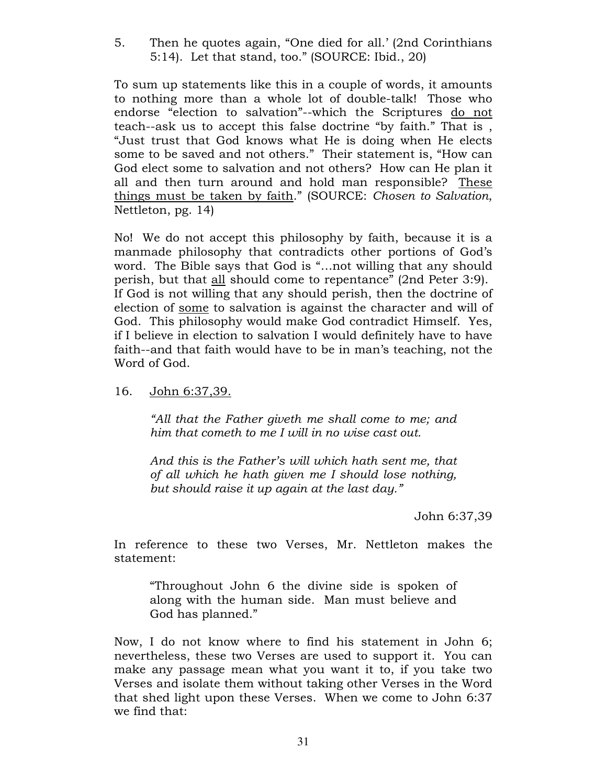5. Then he quotes again, "One died for all.' (2nd Corinthians 5:14). Let that stand, too." (SOURCE: Ibid., 20)

To sum up statements like this in a couple of words, it amounts to nothing more than a whole lot of double-talk! Those who endorse "election to salvation"--which the Scriptures do not teach--ask us to accept this false doctrine "by faith." That is , "Just trust that God knows what He is doing when He elects some to be saved and not others." Their statement is, "How can God elect some to salvation and not others? How can He plan it all and then turn around and hold man responsible? These things must be taken by faith." (SOURCE: Chosen to Salvation, Nettleton, pg. 14)

No! We do not accept this philosophy by faith, because it is a manmade philosophy that contradicts other portions of God's word. The Bible says that God is "…not willing that any should perish, but that all should come to repentance" (2nd Peter 3:9). If God is not willing that any should perish, then the doctrine of election of some to salvation is against the character and will of God. This philosophy would make God contradict Himself. Yes, if I believe in election to salvation I would definitely have to have faith--and that faith would have to be in man's teaching, not the Word of God.

### 16. John 6:37,39.

"All that the Father giveth me shall come to me; and him that cometh to me I will in no wise cast out.

And this is the Father's will which hath sent me, that of all which he hath given me I should lose nothing, but should raise it up again at the last day."

John 6:37,39

In reference to these two Verses, Mr. Nettleton makes the statement:

"Throughout John 6 the divine side is spoken of along with the human side. Man must believe and God has planned."

Now, I do not know where to find his statement in John 6; nevertheless, these two Verses are used to support it. You can make any passage mean what you want it to, if you take two Verses and isolate them without taking other Verses in the Word that shed light upon these Verses. When we come to John 6:37 we find that: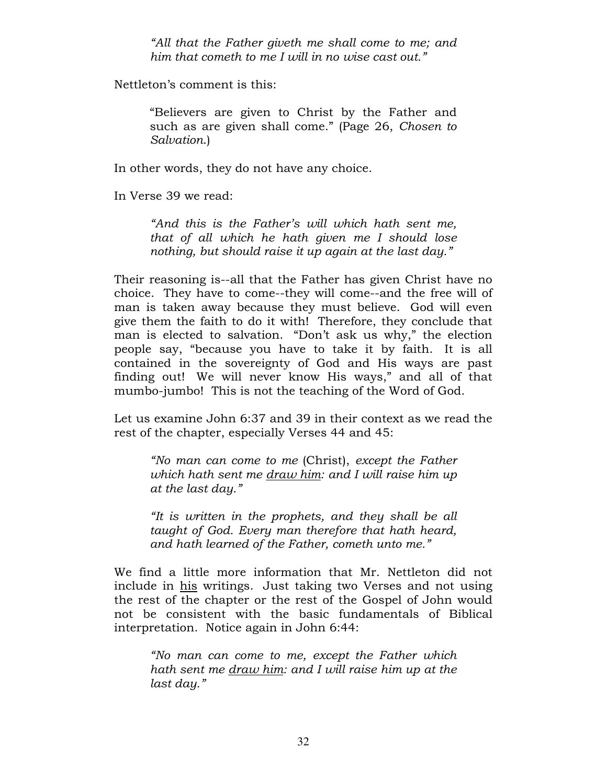"All that the Father giveth me shall come to me; and him that cometh to me I will in no wise cast out."

Nettleton's comment is this:

"Believers are given to Christ by the Father and such as are given shall come." (Page 26, Chosen to Salvation.)

In other words, they do not have any choice.

In Verse 39 we read:

"And this is the Father's will which hath sent me, that of all which he hath given me I should lose nothing, but should raise it up again at the last day."

Their reasoning is--all that the Father has given Christ have no choice. They have to come--they will come--and the free will of man is taken away because they must believe. God will even give them the faith to do it with! Therefore, they conclude that man is elected to salvation. "Don't ask us why," the election people say, "because you have to take it by faith. It is all contained in the sovereignty of God and His ways are past finding out! We will never know His ways," and all of that mumbo-jumbo! This is not the teaching of the Word of God.

Let us examine John 6:37 and 39 in their context as we read the rest of the chapter, especially Verses 44 and 45:

"No man can come to me (Christ), except the Father which hath sent me draw him: and I will raise him up at the last day."

"It is written in the prophets, and they shall be all taught of God. Every man therefore that hath heard, and hath learned of the Father, cometh unto me."

We find a little more information that Mr. Nettleton did not include in his writings. Just taking two Verses and not using the rest of the chapter or the rest of the Gospel of John would not be consistent with the basic fundamentals of Biblical interpretation. Notice again in John 6:44:

"No man can come to me, except the Father which hath sent me draw him: and I will raise him up at the last day."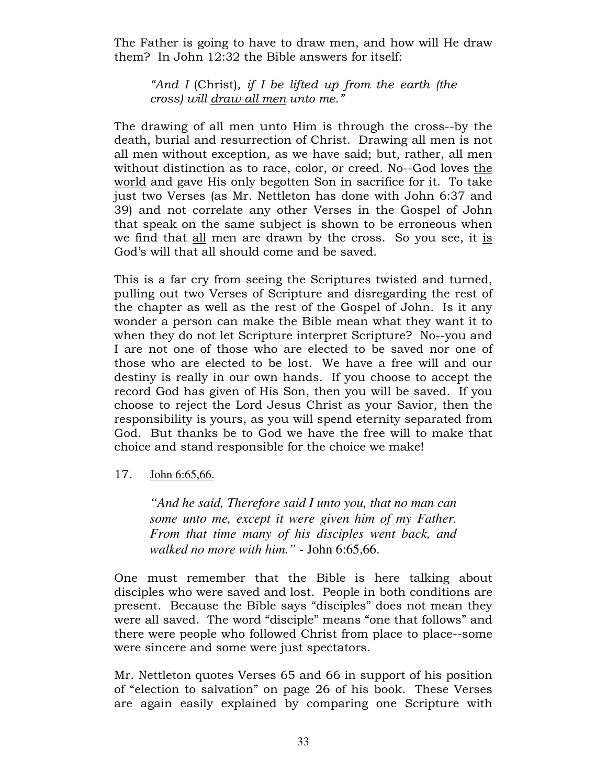The Father is going to have to draw men, and how will He draw them? In John 12:32 the Bible answers for itself:

"And I (Christ), if I be lifted up from the earth (the cross) will draw all men unto me."

The drawing of all men unto Him is through the cross--by the death, burial and resurrection of Christ. Drawing all men is not all men without exception, as we have said; but, rather, all men without distinction as to race, color, or creed. No--God loves the world and gave His only begotten Son in sacrifice for it. To take just two Verses (as Mr. Nettleton has done with John 6:37 and 39) and not correlate any other Verses in the Gospel of John that speak on the same subject is shown to be erroneous when we find that all men are drawn by the cross. So you see, it is God's will that all should come and be saved.

This is a far cry from seeing the Scriptures twisted and turned, pulling out two Verses of Scripture and disregarding the rest of the chapter as well as the rest of the Gospel of John. Is it any wonder a person can make the Bible mean what they want it to when they do not let Scripture interpret Scripture? No--you and I are not one of those who are elected to be saved nor one of those who are elected to be lost. We have a free will and our destiny is really in our own hands. If you choose to accept the record God has given of His Son, then you will be saved. If you choose to reject the Lord Jesus Christ as your Savior, then the responsibility is yours, as you will spend eternity separated from God. But thanks be to God we have the free will to make that choice and stand responsible for the choice we make!

#### 17. John 6:65,66.

*"And he said, Therefore said I unto you, that no man can some unto me, except it were given him of my Father. From that time many of his disciples went back, and walked no more with him." -* John 6:65,66.

One must remember that the Bible is here talking about disciples who were saved and lost. People in both conditions are present. Because the Bible says "disciples" does not mean they were all saved. The word "disciple" means "one that follows" and there were people who followed Christ from place to place--some were sincere and some were just spectators.

Mr. Nettleton quotes Verses 65 and 66 in support of his position of "election to salvation" on page 26 of his book. These Verses are again easily explained by comparing one Scripture with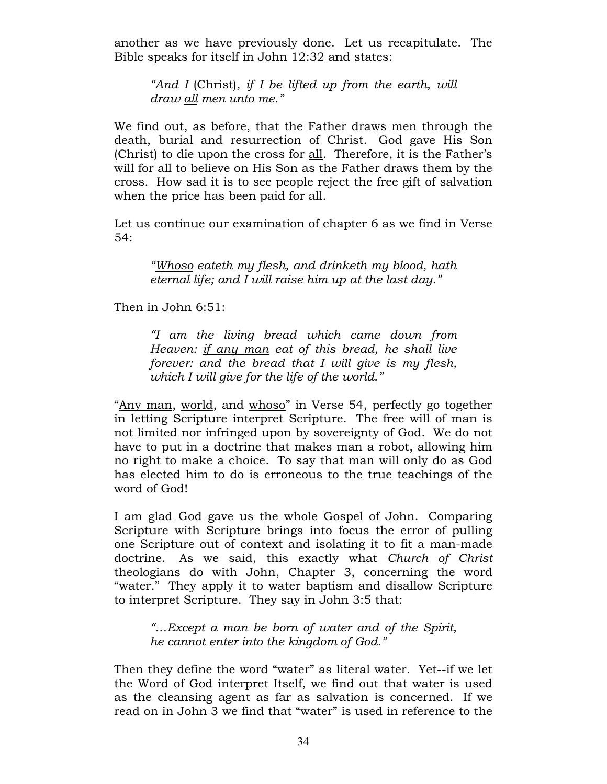another as we have previously done. Let us recapitulate. The Bible speaks for itself in John 12:32 and states:

"And I (Christ), if I be lifted up from the earth, will draw all men unto me."

We find out, as before, that the Father draws men through the death, burial and resurrection of Christ. God gave His Son (Christ) to die upon the cross for all. Therefore, it is the Father's will for all to believe on His Son as the Father draws them by the cross. How sad it is to see people reject the free gift of salvation when the price has been paid for all.

Let us continue our examination of chapter 6 as we find in Verse 54:

"Whoso eateth my flesh, and drinketh my blood, hath eternal life; and I will raise him up at the last day."

Then in John 6:51:

"I am the living bread which came down from Heaven: if any man eat of this bread, he shall live forever: and the bread that I will give is my flesh, which I will give for the life of the world."

"Any man, world, and whoso" in Verse 54, perfectly go together in letting Scripture interpret Scripture. The free will of man is not limited nor infringed upon by sovereignty of God. We do not have to put in a doctrine that makes man a robot, allowing him no right to make a choice. To say that man will only do as God has elected him to do is erroneous to the true teachings of the word of God!

I am glad God gave us the whole Gospel of John. Comparing Scripture with Scripture brings into focus the error of pulling one Scripture out of context and isolating it to fit a man-made doctrine. As we said, this exactly what Church of Christ theologians do with John, Chapter 3, concerning the word "water." They apply it to water baptism and disallow Scripture to interpret Scripture. They say in John 3:5 that:

"…Except a man be born of water and of the Spirit, he cannot enter into the kingdom of God."

Then they define the word "water" as literal water. Yet--if we let the Word of God interpret Itself, we find out that water is used as the cleansing agent as far as salvation is concerned. If we read on in John 3 we find that "water" is used in reference to the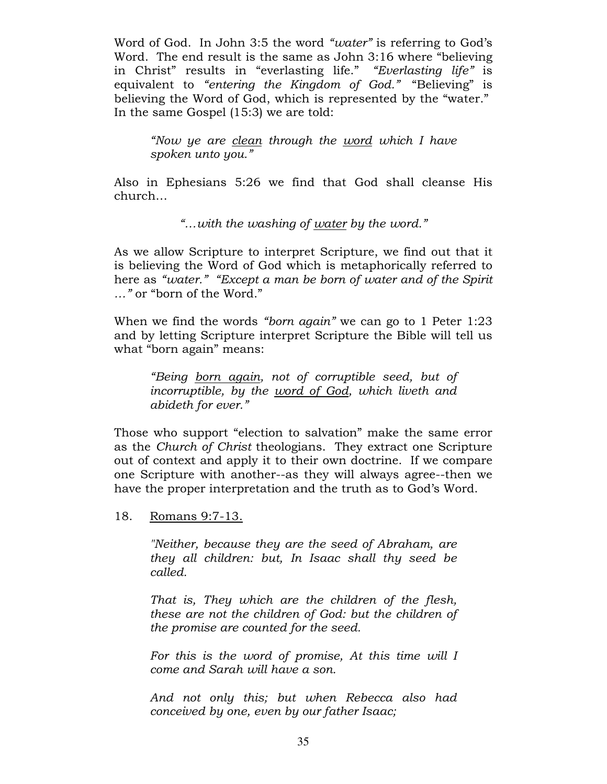Word of God. In John 3:5 the word "water" is referring to God's Word. The end result is the same as John 3:16 where "believing in Christ" results in "everlasting life." "Everlasting life" is equivalent to "entering the Kingdom of God." "Believing" is believing the Word of God, which is represented by the "water." In the same Gospel (15:3) we are told:

"Now ye are clean through the word which I have spoken unto you."

Also in Ephesians 5:26 we find that God shall cleanse His church…

"…with the washing of water by the word."

As we allow Scripture to interpret Scripture, we find out that it is believing the Word of God which is metaphorically referred to here as "water." "Except a man be born of water and of the Spirit …" or "born of the Word."

When we find the words "born again" we can go to 1 Peter 1:23 and by letting Scripture interpret Scripture the Bible will tell us what "born again" means:

"Being born again, not of corruptible seed, but of incorruptible, by the word of God, which liveth and abideth for ever."

Those who support "election to salvation" make the same error as the Church of Christ theologians. They extract one Scripture out of context and apply it to their own doctrine. If we compare one Scripture with another--as they will always agree--then we have the proper interpretation and the truth as to God's Word.

18. Romans 9:7-13.

"Neither, because they are the seed of Abraham, are they all children: but, In Isaac shall thy seed be called.

That is, They which are the children of the flesh, these are not the children of God: but the children of the promise are counted for the seed.

For this is the word of promise, At this time will I come and Sarah will have a son.

And not only this; but when Rebecca also had conceived by one, even by our father Isaac;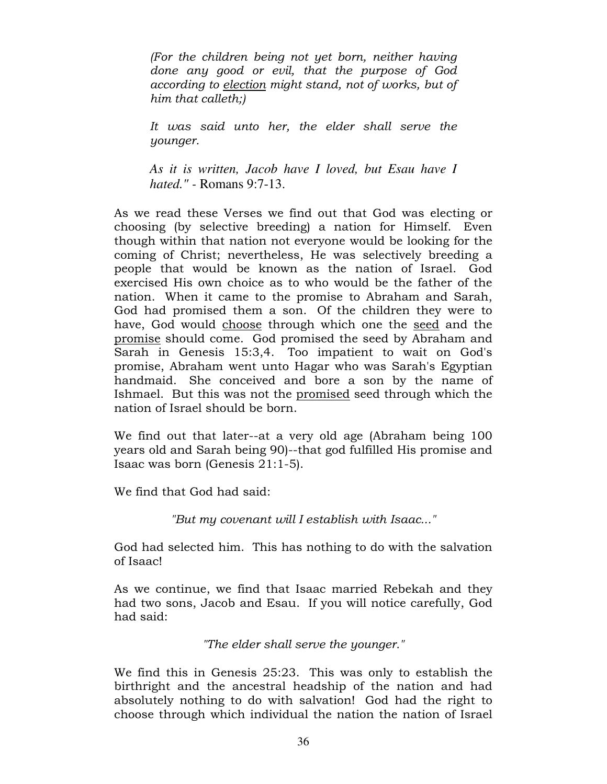(For the children being not yet born, neither having done any good or evil, that the purpose of God according to election might stand, not of works, but of him that calleth;)

It was said unto her, the elder shall serve the younger.

*As it is written, Jacob have I loved, but Esau have I hated." -* Romans 9:7-13.

As we read these Verses we find out that God was electing or choosing (by selective breeding) a nation for Himself. Even though within that nation not everyone would be looking for the coming of Christ; nevertheless, He was selectively breeding a people that would be known as the nation of Israel. God exercised His own choice as to who would be the father of the nation. When it came to the promise to Abraham and Sarah, God had promised them a son. Of the children they were to have, God would choose through which one the seed and the promise should come. God promised the seed by Abraham and Sarah in Genesis 15:3,4. Too impatient to wait on God's promise, Abraham went unto Hagar who was Sarah's Egyptian handmaid. She conceived and bore a son by the name of Ishmael. But this was not the promised seed through which the nation of Israel should be born.

We find out that later--at a very old age (Abraham being 100 years old and Sarah being 90)--that god fulfilled His promise and Isaac was born (Genesis 21:1-5).

We find that God had said:

"But my covenant will I establish with Isaac..."

God had selected him. This has nothing to do with the salvation of Isaac!

As we continue, we find that Isaac married Rebekah and they had two sons, Jacob and Esau. If you will notice carefully, God had said:

"The elder shall serve the younger."

We find this in Genesis 25:23. This was only to establish the birthright and the ancestral headship of the nation and had absolutely nothing to do with salvation! God had the right to choose through which individual the nation the nation of Israel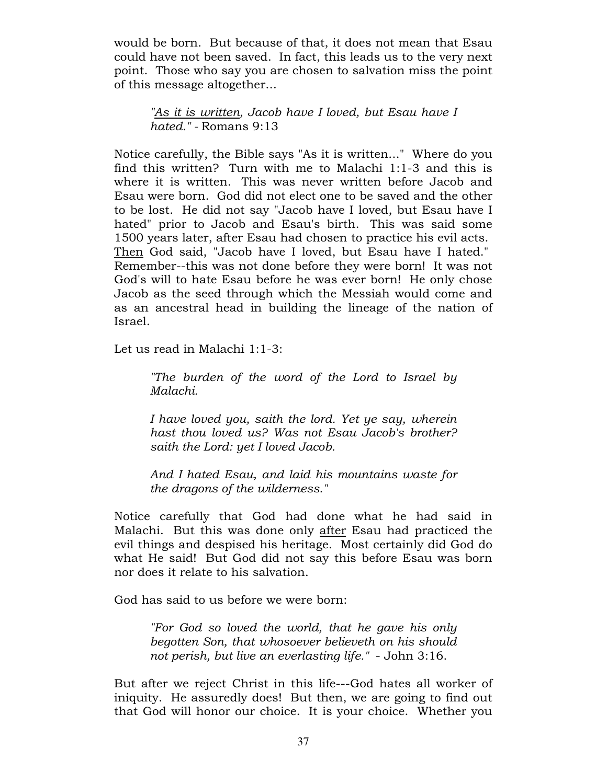would be born. But because of that, it does not mean that Esau could have not been saved. In fact, this leads us to the very next point. Those who say you are chosen to salvation miss the point of this message altogether...

"As it is written, Jacob have I loved, but Esau have I hated." - Romans 9:13

Notice carefully, the Bible says "As it is written..." Where do you find this written? Turn with me to Malachi 1:1-3 and this is where it is written. This was never written before Jacob and Esau were born. God did not elect one to be saved and the other to be lost. He did not say "Jacob have I loved, but Esau have I hated" prior to Jacob and Esau's birth. This was said some 1500 years later, after Esau had chosen to practice his evil acts. Then God said, "Jacob have I loved, but Esau have I hated." Remember--this was not done before they were born! It was not God's will to hate Esau before he was ever born! He only chose Jacob as the seed through which the Messiah would come and as an ancestral head in building the lineage of the nation of Israel.

Let us read in Malachi 1:1-3:

"The burden of the word of the Lord to Israel by Malachi.

I have loved you, saith the lord. Yet ye say, wherein hast thou loved us? Was not Esau Jacob's brother? saith the Lord: yet I loved Jacob.

And I hated Esau, and laid his mountains waste for the dragons of the wilderness."

Notice carefully that God had done what he had said in Malachi. But this was done only after Esau had practiced the evil things and despised his heritage. Most certainly did God do what He said! But God did not say this before Esau was born nor does it relate to his salvation.

God has said to us before we were born:

"For God so loved the world, that he gave his only begotten Son, that whosoever believeth on his should not perish, but live an everlasting life." - John 3:16.

But after we reject Christ in this life---God hates all worker of iniquity. He assuredly does! But then, we are going to find out that God will honor our choice. It is your choice. Whether you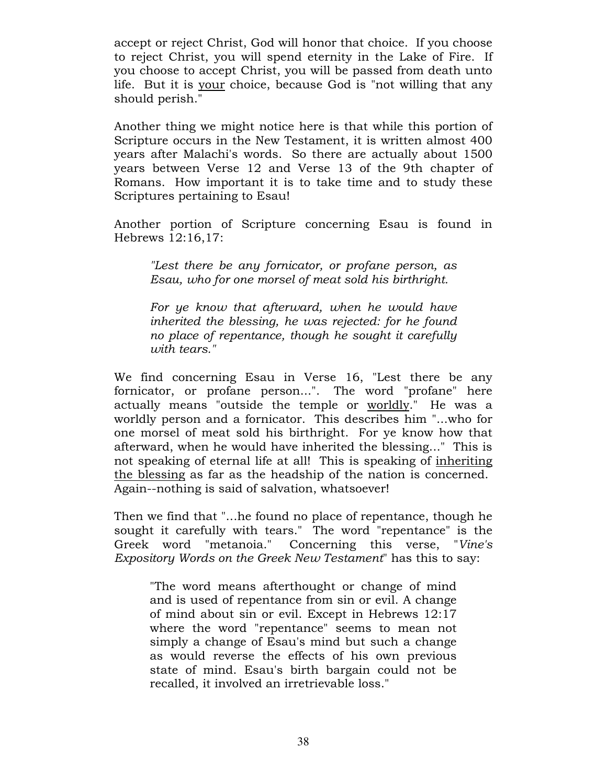accept or reject Christ, God will honor that choice. If you choose to reject Christ, you will spend eternity in the Lake of Fire. If you choose to accept Christ, you will be passed from death unto life. But it is your choice, because God is "not willing that any should perish."

Another thing we might notice here is that while this portion of Scripture occurs in the New Testament, it is written almost 400 years after Malachi's words. So there are actually about 1500 years between Verse 12 and Verse 13 of the 9th chapter of Romans. How important it is to take time and to study these Scriptures pertaining to Esau!

Another portion of Scripture concerning Esau is found in Hebrews 12:16,17:

"Lest there be any fornicator, or profane person, as Esau, who for one morsel of meat sold his birthright.

For ye know that afterward, when he would have inherited the blessing, he was rejected: for he found no place of repentance, though he sought it carefully with tears."

We find concerning Esau in Verse 16, "Lest there be any fornicator, or profane person...". The word "profane" here actually means "outside the temple or worldly." He was a worldly person and a fornicator. This describes him "...who for one morsel of meat sold his birthright. For ye know how that afterward, when he would have inherited the blessing..." This is not speaking of eternal life at all! This is speaking of inheriting the blessing as far as the headship of the nation is concerned. Again--nothing is said of salvation, whatsoever!

Then we find that "...he found no place of repentance, though he sought it carefully with tears." The word "repentance" is the Greek word "metanoia." Concerning this verse, "Vine's Expository Words on the Greek New Testament" has this to say:

"The word means afterthought or change of mind and is used of repentance from sin or evil. A change of mind about sin or evil. Except in Hebrews 12:17 where the word "repentance" seems to mean not simply a change of Esau's mind but such a change as would reverse the effects of his own previous state of mind. Esau's birth bargain could not be recalled, it involved an irretrievable loss."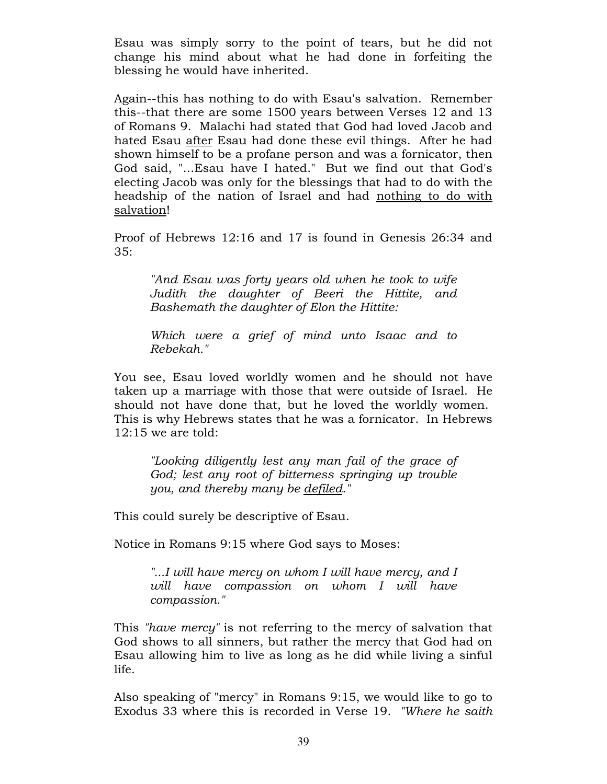Esau was simply sorry to the point of tears, but he did not change his mind about what he had done in forfeiting the blessing he would have inherited.

Again--this has nothing to do with Esau's salvation. Remember this--that there are some 1500 years between Verses 12 and 13 of Romans 9. Malachi had stated that God had loved Jacob and hated Esau after Esau had done these evil things. After he had shown himself to be a profane person and was a fornicator, then God said, "...Esau have I hated." But we find out that God's electing Jacob was only for the blessings that had to do with the headship of the nation of Israel and had nothing to do with salvation!

Proof of Hebrews 12:16 and 17 is found in Genesis 26:34 and 35:

"And Esau was forty years old when he took to wife Judith the daughter of Beeri the Hittite, and Bashemath the daughter of Elon the Hittite:

Which were a grief of mind unto Isaac and to Rebekah."

You see, Esau loved worldly women and he should not have taken up a marriage with those that were outside of Israel. He should not have done that, but he loved the worldly women. This is why Hebrews states that he was a fornicator. In Hebrews 12:15 we are told:

"Looking diligently lest any man fail of the grace of God; lest any root of bitterness springing up trouble you, and thereby many be defiled."

This could surely be descriptive of Esau.

Notice in Romans 9:15 where God says to Moses:

"...I will have mercy on whom I will have mercy, and I will have compassion on whom I will have compassion."

This "have mercy" is not referring to the mercy of salvation that God shows to all sinners, but rather the mercy that God had on Esau allowing him to live as long as he did while living a sinful life.

Also speaking of "mercy" in Romans 9:15, we would like to go to Exodus 33 where this is recorded in Verse 19. "Where he saith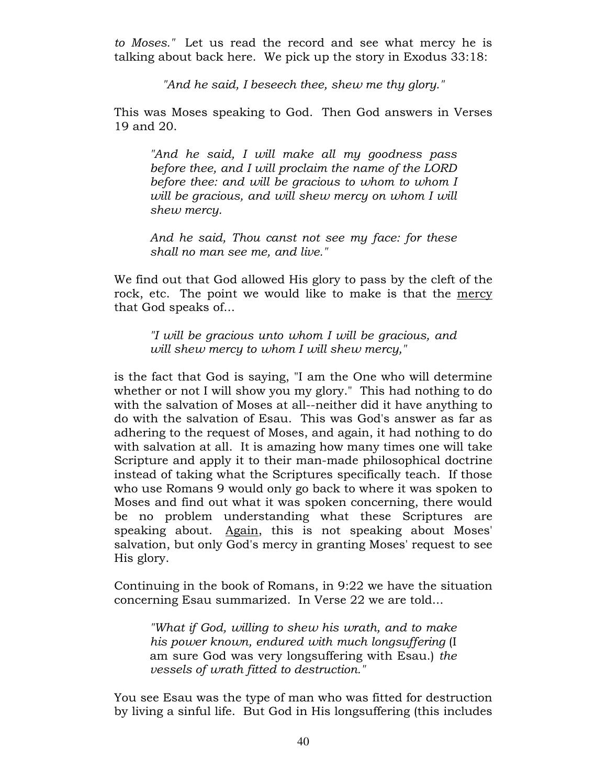to Moses." Let us read the record and see what mercy he is talking about back here. We pick up the story in Exodus 33:18:

"And he said, I beseech thee, shew me thy glory."

This was Moses speaking to God. Then God answers in Verses 19 and 20.

"And he said, I will make all my goodness pass before thee, and I will proclaim the name of the LORD before thee: and will be gracious to whom to whom I will be gracious, and will shew mercy on whom I will shew mercy.

And he said, Thou canst not see my face: for these shall no man see me, and live."

We find out that God allowed His glory to pass by the cleft of the rock, etc. The point we would like to make is that the mercy that God speaks of...

"I will be gracious unto whom I will be gracious, and will shew mercy to whom I will shew mercy,"

is the fact that God is saying, "I am the One who will determine whether or not I will show you my glory." This had nothing to do with the salvation of Moses at all--neither did it have anything to do with the salvation of Esau. This was God's answer as far as adhering to the request of Moses, and again, it had nothing to do with salvation at all. It is amazing how many times one will take Scripture and apply it to their man-made philosophical doctrine instead of taking what the Scriptures specifically teach. If those who use Romans 9 would only go back to where it was spoken to Moses and find out what it was spoken concerning, there would be no problem understanding what these Scriptures are speaking about. Again, this is not speaking about Moses' salvation, but only God's mercy in granting Moses' request to see His glory.

Continuing in the book of Romans, in 9:22 we have the situation concerning Esau summarized. In Verse 22 we are told...

"What if God, willing to shew his wrath, and to make his power known, endured with much longsuffering (I am sure God was very longsuffering with Esau.) the vessels of wrath fitted to destruction."

You see Esau was the type of man who was fitted for destruction by living a sinful life. But God in His longsuffering (this includes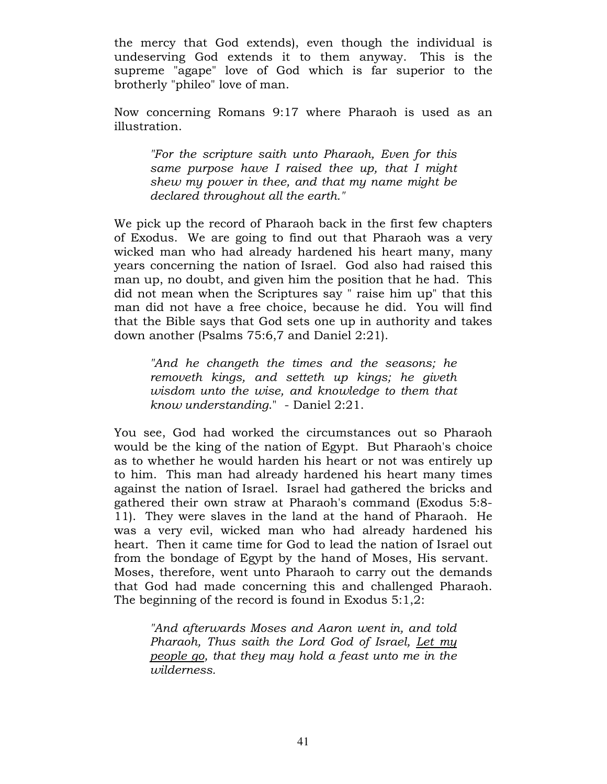the mercy that God extends), even though the individual is undeserving God extends it to them anyway. This is the supreme "agape" love of God which is far superior to the brotherly "phileo" love of man.

Now concerning Romans 9:17 where Pharaoh is used as an illustration.

"For the scripture saith unto Pharaoh, Even for this same purpose have I raised thee up, that I might shew my power in thee, and that my name might be declared throughout all the earth."

We pick up the record of Pharaoh back in the first few chapters of Exodus. We are going to find out that Pharaoh was a very wicked man who had already hardened his heart many, many years concerning the nation of Israel. God also had raised this man up, no doubt, and given him the position that he had. This did not mean when the Scriptures say " raise him up" that this man did not have a free choice, because he did. You will find that the Bible says that God sets one up in authority and takes down another (Psalms 75:6,7 and Daniel 2:21).

"And he changeth the times and the seasons; he removeth kings, and setteth up kings; he giveth wisdom unto the wise, and knowledge to them that know understanding." - Daniel 2:21.

You see, God had worked the circumstances out so Pharaoh would be the king of the nation of Egypt. But Pharaoh's choice as to whether he would harden his heart or not was entirely up to him. This man had already hardened his heart many times against the nation of Israel. Israel had gathered the bricks and gathered their own straw at Pharaoh's command (Exodus 5:8- 11). They were slaves in the land at the hand of Pharaoh. He was a very evil, wicked man who had already hardened his heart. Then it came time for God to lead the nation of Israel out from the bondage of Egypt by the hand of Moses, His servant. Moses, therefore, went unto Pharaoh to carry out the demands that God had made concerning this and challenged Pharaoh. The beginning of the record is found in Exodus 5:1,2:

"And afterwards Moses and Aaron went in, and told Pharaoh, Thus saith the Lord God of Israel, Let my people go, that they may hold a feast unto me in the wilderness.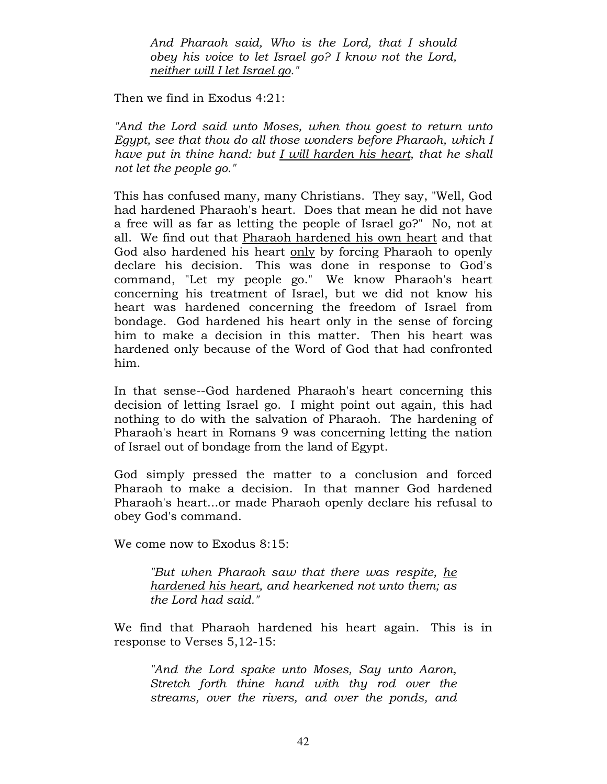And Pharaoh said, Who is the Lord, that I should obey his voice to let Israel go? I know not the Lord, neither will I let Israel go."

Then we find in Exodus 4:21:

"And the Lord said unto Moses, when thou goest to return unto Egypt, see that thou do all those wonders before Pharaoh, which I have put in thine hand: but I will harden his heart, that he shall not let the people go."

This has confused many, many Christians. They say, "Well, God had hardened Pharaoh's heart. Does that mean he did not have a free will as far as letting the people of Israel go?" No, not at all. We find out that Pharaoh hardened his own heart and that God also hardened his heart only by forcing Pharaoh to openly declare his decision. This was done in response to God's command, "Let my people go." We know Pharaoh's heart concerning his treatment of Israel, but we did not know his heart was hardened concerning the freedom of Israel from bondage. God hardened his heart only in the sense of forcing him to make a decision in this matter. Then his heart was hardened only because of the Word of God that had confronted him.

In that sense--God hardened Pharaoh's heart concerning this decision of letting Israel go. I might point out again, this had nothing to do with the salvation of Pharaoh. The hardening of Pharaoh's heart in Romans 9 was concerning letting the nation of Israel out of bondage from the land of Egypt.

God simply pressed the matter to a conclusion and forced Pharaoh to make a decision. In that manner God hardened Pharaoh's heart...or made Pharaoh openly declare his refusal to obey God's command.

We come now to Exodus 8:15:

"But when Pharaoh saw that there was respite, he hardened his heart, and hearkened not unto them; as the Lord had said."

We find that Pharaoh hardened his heart again. This is in response to Verses 5,12-15:

"And the Lord spake unto Moses, Say unto Aaron, Stretch forth thine hand with thy rod over the streams, over the rivers, and over the ponds, and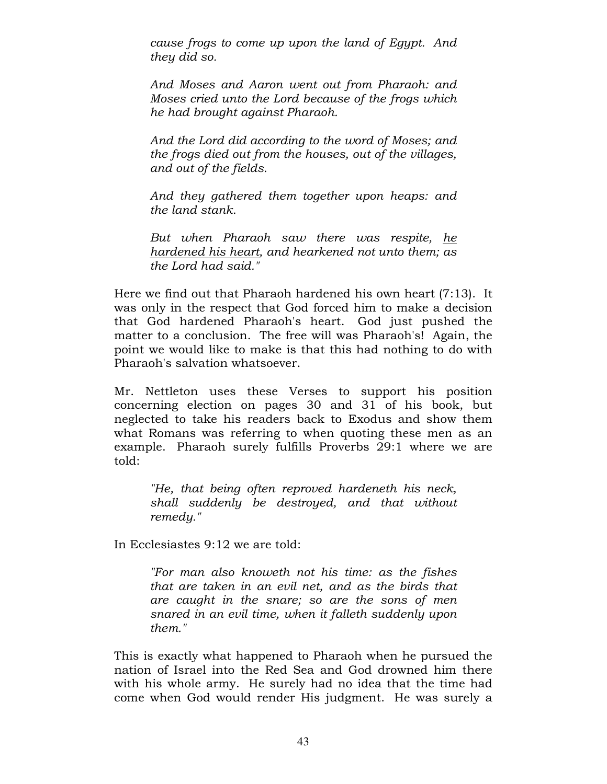cause frogs to come up upon the land of Egypt. And they did so.

And Moses and Aaron went out from Pharaoh: and Moses cried unto the Lord because of the frogs which he had brought against Pharaoh.

And the Lord did according to the word of Moses; and the frogs died out from the houses, out of the villages, and out of the fields.

And they gathered them together upon heaps: and the land stank.

But when Pharaoh saw there was respite, he hardened his heart, and hearkened not unto them; as the Lord had said."

Here we find out that Pharaoh hardened his own heart (7:13). It was only in the respect that God forced him to make a decision that God hardened Pharaoh's heart. God just pushed the matter to a conclusion. The free will was Pharaoh's! Again, the point we would like to make is that this had nothing to do with Pharaoh's salvation whatsoever.

Mr. Nettleton uses these Verses to support his position concerning election on pages 30 and 31 of his book, but neglected to take his readers back to Exodus and show them what Romans was referring to when quoting these men as an example. Pharaoh surely fulfills Proverbs 29:1 where we are told:

"He, that being often reproved hardeneth his neck, shall suddenly be destroyed, and that without remedy."

In Ecclesiastes 9:12 we are told:

"For man also knoweth not his time: as the fishes that are taken in an evil net, and as the birds that are caught in the snare; so are the sons of men snared in an evil time, when it falleth suddenly upon them."

This is exactly what happened to Pharaoh when he pursued the nation of Israel into the Red Sea and God drowned him there with his whole army. He surely had no idea that the time had come when God would render His judgment. He was surely a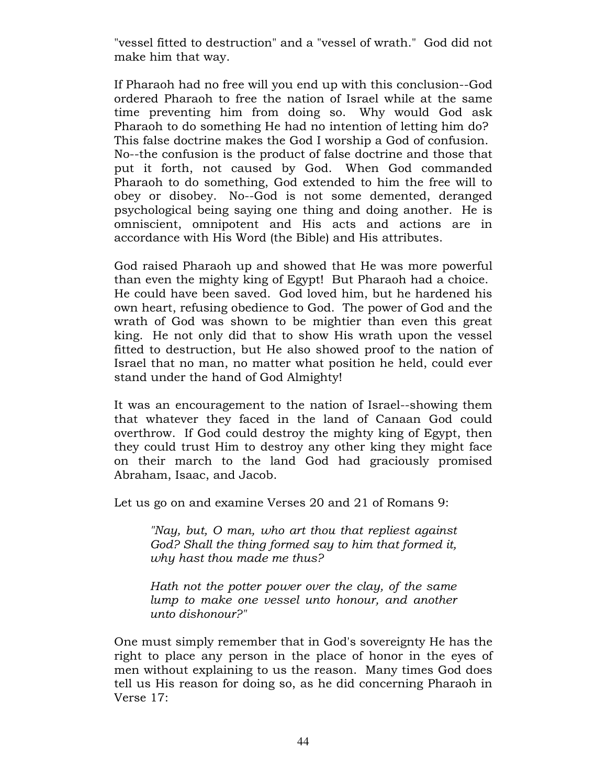"vessel fitted to destruction" and a "vessel of wrath." God did not make him that way.

If Pharaoh had no free will you end up with this conclusion--God ordered Pharaoh to free the nation of Israel while at the same time preventing him from doing so. Why would God ask Pharaoh to do something He had no intention of letting him do? This false doctrine makes the God I worship a God of confusion. No--the confusion is the product of false doctrine and those that put it forth, not caused by God. When God commanded Pharaoh to do something, God extended to him the free will to obey or disobey. No--God is not some demented, deranged psychological being saying one thing and doing another. He is omniscient, omnipotent and His acts and actions are in accordance with His Word (the Bible) and His attributes.

God raised Pharaoh up and showed that He was more powerful than even the mighty king of Egypt! But Pharaoh had a choice. He could have been saved. God loved him, but he hardened his own heart, refusing obedience to God. The power of God and the wrath of God was shown to be mightier than even this great king. He not only did that to show His wrath upon the vessel fitted to destruction, but He also showed proof to the nation of Israel that no man, no matter what position he held, could ever stand under the hand of God Almighty!

It was an encouragement to the nation of Israel--showing them that whatever they faced in the land of Canaan God could overthrow. If God could destroy the mighty king of Egypt, then they could trust Him to destroy any other king they might face on their march to the land God had graciously promised Abraham, Isaac, and Jacob.

Let us go on and examine Verses 20 and 21 of Romans 9:

"Nay, but, O man, who art thou that repliest against God? Shall the thing formed say to him that formed it, why hast thou made me thus?

Hath not the potter power over the clay, of the same lump to make one vessel unto honour, and another unto dishonour?"

One must simply remember that in God's sovereignty He has the right to place any person in the place of honor in the eyes of men without explaining to us the reason. Many times God does tell us His reason for doing so, as he did concerning Pharaoh in Verse 17: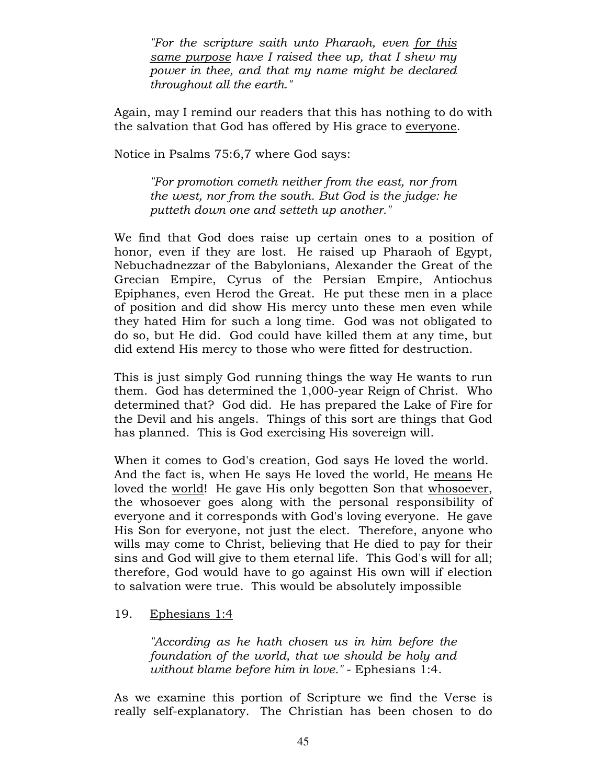"For the scripture saith unto Pharaoh, even for this same purpose have I raised thee up, that I shew my power in thee, and that my name might be declared throughout all the earth."

Again, may I remind our readers that this has nothing to do with the salvation that God has offered by His grace to everyone.

Notice in Psalms 75:6,7 where God says:

"For promotion cometh neither from the east, nor from the west, nor from the south. But God is the judge: he putteth down one and setteth up another."

We find that God does raise up certain ones to a position of honor, even if they are lost. He raised up Pharaoh of Egypt, Nebuchadnezzar of the Babylonians, Alexander the Great of the Grecian Empire, Cyrus of the Persian Empire, Antiochus Epiphanes, even Herod the Great. He put these men in a place of position and did show His mercy unto these men even while they hated Him for such a long time. God was not obligated to do so, but He did. God could have killed them at any time, but did extend His mercy to those who were fitted for destruction.

This is just simply God running things the way He wants to run them. God has determined the 1,000-year Reign of Christ. Who determined that? God did. He has prepared the Lake of Fire for the Devil and his angels. Things of this sort are things that God has planned. This is God exercising His sovereign will.

When it comes to God's creation, God says He loved the world. And the fact is, when He says He loved the world, He means He loved the world! He gave His only begotten Son that whosoever, the whosoever goes along with the personal responsibility of everyone and it corresponds with God's loving everyone. He gave His Son for everyone, not just the elect. Therefore, anyone who wills may come to Christ, believing that He died to pay for their sins and God will give to them eternal life. This God's will for all; therefore, God would have to go against His own will if election to salvation were true. This would be absolutely impossible

## 19. Ephesians 1:4

"According as he hath chosen us in him before the foundation of the world, that we should be holy and without blame before him in love." - Ephesians 1:4.

As we examine this portion of Scripture we find the Verse is really self-explanatory. The Christian has been chosen to do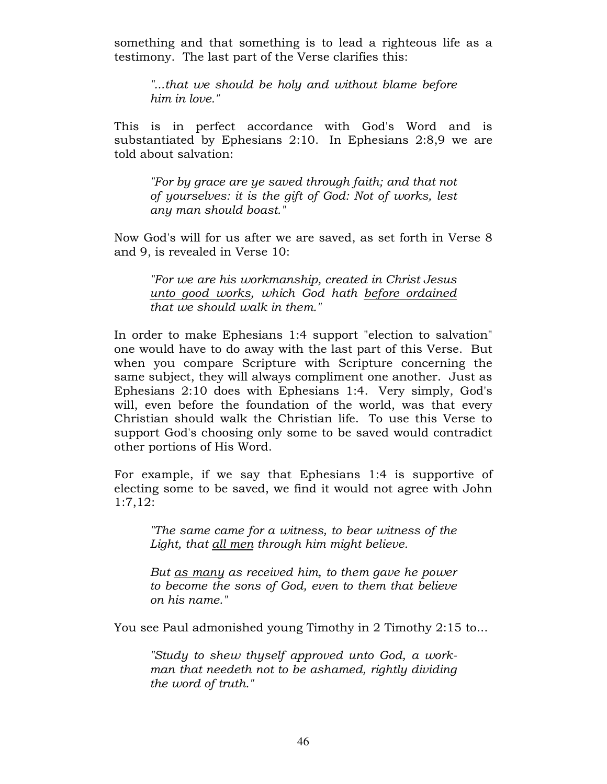something and that something is to lead a righteous life as a testimony. The last part of the Verse clarifies this:

"...that we should be holy and without blame before him in love."

This is in perfect accordance with God's Word and is substantiated by Ephesians 2:10. In Ephesians 2:8,9 we are told about salvation:

"For by grace are ye saved through faith; and that not of yourselves: it is the gift of God: Not of works, lest any man should boast."

Now God's will for us after we are saved, as set forth in Verse 8 and 9, is revealed in Verse 10:

"For we are his workmanship, created in Christ Jesus unto good works, which God hath before ordained that we should walk in them."

In order to make Ephesians 1:4 support "election to salvation" one would have to do away with the last part of this Verse. But when you compare Scripture with Scripture concerning the same subject, they will always compliment one another. Just as Ephesians 2:10 does with Ephesians 1:4. Very simply, God's will, even before the foundation of the world, was that every Christian should walk the Christian life. To use this Verse to support God's choosing only some to be saved would contradict other portions of His Word.

For example, if we say that Ephesians 1:4 is supportive of electing some to be saved, we find it would not agree with John 1:7,12:

"The same came for a witness, to bear witness of the Light, that all men through him might believe.

But as many as received him, to them gave he power to become the sons of God, even to them that believe on his name."

You see Paul admonished young Timothy in 2 Timothy 2:15 to...

"Study to shew thyself approved unto God, a workman that needeth not to be ashamed, rightly dividing the word of truth."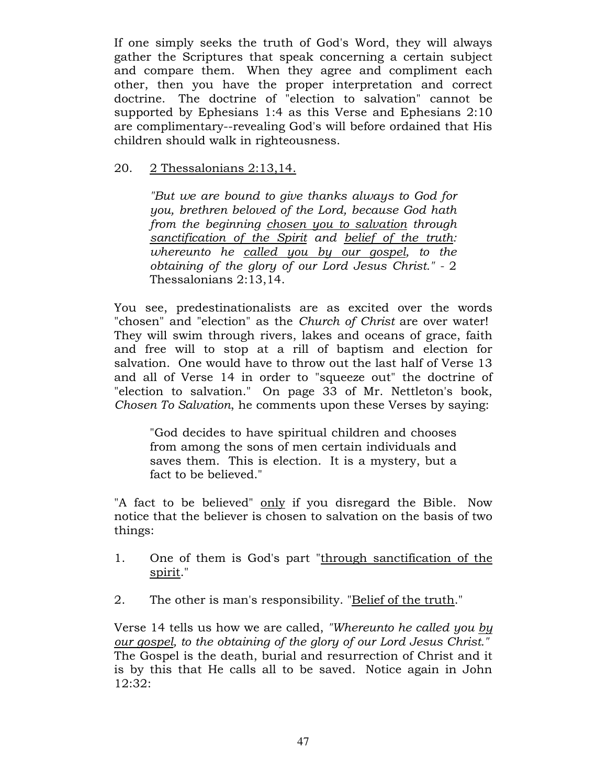If one simply seeks the truth of God's Word, they will always gather the Scriptures that speak concerning a certain subject and compare them. When they agree and compliment each other, then you have the proper interpretation and correct doctrine. The doctrine of "election to salvation" cannot be supported by Ephesians 1:4 as this Verse and Ephesians 2:10 are complimentary--revealing God's will before ordained that His children should walk in righteousness.

## 20. 2 Thessalonians 2:13,14.

"But we are bound to give thanks always to God for you, brethren beloved of the Lord, because God hath from the beginning chosen you to salvation through sanctification of the Spirit and belief of the truth: whereunto he called you by our gospel, to the obtaining of the glory of our Lord Jesus Christ." - 2 Thessalonians 2:13,14.

You see, predestinationalists are as excited over the words "chosen" and "election" as the Church of Christ are over water! They will swim through rivers, lakes and oceans of grace, faith and free will to stop at a rill of baptism and election for salvation. One would have to throw out the last half of Verse 13 and all of Verse 14 in order to "squeeze out" the doctrine of "election to salvation." On page 33 of Mr. Nettleton's book, Chosen To Salvation, he comments upon these Verses by saying:

"God decides to have spiritual children and chooses from among the sons of men certain individuals and saves them. This is election. It is a mystery, but a fact to be believed."

"A fact to be believed" only if you disregard the Bible. Now notice that the believer is chosen to salvation on the basis of two things:

- 1. One of them is God's part "through sanctification of the spirit."
- 2. The other is man's responsibility. "Belief of the truth."

Verse 14 tells us how we are called, "Whereunto he called you by our gospel, to the obtaining of the glory of our Lord Jesus Christ." The Gospel is the death, burial and resurrection of Christ and it is by this that He calls all to be saved. Notice again in John 12:32: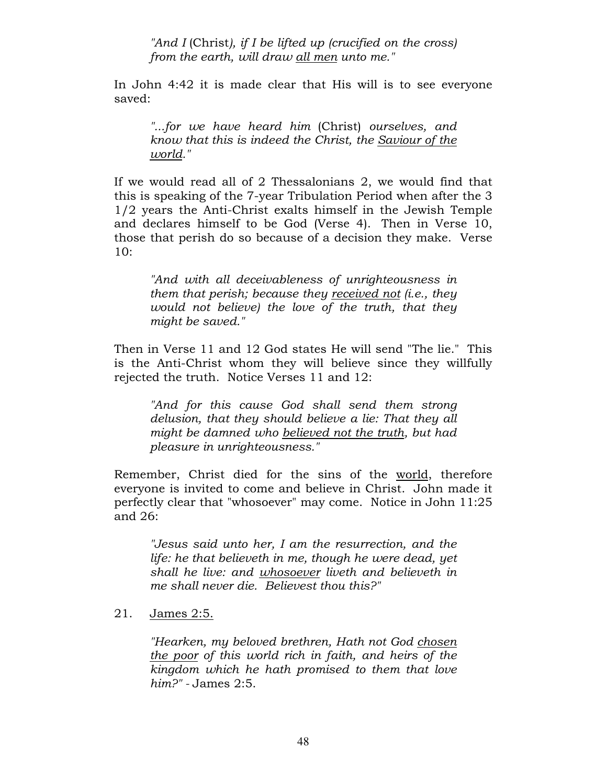"And I (Christ), if I be lifted up (crucified on the cross) from the earth, will draw all men unto me."

In John 4:42 it is made clear that His will is to see everyone saved:

"...for we have heard him (Christ) ourselves, and know that this is indeed the Christ, the Saviour of the world."

If we would read all of 2 Thessalonians 2, we would find that this is speaking of the 7-year Tribulation Period when after the 3 1/2 years the Anti-Christ exalts himself in the Jewish Temple and declares himself to be God (Verse 4). Then in Verse 10, those that perish do so because of a decision they make. Verse 10:

"And with all deceivableness of unrighteousness in them that perish; because they received not (i.e., they would not believe) the love of the truth, that they might be saved."

Then in Verse 11 and 12 God states He will send "The lie." This is the Anti-Christ whom they will believe since they willfully rejected the truth. Notice Verses 11 and 12:

"And for this cause God shall send them strong delusion, that they should believe a lie: That they all might be damned who believed not the truth, but had pleasure in unrighteousness."

Remember, Christ died for the sins of the world, therefore everyone is invited to come and believe in Christ. John made it perfectly clear that "whosoever" may come. Notice in John 11:25 and 26:

"Jesus said unto her, I am the resurrection, and the life: he that believeth in me, though he were dead, yet shall he live: and whosoever liveth and believeth in me shall never die. Believest thou this?"

21. James 2:5.

"Hearken, my beloved brethren, Hath not God chosen the poor of this world rich in faith, and heirs of the kingdom which he hath promised to them that love him?" - James 2:5.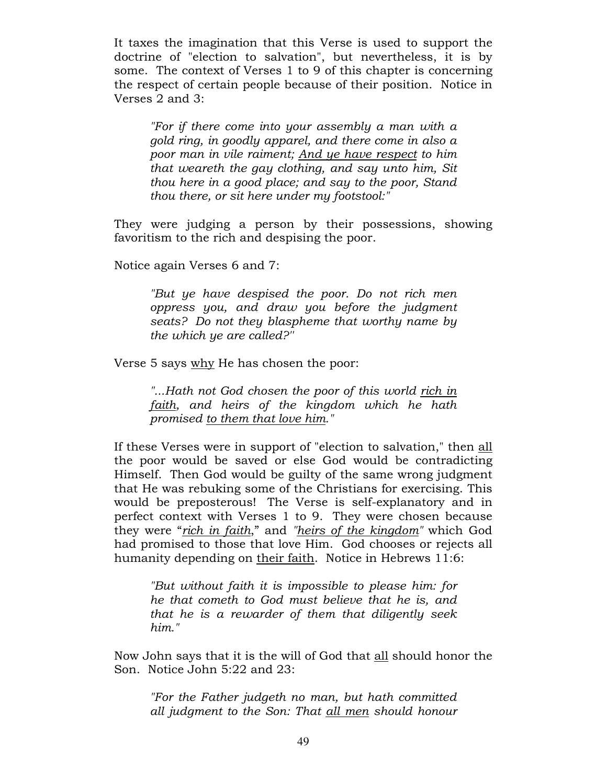It taxes the imagination that this Verse is used to support the doctrine of "election to salvation", but nevertheless, it is by some. The context of Verses 1 to 9 of this chapter is concerning the respect of certain people because of their position. Notice in Verses 2 and 3:

"For if there come into your assembly a man with a gold ring, in goodly apparel, and there come in also a poor man in vile raiment; And ye have respect to him that weareth the gay clothing, and say unto him, Sit thou here in a good place; and say to the poor, Stand thou there, or sit here under my footstool:"

They were judging a person by their possessions, showing favoritism to the rich and despising the poor.

Notice again Verses 6 and 7:

"But ye have despised the poor. Do not rich men oppress you, and draw you before the judgment seats? Do not they blaspheme that worthy name by the which ye are called?''

Verse 5 says why He has chosen the poor:

"...Hath not God chosen the poor of this world rich in faith, and heirs of the kingdom which he hath promised to them that love him."

If these Verses were in support of "election to salvation," then all the poor would be saved or else God would be contradicting Himself. Then God would be guilty of the same wrong judgment that He was rebuking some of the Christians for exercising. This would be preposterous! The Verse is self-explanatory and in perfect context with Verses 1 to 9. They were chosen because they were "rich in faith," and "heirs of the kingdom" which God had promised to those that love Him. God chooses or rejects all humanity depending on their faith. Notice in Hebrews 11:6:

"But without faith it is impossible to please him: for he that cometh to God must believe that he is, and that he is a rewarder of them that diligently seek him."

Now John says that it is the will of God that all should honor the Son. Notice John 5:22 and 23:

"For the Father judgeth no man, but hath committed all judgment to the Son: That all men should honour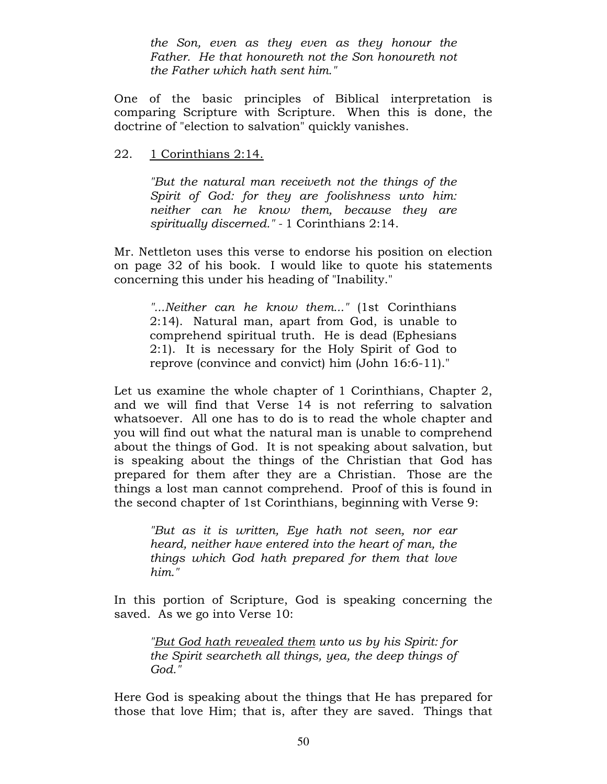the Son, even as they even as they honour the Father. He that honoureth not the Son honoureth not the Father which hath sent him."

One of the basic principles of Biblical interpretation is comparing Scripture with Scripture. When this is done, the doctrine of "election to salvation" quickly vanishes.

22. 1 Corinthians 2:14.

"But the natural man receiveth not the things of the Spirit of God: for they are foolishness unto him: neither can he know them, because they are spiritually discerned." - 1 Corinthians 2:14.

Mr. Nettleton uses this verse to endorse his position on election on page 32 of his book. I would like to quote his statements concerning this under his heading of "Inability."

"...Neither can he know them..." (1st Corinthians 2:14). Natural man, apart from God, is unable to comprehend spiritual truth. He is dead (Ephesians 2:1). It is necessary for the Holy Spirit of God to reprove (convince and convict) him (John 16:6-11)."

Let us examine the whole chapter of 1 Corinthians, Chapter 2, and we will find that Verse 14 is not referring to salvation whatsoever. All one has to do is to read the whole chapter and you will find out what the natural man is unable to comprehend about the things of God. It is not speaking about salvation, but is speaking about the things of the Christian that God has prepared for them after they are a Christian. Those are the things a lost man cannot comprehend. Proof of this is found in the second chapter of 1st Corinthians, beginning with Verse 9:

"But as it is written, Eye hath not seen, nor ear heard, neither have entered into the heart of man, the things which God hath prepared for them that love him."

In this portion of Scripture, God is speaking concerning the saved. As we go into Verse 10:

"But God hath revealed them unto us by his Spirit: for the Spirit searcheth all things, yea, the deep things of God."

Here God is speaking about the things that He has prepared for those that love Him; that is, after they are saved. Things that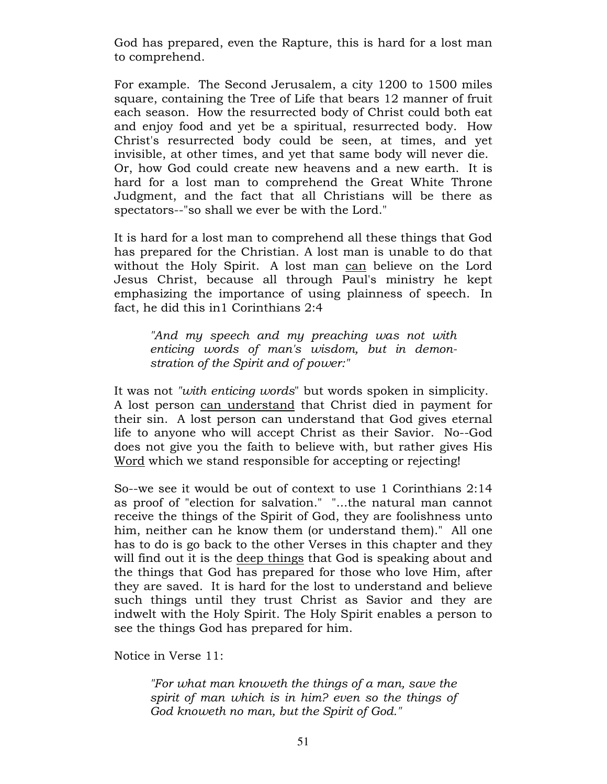God has prepared, even the Rapture, this is hard for a lost man to comprehend.

For example. The Second Jerusalem, a city 1200 to 1500 miles square, containing the Tree of Life that bears 12 manner of fruit each season. How the resurrected body of Christ could both eat and enjoy food and yet be a spiritual, resurrected body. How Christ's resurrected body could be seen, at times, and yet invisible, at other times, and yet that same body will never die. Or, how God could create new heavens and a new earth. It is hard for a lost man to comprehend the Great White Throne Judgment, and the fact that all Christians will be there as spectators--"so shall we ever be with the Lord."

It is hard for a lost man to comprehend all these things that God has prepared for the Christian. A lost man is unable to do that without the Holy Spirit. A lost man can believe on the Lord Jesus Christ, because all through Paul's ministry he kept emphasizing the importance of using plainness of speech. In fact, he did this in1 Corinthians 2:4

"And my speech and my preaching was not with enticing words of man's wisdom, but in demonstration of the Spirit and of power:"

It was not "with enticing words" but words spoken in simplicity. A lost person can understand that Christ died in payment for their sin. A lost person can understand that God gives eternal life to anyone who will accept Christ as their Savior. No--God does not give you the faith to believe with, but rather gives His Word which we stand responsible for accepting or rejecting!

So--we see it would be out of context to use 1 Corinthians 2:14 as proof of "election for salvation." "...the natural man cannot receive the things of the Spirit of God, they are foolishness unto him, neither can he know them (or understand them)." All one has to do is go back to the other Verses in this chapter and they will find out it is the deep things that God is speaking about and the things that God has prepared for those who love Him, after they are saved. It is hard for the lost to understand and believe such things until they trust Christ as Savior and they are indwelt with the Holy Spirit. The Holy Spirit enables a person to see the things God has prepared for him.

Notice in Verse 11:

"For what man knoweth the things of a man, save the spirit of man which is in him? even so the things of God knoweth no man, but the Spirit of God."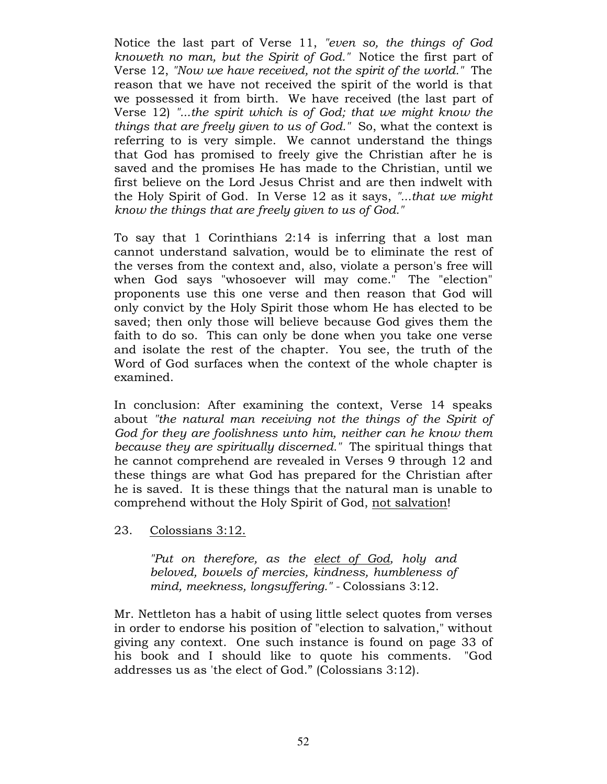Notice the last part of Verse 11, "even so, the things of God knoweth no man, but the Spirit of God." Notice the first part of Verse 12, "Now we have received, not the spirit of the world." The reason that we have not received the spirit of the world is that we possessed it from birth. We have received (the last part of Verse 12) "...the spirit which is of God; that we might know the things that are freely given to us of God." So, what the context is referring to is very simple. We cannot understand the things that God has promised to freely give the Christian after he is saved and the promises He has made to the Christian, until we first believe on the Lord Jesus Christ and are then indwelt with the Holy Spirit of God. In Verse 12 as it says, "...that we might know the things that are freely given to us of God."

To say that 1 Corinthians 2:14 is inferring that a lost man cannot understand salvation, would be to eliminate the rest of the verses from the context and, also, violate a person's free will when God says "whosoever will may come." The "election" proponents use this one verse and then reason that God will only convict by the Holy Spirit those whom He has elected to be saved; then only those will believe because God gives them the faith to do so. This can only be done when you take one verse and isolate the rest of the chapter. You see, the truth of the Word of God surfaces when the context of the whole chapter is examined.

In conclusion: After examining the context, Verse 14 speaks about "the natural man receiving not the things of the Spirit of God for they are foolishness unto him, neither can he know them because they are spiritually discerned." The spiritual things that he cannot comprehend are revealed in Verses 9 through 12 and these things are what God has prepared for the Christian after he is saved. It is these things that the natural man is unable to comprehend without the Holy Spirit of God, not salvation!

23. Colossians 3:12.

"Put on therefore, as the elect of God, holy and beloved, bowels of mercies, kindness, humbleness of mind, meekness, longsuffering." - Colossians 3:12.

Mr. Nettleton has a habit of using little select quotes from verses in order to endorse his position of "election to salvation," without giving any context. One such instance is found on page 33 of his book and I should like to quote his comments. "God addresses us as 'the elect of God." (Colossians 3:12).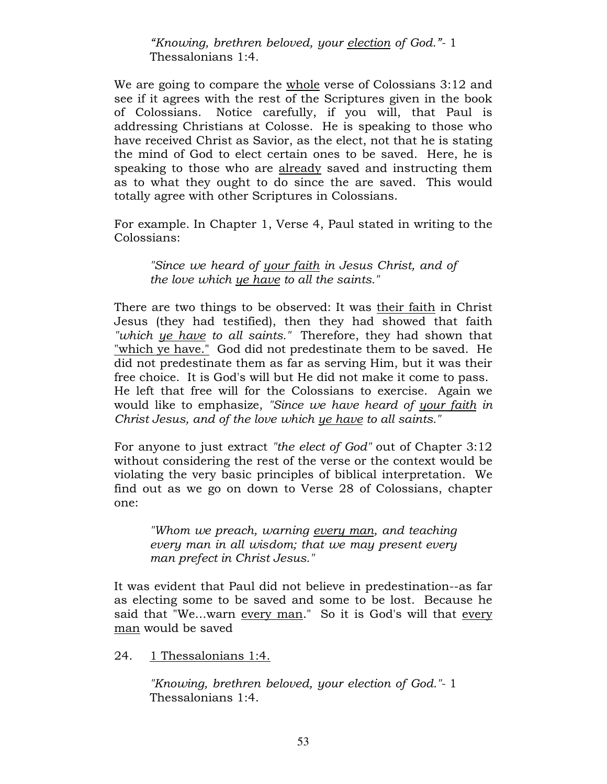"Knowing, brethren beloved, your election of God."- 1 Thessalonians 1:4.

We are going to compare the whole verse of Colossians 3:12 and see if it agrees with the rest of the Scriptures given in the book of Colossians. Notice carefully, if you will, that Paul is addressing Christians at Colosse. He is speaking to those who have received Christ as Savior, as the elect, not that he is stating the mind of God to elect certain ones to be saved. Here, he is speaking to those who are already saved and instructing them as to what they ought to do since the are saved. This would totally agree with other Scriptures in Colossians.

For example. In Chapter 1, Verse 4, Paul stated in writing to the Colossians:

"Since we heard of your faith in Jesus Christ, and of the love which ye have to all the saints."

There are two things to be observed: It was their faith in Christ Jesus (they had testified), then they had showed that faith "which ye have to all saints." Therefore, they had shown that "which ye have." God did not predestinate them to be saved. He did not predestinate them as far as serving Him, but it was their free choice. It is God's will but He did not make it come to pass. He left that free will for the Colossians to exercise. Again we would like to emphasize, "Since we have heard of your faith in Christ Jesus, and of the love which ye have to all saints."

For anyone to just extract "the elect of God" out of Chapter 3:12 without considering the rest of the verse or the context would be violating the very basic principles of biblical interpretation. We find out as we go on down to Verse 28 of Colossians, chapter one:

"Whom we preach, warning every man, and teaching every man in all wisdom; that we may present every man prefect in Christ Jesus."

It was evident that Paul did not believe in predestination--as far as electing some to be saved and some to be lost. Because he said that "We...warn every man." So it is God's will that every man would be saved

24. 1 Thessalonians 1:4.

"Knowing, brethren beloved, your election of God."- 1 Thessalonians 1:4.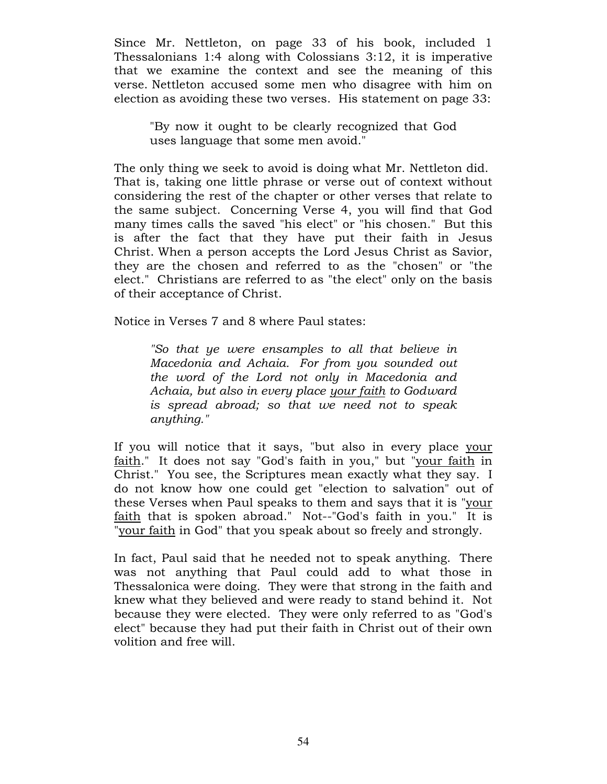Since Mr. Nettleton, on page 33 of his book, included 1 Thessalonians 1:4 along with Colossians 3:12, it is imperative that we examine the context and see the meaning of this verse. Nettleton accused some men who disagree with him on election as avoiding these two verses. His statement on page 33:

"By now it ought to be clearly recognized that God uses language that some men avoid."

The only thing we seek to avoid is doing what Mr. Nettleton did. That is, taking one little phrase or verse out of context without considering the rest of the chapter or other verses that relate to the same subject. Concerning Verse 4, you will find that God many times calls the saved "his elect" or "his chosen." But this is after the fact that they have put their faith in Jesus Christ. When a person accepts the Lord Jesus Christ as Savior, they are the chosen and referred to as the "chosen" or "the elect." Christians are referred to as "the elect" only on the basis of their acceptance of Christ.

Notice in Verses 7 and 8 where Paul states:

"So that ye were ensamples to all that believe in Macedonia and Achaia. For from you sounded out the word of the Lord not only in Macedonia and Achaia, but also in every place your faith to Godward is spread abroad; so that we need not to speak anything."

If you will notice that it says, "but also in every place your faith." It does not say "God's faith in you," but "your faith in Christ." You see, the Scriptures mean exactly what they say. I do not know how one could get "election to salvation" out of these Verses when Paul speaks to them and says that it is "your faith that is spoken abroad." Not--"God's faith in you." It is "your faith in God" that you speak about so freely and strongly.

In fact, Paul said that he needed not to speak anything. There was not anything that Paul could add to what those in Thessalonica were doing. They were that strong in the faith and knew what they believed and were ready to stand behind it. Not because they were elected. They were only referred to as "God's elect" because they had put their faith in Christ out of their own volition and free will.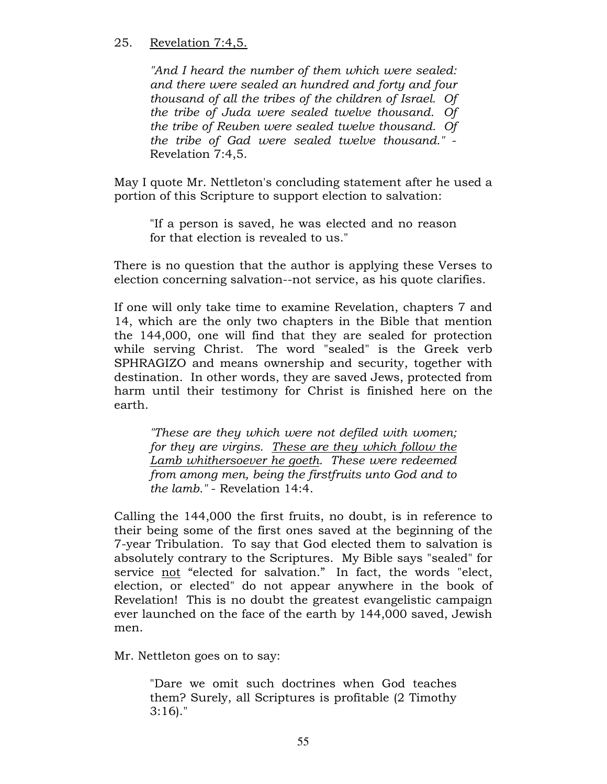# 25. Revelation 7:4,5.

"And I heard the number of them which were sealed: and there were sealed an hundred and forty and four thousand of all the tribes of the children of Israel. Of the tribe of Juda were sealed twelve thousand. Of the tribe of Reuben were sealed twelve thousand. Of the tribe of Gad were sealed twelve thousand." - Revelation 7:4,5.

May I quote Mr. Nettleton's concluding statement after he used a portion of this Scripture to support election to salvation:

"If a person is saved, he was elected and no reason for that election is revealed to us."

There is no question that the author is applying these Verses to election concerning salvation--not service, as his quote clarifies.

If one will only take time to examine Revelation, chapters 7 and 14, which are the only two chapters in the Bible that mention the 144,000, one will find that they are sealed for protection while serving Christ. The word "sealed" is the Greek verb SPHRAGIZO and means ownership and security, together with destination. In other words, they are saved Jews, protected from harm until their testimony for Christ is finished here on the earth.

"These are they which were not defiled with women; for they are virgins. These are they which follow the Lamb whithersoever he goeth. These were redeemed from among men, being the firstfruits unto God and to the lamb." - Revelation 14:4.

Calling the 144,000 the first fruits, no doubt, is in reference to their being some of the first ones saved at the beginning of the 7-year Tribulation. To say that God elected them to salvation is absolutely contrary to the Scriptures. My Bible says "sealed" for service not "elected for salvation." In fact, the words "elect, election, or elected" do not appear anywhere in the book of Revelation! This is no doubt the greatest evangelistic campaign ever launched on the face of the earth by 144,000 saved, Jewish men.

Mr. Nettleton goes on to say:

"Dare we omit such doctrines when God teaches them? Surely, all Scriptures is profitable (2 Timothy 3:16)."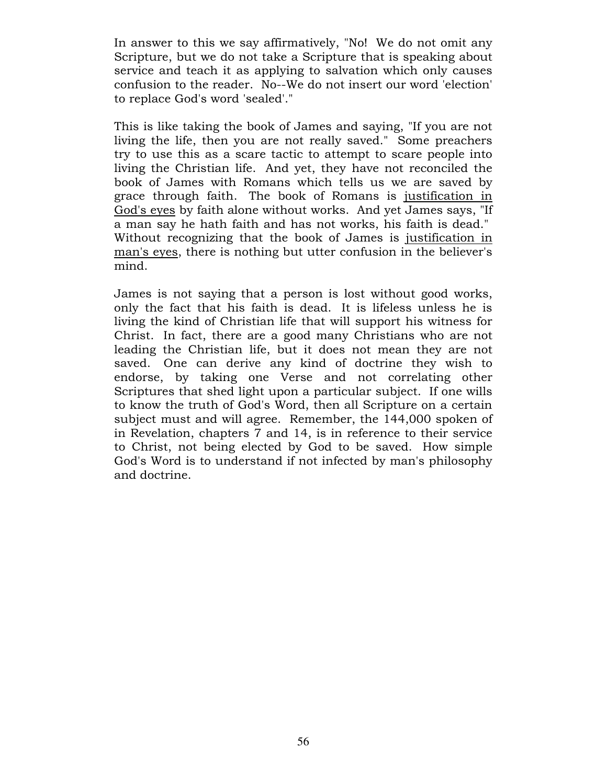In answer to this we say affirmatively, "No! We do not omit any Scripture, but we do not take a Scripture that is speaking about service and teach it as applying to salvation which only causes confusion to the reader. No--We do not insert our word 'election' to replace God's word 'sealed'."

This is like taking the book of James and saying, "If you are not living the life, then you are not really saved." Some preachers try to use this as a scare tactic to attempt to scare people into living the Christian life. And yet, they have not reconciled the book of James with Romans which tells us we are saved by grace through faith. The book of Romans is justification in God's eyes by faith alone without works. And yet James says, "If a man say he hath faith and has not works, his faith is dead." Without recognizing that the book of James is justification in man's eyes, there is nothing but utter confusion in the believer's mind.

James is not saying that a person is lost without good works, only the fact that his faith is dead. It is lifeless unless he is living the kind of Christian life that will support his witness for Christ. In fact, there are a good many Christians who are not leading the Christian life, but it does not mean they are not saved. One can derive any kind of doctrine they wish to endorse, by taking one Verse and not correlating other Scriptures that shed light upon a particular subject. If one wills to know the truth of God's Word, then all Scripture on a certain subject must and will agree. Remember, the 144,000 spoken of in Revelation, chapters 7 and 14, is in reference to their service to Christ, not being elected by God to be saved. How simple God's Word is to understand if not infected by man's philosophy and doctrine.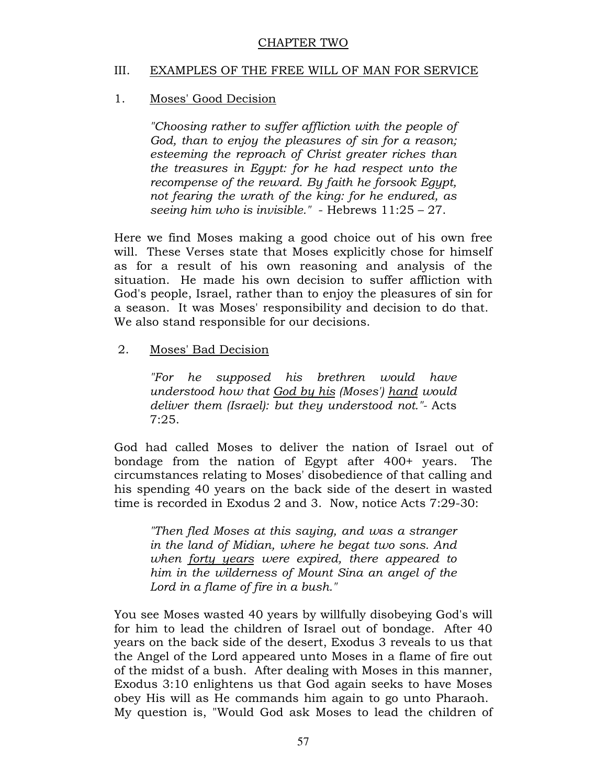### CHAPTER TWO

### III. EXAMPLES OF THE FREE WILL OF MAN FOR SERVICE

### 1. Moses' Good Decision

"Choosing rather to suffer affliction with the people of God, than to enjoy the pleasures of sin for a reason; esteeming the reproach of Christ greater riches than the treasures in Egypt: for he had respect unto the recompense of the reward. By faith he forsook Egypt, not fearing the wrath of the king: for he endured, as seeing him who is invisible." - Hebrews  $11:25 - 27$ .

Here we find Moses making a good choice out of his own free will. These Verses state that Moses explicitly chose for himself as for a result of his own reasoning and analysis of the situation. He made his own decision to suffer affliction with God's people, Israel, rather than to enjoy the pleasures of sin for a season. It was Moses' responsibility and decision to do that. We also stand responsible for our decisions.

2. Moses' Bad Decision

"For he supposed his brethren would have understood how that God by his (Moses') hand would deliver them (Israel): but they understood not."- Acts 7:25.

God had called Moses to deliver the nation of Israel out of bondage from the nation of Egypt after 400+ years. The circumstances relating to Moses' disobedience of that calling and his spending 40 years on the back side of the desert in wasted time is recorded in Exodus 2 and 3. Now, notice Acts 7:29-30:

"Then fled Moses at this saying, and was a stranger in the land of Midian, where he begat two sons. And when forty years were expired, there appeared to him in the wilderness of Mount Sina an angel of the Lord in a flame of fire in a bush."

You see Moses wasted 40 years by willfully disobeying God's will for him to lead the children of Israel out of bondage. After 40 years on the back side of the desert, Exodus 3 reveals to us that the Angel of the Lord appeared unto Moses in a flame of fire out of the midst of a bush. After dealing with Moses in this manner, Exodus 3:10 enlightens us that God again seeks to have Moses obey His will as He commands him again to go unto Pharaoh. My question is, "Would God ask Moses to lead the children of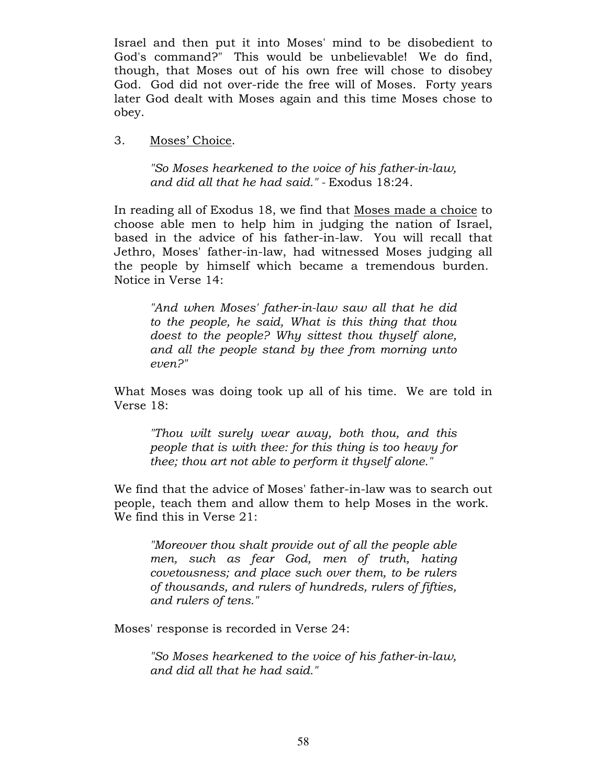Israel and then put it into Moses' mind to be disobedient to God's command?" This would be unbelievable! We do find, though, that Moses out of his own free will chose to disobey God. God did not over-ride the free will of Moses. Forty years later God dealt with Moses again and this time Moses chose to obey.

3. Moses' Choice.

"So Moses hearkened to the voice of his father-in-law, and did all that he had said." - Exodus 18:24.

In reading all of Exodus 18, we find that Moses made a choice to choose able men to help him in judging the nation of Israel, based in the advice of his father-in-law. You will recall that Jethro, Moses' father-in-law, had witnessed Moses judging all the people by himself which became a tremendous burden. Notice in Verse 14:

"And when Moses' father-in-law saw all that he did to the people, he said, What is this thing that thou doest to the people? Why sittest thou thyself alone, and all the people stand by thee from morning unto even?"

What Moses was doing took up all of his time. We are told in Verse 18:

"Thou wilt surely wear away, both thou, and this people that is with thee: for this thing is too heavy for thee; thou art not able to perform it thyself alone."

We find that the advice of Moses' father-in-law was to search out people, teach them and allow them to help Moses in the work. We find this in Verse 21:

"Moreover thou shalt provide out of all the people able men, such as fear God, men of truth, hating covetousness; and place such over them, to be rulers of thousands, and rulers of hundreds, rulers of fifties, and rulers of tens."

Moses' response is recorded in Verse 24:

"So Moses hearkened to the voice of his father-in-law, and did all that he had said."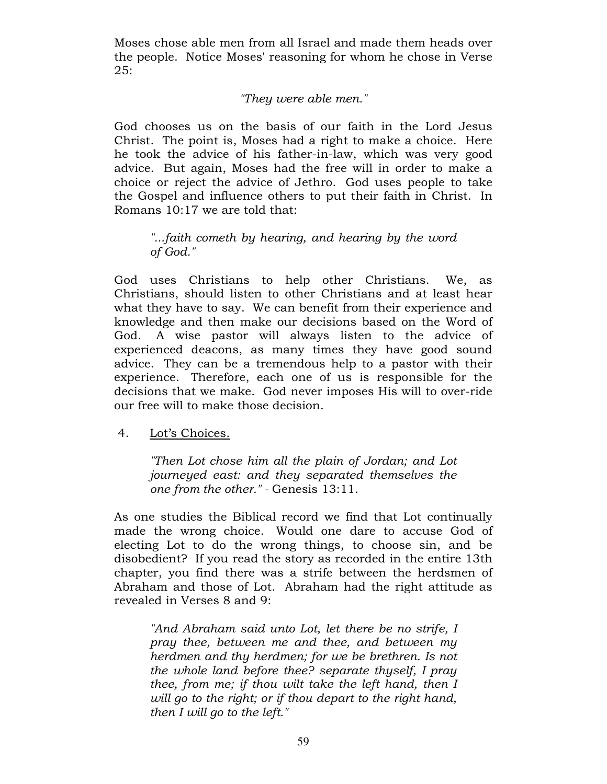Moses chose able men from all Israel and made them heads over the people. Notice Moses' reasoning for whom he chose in Verse 25:

## "They were able men."

God chooses us on the basis of our faith in the Lord Jesus Christ. The point is, Moses had a right to make a choice. Here he took the advice of his father-in-law, which was very good advice. But again, Moses had the free will in order to make a choice or reject the advice of Jethro. God uses people to take the Gospel and influence others to put their faith in Christ. In Romans 10:17 we are told that:

## "...faith cometh by hearing, and hearing by the word of God."

God uses Christians to help other Christians. We, as Christians, should listen to other Christians and at least hear what they have to say. We can benefit from their experience and knowledge and then make our decisions based on the Word of God. A wise pastor will always listen to the advice of experienced deacons, as many times they have good sound advice. They can be a tremendous help to a pastor with their experience. Therefore, each one of us is responsible for the decisions that we make. God never imposes His will to over-ride our free will to make those decision.

#### 4. Lot's Choices.

"Then Lot chose him all the plain of Jordan; and Lot journeyed east: and they separated themselves the one from the other." - Genesis 13:11.

As one studies the Biblical record we find that Lot continually made the wrong choice. Would one dare to accuse God of electing Lot to do the wrong things, to choose sin, and be disobedient? If you read the story as recorded in the entire 13th chapter, you find there was a strife between the herdsmen of Abraham and those of Lot. Abraham had the right attitude as revealed in Verses 8 and 9:

"And Abraham said unto Lot, let there be no strife, I pray thee, between me and thee, and between my herdmen and thy herdmen; for we be brethren. Is not the whole land before thee? separate thyself, I pray thee, from me; if thou wilt take the left hand, then I will go to the right; or if thou depart to the right hand, then I will go to the left."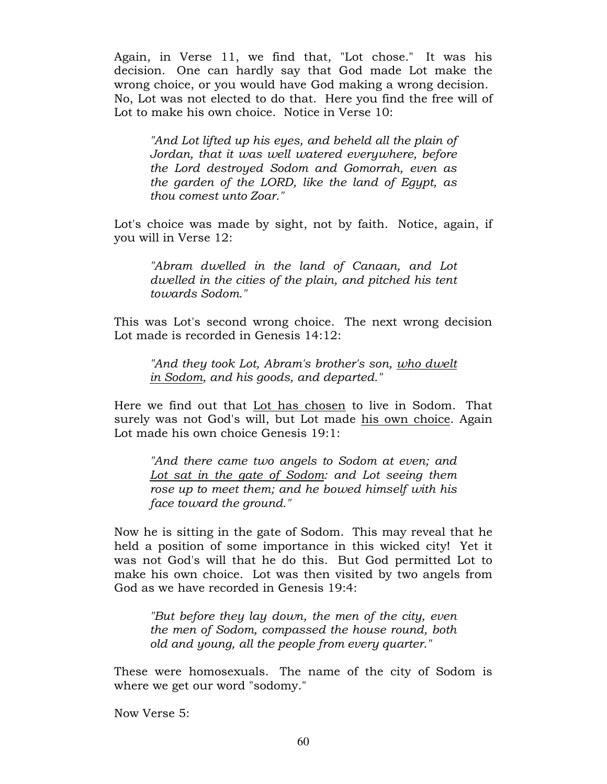Again, in Verse 11, we find that, "Lot chose." It was his decision. One can hardly say that God made Lot make the wrong choice, or you would have God making a wrong decision. No, Lot was not elected to do that. Here you find the free will of Lot to make his own choice. Notice in Verse 10:

"And Lot lifted up his eyes, and beheld all the plain of Jordan, that it was well watered everywhere, before the Lord destroyed Sodom and Gomorrah, even as the garden of the LORD, like the land of Egypt, as thou comest unto Zoar."

Lot's choice was made by sight, not by faith. Notice, again, if you will in Verse 12:

"Abram dwelled in the land of Canaan, and Lot dwelled in the cities of the plain, and pitched his tent towards Sodom."

This was Lot's second wrong choice. The next wrong decision Lot made is recorded in Genesis 14:12:

"And they took Lot, Abram's brother's son, who dwelt in Sodom, and his goods, and departed."

Here we find out that Lot has chosen to live in Sodom. That surely was not God's will, but Lot made his own choice. Again Lot made his own choice Genesis 19:1:

"And there came two angels to Sodom at even; and Lot sat in the gate of Sodom: and Lot seeing them rose up to meet them; and he bowed himself with his face toward the ground."

Now he is sitting in the gate of Sodom. This may reveal that he held a position of some importance in this wicked city! Yet it was not God's will that he do this. But God permitted Lot to make his own choice. Lot was then visited by two angels from God as we have recorded in Genesis 19:4:

"But before they lay down, the men of the city, even the men of Sodom, compassed the house round, both old and young, all the people from every quarter."

These were homosexuals. The name of the city of Sodom is where we get our word "sodomy."

Now Verse 5: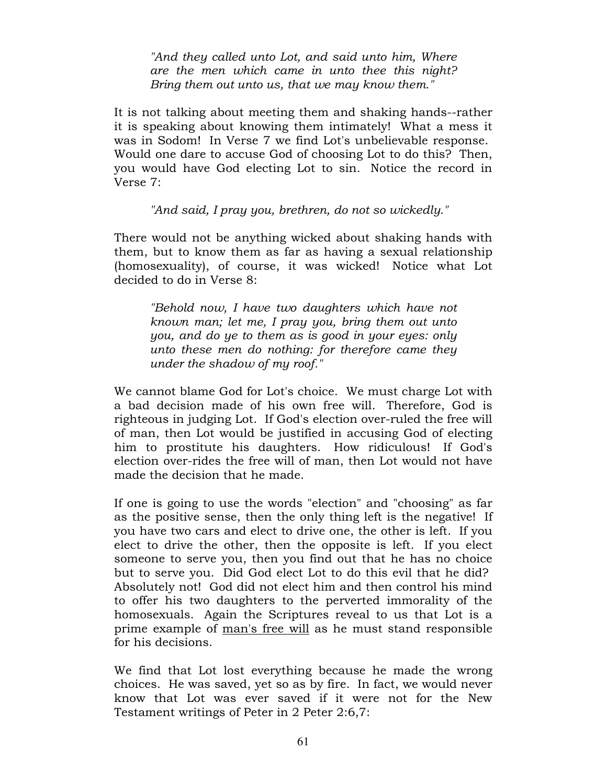"And they called unto Lot, and said unto him, Where are the men which came in unto thee this night? Bring them out unto us, that we may know them."

It is not talking about meeting them and shaking hands--rather it is speaking about knowing them intimately! What a mess it was in Sodom! In Verse 7 we find Lot's unbelievable response. Would one dare to accuse God of choosing Lot to do this? Then, you would have God electing Lot to sin. Notice the record in Verse 7:

"And said, I pray you, brethren, do not so wickedly."

There would not be anything wicked about shaking hands with them, but to know them as far as having a sexual relationship (homosexuality), of course, it was wicked! Notice what Lot decided to do in Verse 8:

"Behold now, I have two daughters which have not known man; let me, I pray you, bring them out unto you, and do ye to them as is good in your eyes: only unto these men do nothing: for therefore came they under the shadow of my roof."

We cannot blame God for Lot's choice. We must charge Lot with a bad decision made of his own free will. Therefore, God is righteous in judging Lot. If God's election over-ruled the free will of man, then Lot would be justified in accusing God of electing him to prostitute his daughters. How ridiculous! If God's election over-rides the free will of man, then Lot would not have made the decision that he made.

If one is going to use the words "election" and "choosing" as far as the positive sense, then the only thing left is the negative! If you have two cars and elect to drive one, the other is left. If you elect to drive the other, then the opposite is left. If you elect someone to serve you, then you find out that he has no choice but to serve you. Did God elect Lot to do this evil that he did? Absolutely not! God did not elect him and then control his mind to offer his two daughters to the perverted immorality of the homosexuals. Again the Scriptures reveal to us that Lot is a prime example of man's free will as he must stand responsible for his decisions.

We find that Lot lost everything because he made the wrong choices. He was saved, yet so as by fire. In fact, we would never know that Lot was ever saved if it were not for the New Testament writings of Peter in 2 Peter 2:6,7: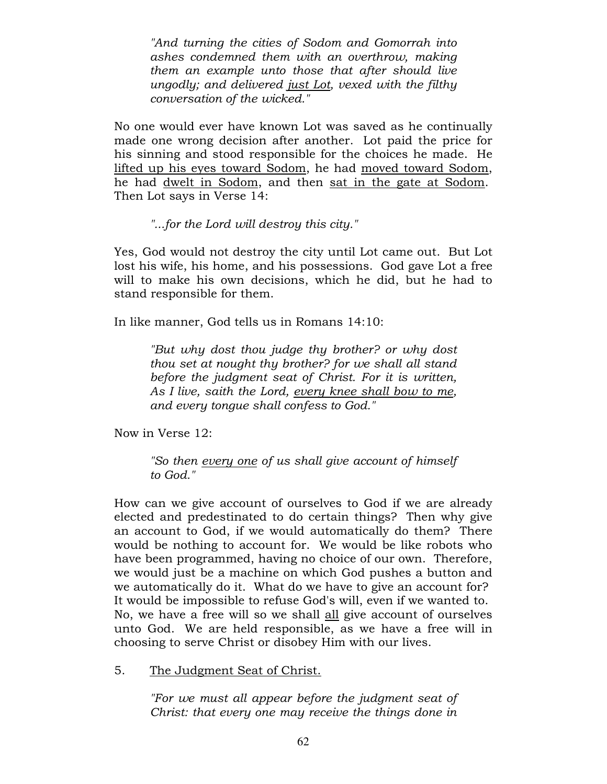"And turning the cities of Sodom and Gomorrah into ashes condemned them with an overthrow, making them an example unto those that after should live ungodly; and delivered just Lot, vexed with the filthy conversation of the wicked."

No one would ever have known Lot was saved as he continually made one wrong decision after another. Lot paid the price for his sinning and stood responsible for the choices he made. He lifted up his eyes toward Sodom, he had moved toward Sodom, he had dwelt in Sodom, and then sat in the gate at Sodom. Then Lot says in Verse 14:

"...for the Lord will destroy this city."

Yes, God would not destroy the city until Lot came out. But Lot lost his wife, his home, and his possessions. God gave Lot a free will to make his own decisions, which he did, but he had to stand responsible for them.

In like manner, God tells us in Romans 14:10:

"But why dost thou judge thy brother? or why dost thou set at nought thy brother? for we shall all stand before the judgment seat of Christ. For it is written, As I live, saith the Lord, every knee shall bow to me, and every tongue shall confess to God."

Now in Verse 12:

"So then every one of us shall give account of himself to God."

How can we give account of ourselves to God if we are already elected and predestinated to do certain things? Then why give an account to God, if we would automatically do them? There would be nothing to account for. We would be like robots who have been programmed, having no choice of our own. Therefore, we would just be a machine on which God pushes a button and we automatically do it. What do we have to give an account for? It would be impossible to refuse God's will, even if we wanted to. No, we have a free will so we shall all give account of ourselves unto God. We are held responsible, as we have a free will in choosing to serve Christ or disobey Him with our lives.

5. The Judgment Seat of Christ.

"For we must all appear before the judgment seat of Christ: that every one may receive the things done in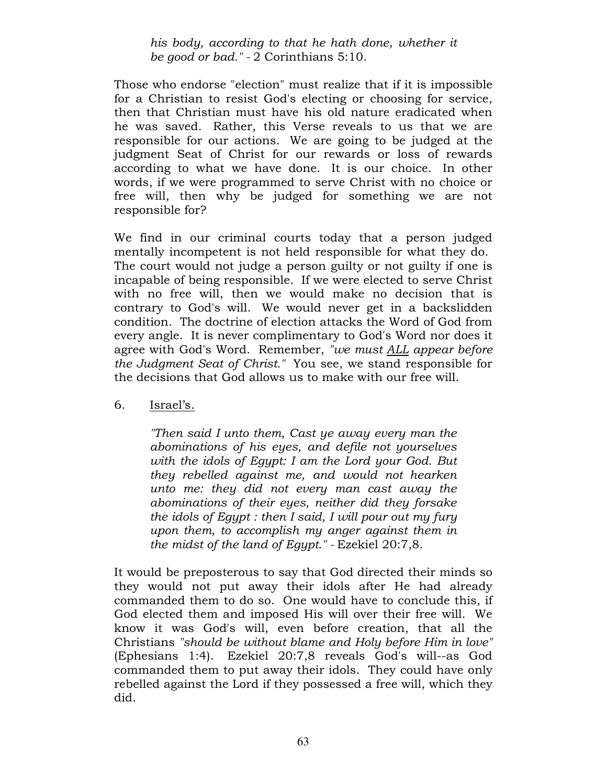his body, according to that he hath done, whether it be good or bad." - 2 Corinthians 5:10.

Those who endorse "election" must realize that if it is impossible for a Christian to resist God's electing or choosing for service, then that Christian must have his old nature eradicated when he was saved. Rather, this Verse reveals to us that we are responsible for our actions. We are going to be judged at the judgment Seat of Christ for our rewards or loss of rewards according to what we have done. It is our choice. In other words, if we were programmed to serve Christ with no choice or free will, then why be judged for something we are not responsible for?

We find in our criminal courts today that a person judged mentally incompetent is not held responsible for what they do. The court would not judge a person guilty or not guilty if one is incapable of being responsible. If we were elected to serve Christ with no free will, then we would make no decision that is contrary to God's will. We would never get in a backslidden condition. The doctrine of election attacks the Word of God from every angle. It is never complimentary to God's Word nor does it agree with God's Word. Remember, "we must ALL appear before the Judgment Seat of Christ." You see, we stand responsible for the decisions that God allows us to make with our free will.

6. Israel's.

"Then said I unto them, Cast ye away every man the abominations of his eyes, and defile not yourselves with the idols of Egypt: I am the Lord your God. But they rebelled against me, and would not hearken unto me: they did not every man cast away the abominations of their eyes, neither did they forsake the idols of Egypt : then I said, I will pour out my fury upon them, to accomplish my anger against them in the midst of the land of Egypt." - Ezekiel 20:7,8.

It would be preposterous to say that God directed their minds so they would not put away their idols after He had already commanded them to do so. One would have to conclude this, if God elected them and imposed His will over their free will. We know it was God's will, even before creation, that all the Christians "should be without blame and Holy before Him in love" (Ephesians 1:4). Ezekiel 20:7,8 reveals God's will--as God commanded them to put away their idols. They could have only rebelled against the Lord if they possessed a free will, which they did.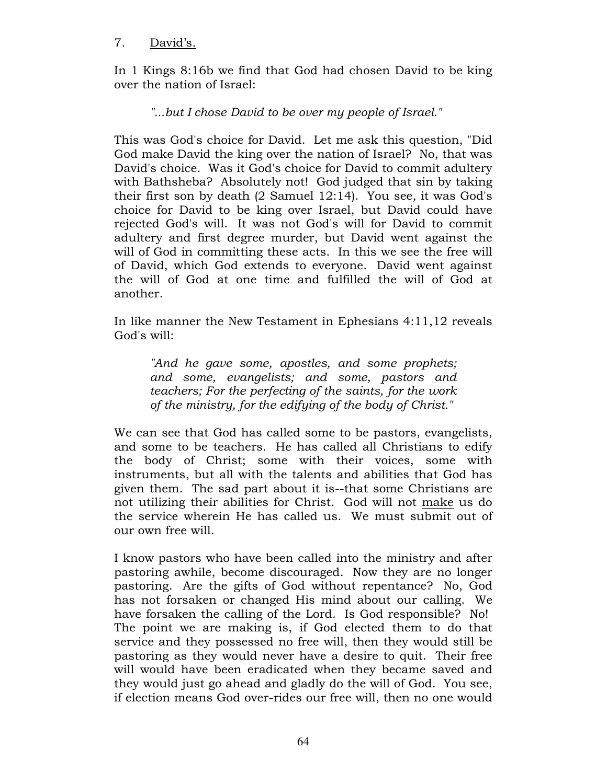### 7. David's.

In 1 Kings 8:16b we find that God had chosen David to be king over the nation of Israel:

# "...but I chose David to be over my people of Israel."

This was God's choice for David. Let me ask this question, "Did God make David the king over the nation of Israel? No, that was David's choice. Was it God's choice for David to commit adultery with Bathsheba? Absolutely not! God judged that sin by taking their first son by death (2 Samuel 12:14). You see, it was God's choice for David to be king over Israel, but David could have rejected God's will. It was not God's will for David to commit adultery and first degree murder, but David went against the will of God in committing these acts. In this we see the free will of David, which God extends to everyone. David went against the will of God at one time and fulfilled the will of God at another.

In like manner the New Testament in Ephesians 4:11,12 reveals God's will:

"And he gave some, apostles, and some prophets; and some, evangelists; and some, pastors and teachers; For the perfecting of the saints, for the work of the ministry, for the edifying of the body of Christ."

We can see that God has called some to be pastors, evangelists, and some to be teachers. He has called all Christians to edify the body of Christ; some with their voices, some with instruments, but all with the talents and abilities that God has given them. The sad part about it is--that some Christians are not utilizing their abilities for Christ. God will not make us do the service wherein He has called us. We must submit out of our own free will.

I know pastors who have been called into the ministry and after pastoring awhile, become discouraged. Now they are no longer pastoring. Are the gifts of God without repentance? No, God has not forsaken or changed His mind about our calling. We have forsaken the calling of the Lord. Is God responsible? No! The point we are making is, if God elected them to do that service and they possessed no free will, then they would still be pastoring as they would never have a desire to quit. Their free will would have been eradicated when they became saved and they would just go ahead and gladly do the will of God. You see, if election means God over-rides our free will, then no one would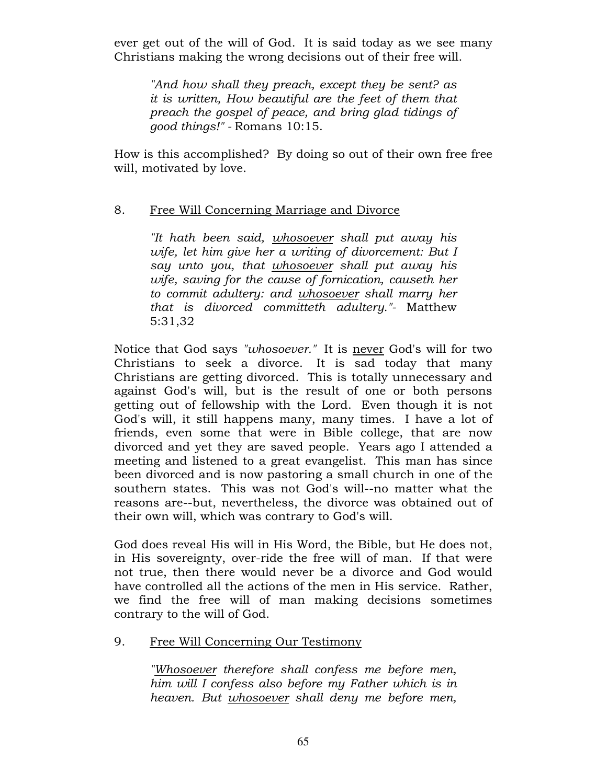ever get out of the will of God. It is said today as we see many Christians making the wrong decisions out of their free will.

"And how shall they preach, except they be sent? as it is written, How beautiful are the feet of them that preach the gospel of peace, and bring glad tidings of good things!" - Romans 10:15.

How is this accomplished? By doing so out of their own free free will, motivated by love.

# 8. Free Will Concerning Marriage and Divorce

"It hath been said, whosoever shall put away his wife, let him give her a writing of divorcement: But I say unto you, that whosoever shall put away his wife, saving for the cause of fornication, causeth her to commit adultery: and *whosoever* shall marry her that is divorced committeth adultery."- Matthew 5:31,32

Notice that God says "whosoever." It is never God's will for two Christians to seek a divorce. It is sad today that many Christians are getting divorced. This is totally unnecessary and against God's will, but is the result of one or both persons getting out of fellowship with the Lord. Even though it is not God's will, it still happens many, many times. I have a lot of friends, even some that were in Bible college, that are now divorced and yet they are saved people. Years ago I attended a meeting and listened to a great evangelist. This man has since been divorced and is now pastoring a small church in one of the southern states. This was not God's will--no matter what the reasons are--but, nevertheless, the divorce was obtained out of their own will, which was contrary to God's will.

God does reveal His will in His Word, the Bible, but He does not, in His sovereignty, over-ride the free will of man. If that were not true, then there would never be a divorce and God would have controlled all the actions of the men in His service. Rather, we find the free will of man making decisions sometimes contrary to the will of God.

9. Free Will Concerning Our Testimony

"Whosoever therefore shall confess me before men, him will I confess also before my Father which is in heaven. But whosoever shall deny me before men,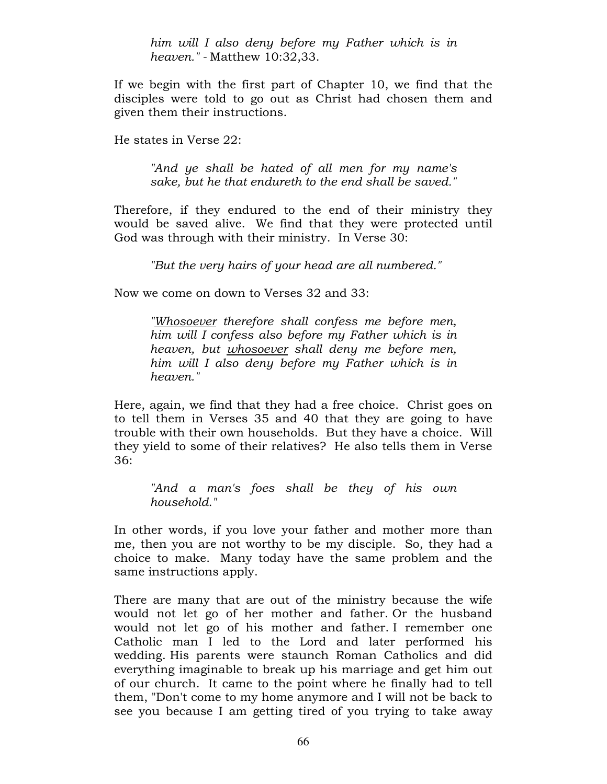him will I also deny before my Father which is in heaven." - Matthew 10:32,33.

If we begin with the first part of Chapter 10, we find that the disciples were told to go out as Christ had chosen them and given them their instructions.

He states in Verse 22:

"And ye shall be hated of all men for my name's sake, but he that endureth to the end shall be saved."

Therefore, if they endured to the end of their ministry they would be saved alive. We find that they were protected until God was through with their ministry. In Verse 30:

"But the very hairs of your head are all numbered."

Now we come on down to Verses 32 and 33:

"Whosoever therefore shall confess me before men, him will I confess also before my Father which is in heaven, but whosoever shall deny me before men, him will I also deny before my Father which is in heaven."

Here, again, we find that they had a free choice. Christ goes on to tell them in Verses 35 and 40 that they are going to have trouble with their own households. But they have a choice. Will they yield to some of their relatives? He also tells them in Verse 36:

"And a man's foes shall be they of his own household."

In other words, if you love your father and mother more than me, then you are not worthy to be my disciple. So, they had a choice to make. Many today have the same problem and the same instructions apply.

There are many that are out of the ministry because the wife would not let go of her mother and father. Or the husband would not let go of his mother and father. I remember one Catholic man I led to the Lord and later performed his wedding. His parents were staunch Roman Catholics and did everything imaginable to break up his marriage and get him out of our church. It came to the point where he finally had to tell them, "Don't come to my home anymore and I will not be back to see you because I am getting tired of you trying to take away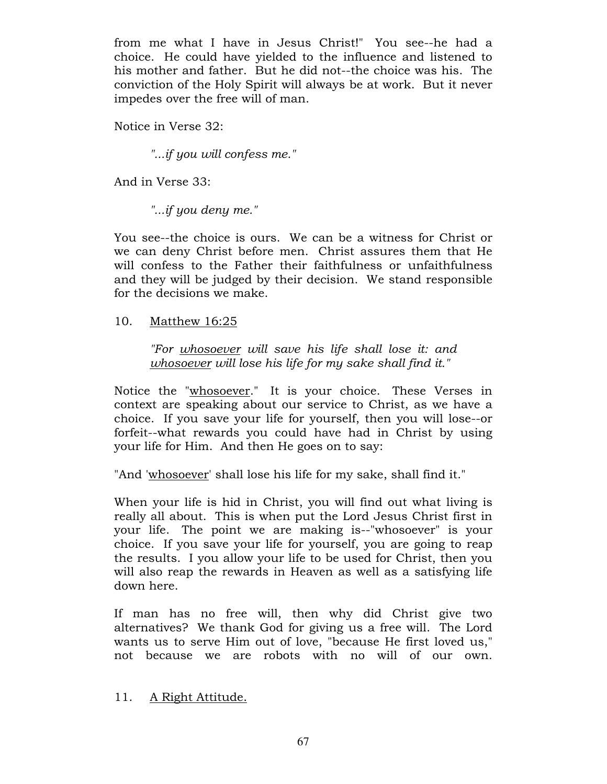from me what I have in Jesus Christ!" You see--he had a choice. He could have yielded to the influence and listened to his mother and father. But he did not--the choice was his. The conviction of the Holy Spirit will always be at work. But it never impedes over the free will of man.

Notice in Verse 32:

"...if you will confess me."

And in Verse 33:

"...if you deny me."

You see--the choice is ours. We can be a witness for Christ or we can deny Christ before men. Christ assures them that He will confess to the Father their faithfulness or unfaithfulness and they will be judged by their decision. We stand responsible for the decisions we make.

10. Matthew 16:25

"For whosoever will save his life shall lose it: and whosoever will lose his life for my sake shall find it."

Notice the "whosoever." It is your choice. These Verses in context are speaking about our service to Christ, as we have a choice. If you save your life for yourself, then you will lose--or forfeit--what rewards you could have had in Christ by using your life for Him. And then He goes on to say:

"And 'whosoever' shall lose his life for my sake, shall find it."

When your life is hid in Christ, you will find out what living is really all about. This is when put the Lord Jesus Christ first in your life. The point we are making is--"whosoever" is your choice. If you save your life for yourself, you are going to reap the results. I you allow your life to be used for Christ, then you will also reap the rewards in Heaven as well as a satisfying life down here.

If man has no free will, then why did Christ give two alternatives? We thank God for giving us a free will. The Lord wants us to serve Him out of love, "because He first loved us," not because we are robots with no will of our own.

11. A Right Attitude.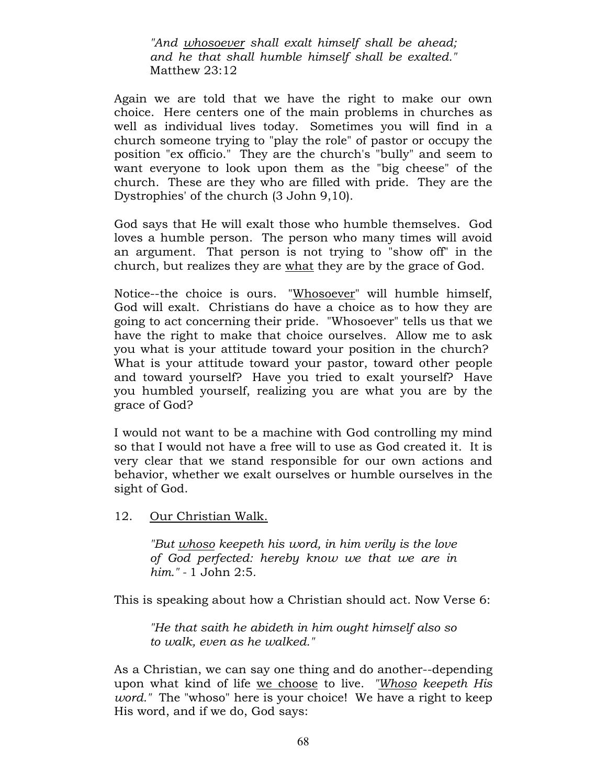"And whosoever shall exalt himself shall be ahead; and he that shall humble himself shall be exalted." Matthew 23:12

Again we are told that we have the right to make our own choice. Here centers one of the main problems in churches as well as individual lives today. Sometimes you will find in a church someone trying to "play the role" of pastor or occupy the position "ex officio." They are the church's "bully" and seem to want everyone to look upon them as the "big cheese" of the church. These are they who are filled with pride. They are the Dystrophies' of the church (3 John 9,10).

God says that He will exalt those who humble themselves. God loves a humble person. The person who many times will avoid an argument. That person is not trying to "show off" in the church, but realizes they are what they are by the grace of God.

Notice--the choice is ours. "Whosoever" will humble himself, God will exalt. Christians do have a choice as to how they are going to act concerning their pride. "Whosoever" tells us that we have the right to make that choice ourselves. Allow me to ask you what is your attitude toward your position in the church? What is your attitude toward your pastor, toward other people and toward yourself? Have you tried to exalt yourself? Have you humbled yourself, realizing you are what you are by the grace of God?

I would not want to be a machine with God controlling my mind so that I would not have a free will to use as God created it. It is very clear that we stand responsible for our own actions and behavior, whether we exalt ourselves or humble ourselves in the sight of God.

12. Our Christian Walk.

"But whoso keepeth his word, in him verily is the love of God perfected: hereby know we that we are in him." - 1 John 2:5.

This is speaking about how a Christian should act. Now Verse 6:

"He that saith he abideth in him ought himself also so to walk, even as he walked."

As a Christian, we can say one thing and do another--depending upon what kind of life we choose to live. "Whoso keepeth His word." The "whoso" here is your choice! We have a right to keep His word, and if we do, God says: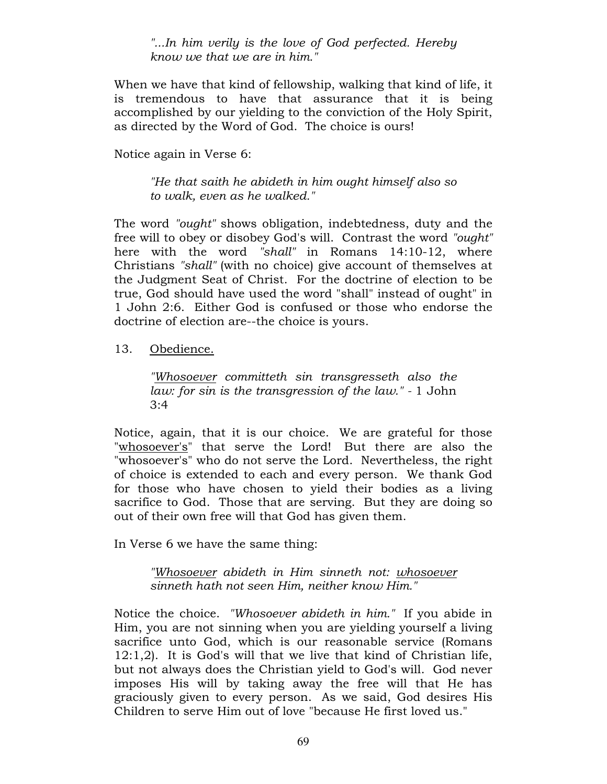"...In him verily is the love of God perfected. Hereby know we that we are in him."

When we have that kind of fellowship, walking that kind of life, it is tremendous to have that assurance that it is being accomplished by our yielding to the conviction of the Holy Spirit, as directed by the Word of God. The choice is ours!

Notice again in Verse 6:

"He that saith he abideth in him ought himself also so to walk, even as he walked."

The word "ought" shows obligation, indebtedness, duty and the free will to obey or disobey God's will. Contrast the word "ought" here with the word "shall" in Romans 14:10-12, where Christians "shall" (with no choice) give account of themselves at the Judgment Seat of Christ. For the doctrine of election to be true, God should have used the word "shall" instead of ought" in 1 John 2:6. Either God is confused or those who endorse the doctrine of election are--the choice is yours.

#### 13. Obedience.

"Whosoever committeth sin transgresseth also the law: for sin is the transgression of the law." - 1 John  $3:4$ 

Notice, again, that it is our choice. We are grateful for those "whosoever's" that serve the Lord! But there are also the "whosoever's" who do not serve the Lord. Nevertheless, the right of choice is extended to each and every person. We thank God for those who have chosen to yield their bodies as a living sacrifice to God. Those that are serving. But they are doing so out of their own free will that God has given them.

In Verse 6 we have the same thing:

"Whosoever abideth in Him sinneth not: whosoever sinneth hath not seen Him, neither know Him."

Notice the choice. "Whosoever abideth in him." If you abide in Him, you are not sinning when you are yielding yourself a living sacrifice unto God, which is our reasonable service (Romans 12:1,2). It is God's will that we live that kind of Christian life, but not always does the Christian yield to God's will. God never imposes His will by taking away the free will that He has graciously given to every person. As we said, God desires His Children to serve Him out of love "because He first loved us."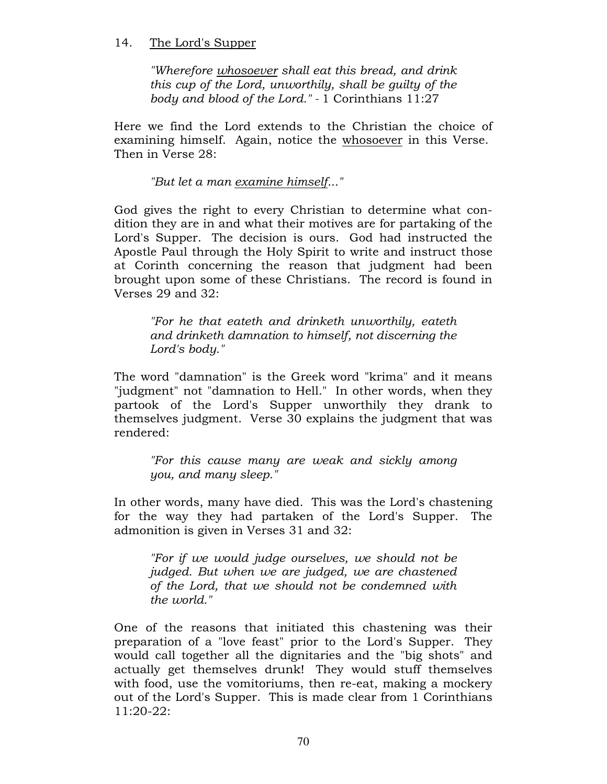### 14. The Lord's Supper

"Wherefore whosoever shall eat this bread, and drink this cup of the Lord, unworthily, shall be guilty of the body and blood of the Lord." - 1 Corinthians 11:27

Here we find the Lord extends to the Christian the choice of examining himself. Again, notice the whosoever in this Verse. Then in Verse 28:

"But let a man examine himself..."

God gives the right to every Christian to determine what condition they are in and what their motives are for partaking of the Lord's Supper. The decision is ours. God had instructed the Apostle Paul through the Holy Spirit to write and instruct those at Corinth concerning the reason that judgment had been brought upon some of these Christians. The record is found in Verses 29 and 32:

"For he that eateth and drinketh unworthily, eateth and drinketh damnation to himself, not discerning the Lord's body."

The word "damnation" is the Greek word "krima" and it means "judgment" not "damnation to Hell." In other words, when they partook of the Lord's Supper unworthily they drank to themselves judgment. Verse 30 explains the judgment that was rendered:

"For this cause many are weak and sickly among you, and many sleep."

In other words, many have died. This was the Lord's chastening for the way they had partaken of the Lord's Supper. The admonition is given in Verses 31 and 32:

"For if we would judge ourselves, we should not be judged. But when we are judged, we are chastened of the Lord, that we should not be condemned with the world."

One of the reasons that initiated this chastening was their preparation of a "love feast" prior to the Lord's Supper. They would call together all the dignitaries and the "big shots" and actually get themselves drunk! They would stuff themselves with food, use the vomitoriums, then re-eat, making a mockery out of the Lord's Supper. This is made clear from 1 Corinthians 11:20-22: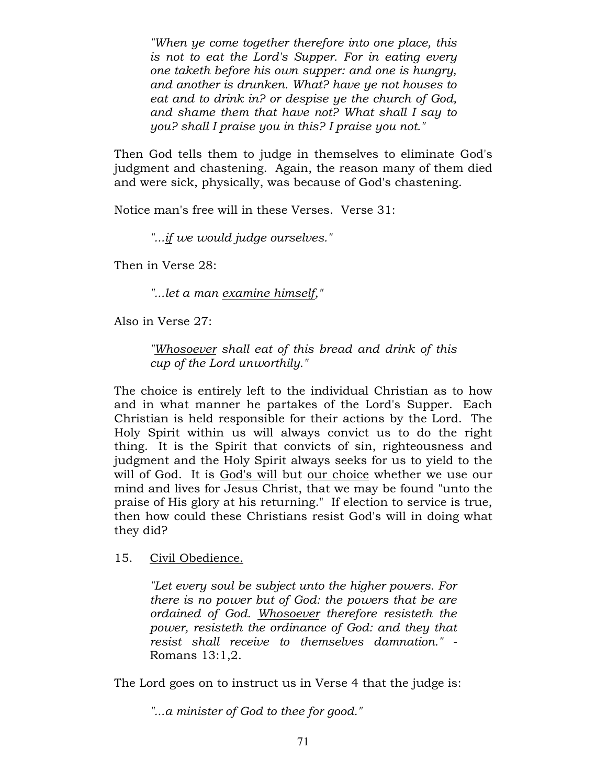"When ye come together therefore into one place, this is not to eat the Lord's Supper. For in eating every one taketh before his own supper: and one is hungry, and another is drunken. What? have ye not houses to eat and to drink in? or despise ye the church of God, and shame them that have not? What shall I say to you? shall I praise you in this? I praise you not."

Then God tells them to judge in themselves to eliminate God's judgment and chastening. Again, the reason many of them died and were sick, physically, was because of God's chastening.

Notice man's free will in these Verses. Verse 31:

"...if we would judge ourselves."

Then in Verse 28:

"...let a man examine himself,"

Also in Verse 27:

"Whosoever shall eat of this bread and drink of this cup of the Lord unworthily."

The choice is entirely left to the individual Christian as to how and in what manner he partakes of the Lord's Supper. Each Christian is held responsible for their actions by the Lord. The Holy Spirit within us will always convict us to do the right thing. It is the Spirit that convicts of sin, righteousness and judgment and the Holy Spirit always seeks for us to yield to the will of God. It is God's will but our choice whether we use our mind and lives for Jesus Christ, that we may be found "unto the praise of His glory at his returning." If election to service is true, then how could these Christians resist God's will in doing what they did?

15. Civil Obedience.

"Let every soul be subject unto the higher powers. For there is no power but of God: the powers that be are ordained of God. Whosoever therefore resisteth the power, resisteth the ordinance of God: and they that resist shall receive to themselves damnation." - Romans 13:1,2.

The Lord goes on to instruct us in Verse 4 that the judge is:

"...a minister of God to thee for good."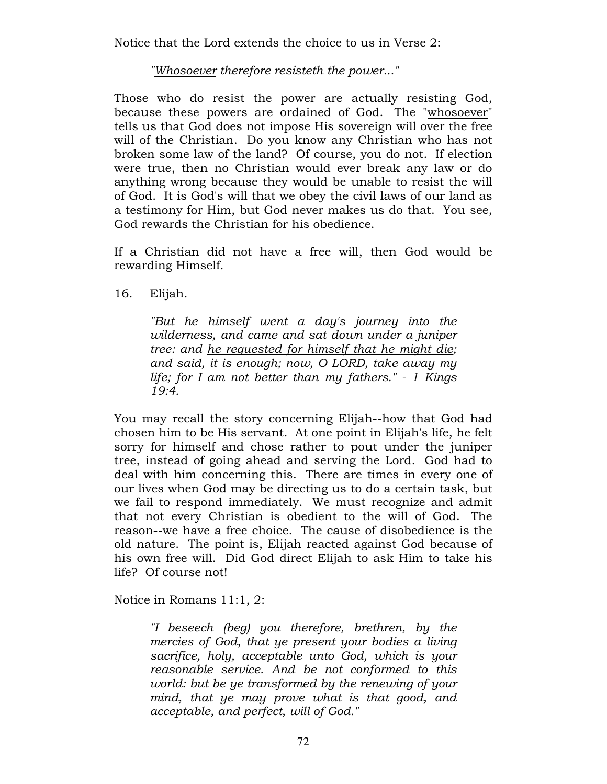Notice that the Lord extends the choice to us in Verse 2:

"Whosoever therefore resisteth the power..."

Those who do resist the power are actually resisting God, because these powers are ordained of God. The "whosoever" tells us that God does not impose His sovereign will over the free will of the Christian. Do you know any Christian who has not broken some law of the land? Of course, you do not. If election were true, then no Christian would ever break any law or do anything wrong because they would be unable to resist the will of God. It is God's will that we obey the civil laws of our land as a testimony for Him, but God never makes us do that. You see, God rewards the Christian for his obedience.

If a Christian did not have a free will, then God would be rewarding Himself.

16. Elijah.

"But he himself went a day's journey into the wilderness, and came and sat down under a juniper tree: and he requested for himself that he might die; and said, it is enough; now, O LORD, take away my life; for I am not better than my fathers." - 1 Kings 19:4.

You may recall the story concerning Elijah--how that God had chosen him to be His servant. At one point in Elijah's life, he felt sorry for himself and chose rather to pout under the juniper tree, instead of going ahead and serving the Lord. God had to deal with him concerning this. There are times in every one of our lives when God may be directing us to do a certain task, but we fail to respond immediately. We must recognize and admit that not every Christian is obedient to the will of God. The reason--we have a free choice. The cause of disobedience is the old nature. The point is, Elijah reacted against God because of his own free will. Did God direct Elijah to ask Him to take his life? Of course not!

Notice in Romans 11:1, 2:

"I beseech (beg) you therefore, brethren, by the mercies of God, that ye present your bodies a living sacrifice, holy, acceptable unto God, which is your reasonable service. And be not conformed to this world: but be ye transformed by the renewing of your mind, that ye may prove what is that good, and acceptable, and perfect, will of God."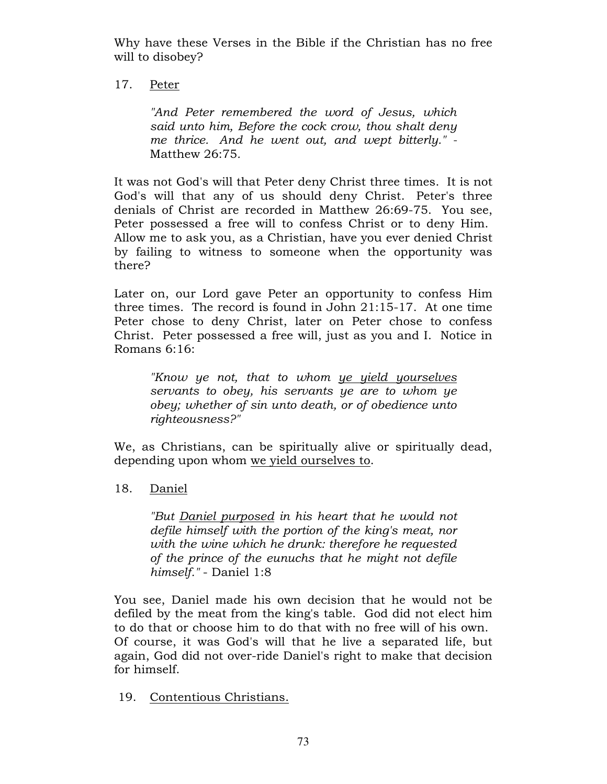Why have these Verses in the Bible if the Christian has no free will to disobey?

# 17. Peter

"And Peter remembered the word of Jesus, which said unto him, Before the cock crow, thou shalt deny me thrice. And he went out, and wept bitterly." - Matthew 26:75.

It was not God's will that Peter deny Christ three times. It is not God's will that any of us should deny Christ. Peter's three denials of Christ are recorded in Matthew 26:69-75. You see, Peter possessed a free will to confess Christ or to deny Him. Allow me to ask you, as a Christian, have you ever denied Christ by failing to witness to someone when the opportunity was there?

Later on, our Lord gave Peter an opportunity to confess Him three times. The record is found in John 21:15-17. At one time Peter chose to deny Christ, later on Peter chose to confess Christ. Peter possessed a free will, just as you and I. Notice in Romans 6:16:

"Know ye not, that to whom ye yield yourselves servants to obey, his servants ye are to whom ye obey; whether of sin unto death, or of obedience unto righteousness?"

We, as Christians, can be spiritually alive or spiritually dead, depending upon whom we yield ourselves to.

# 18. Daniel

"But Daniel purposed in his heart that he would not defile himself with the portion of the king's meat, nor with the wine which he drunk: therefore he requested of the prince of the eunuchs that he might not defile himself." - Daniel 1:8

You see, Daniel made his own decision that he would not be defiled by the meat from the king's table. God did not elect him to do that or choose him to do that with no free will of his own. Of course, it was God's will that he live a separated life, but again, God did not over-ride Daniel's right to make that decision for himself.

19. Contentious Christians.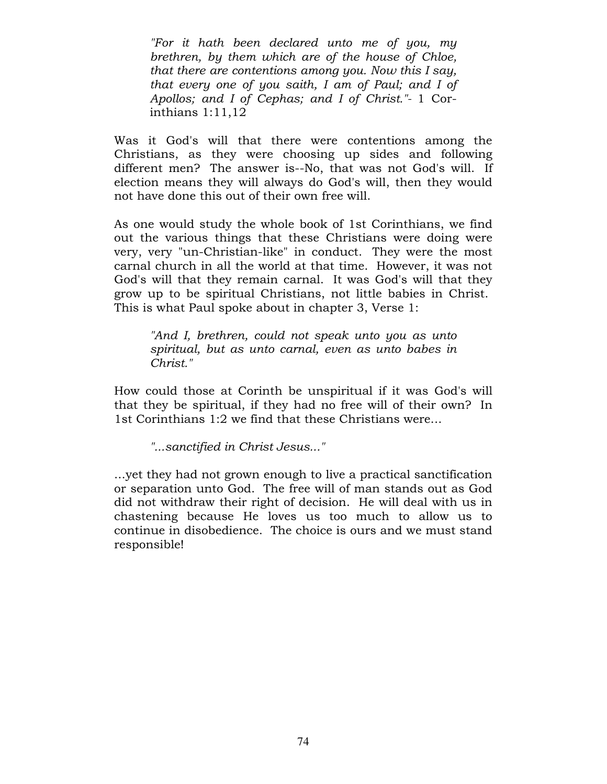"For it hath been declared unto me of you, my brethren, by them which are of the house of Chloe, that there are contentions among you. Now this I say, that every one of you saith, I am of Paul; and I of Apollos; and I of Cephas; and I of Christ."- 1 Corinthians 1:11,12

Was it God's will that there were contentions among the Christians, as they were choosing up sides and following different men? The answer is--No, that was not God's will. If election means they will always do God's will, then they would not have done this out of their own free will.

As one would study the whole book of 1st Corinthians, we find out the various things that these Christians were doing were very, very "un-Christian-like" in conduct. They were the most carnal church in all the world at that time. However, it was not God's will that they remain carnal. It was God's will that they grow up to be spiritual Christians, not little babies in Christ. This is what Paul spoke about in chapter 3, Verse 1:

"And I, brethren, could not speak unto you as unto spiritual, but as unto carnal, even as unto babes in Christ."

How could those at Corinth be unspiritual if it was God's will that they be spiritual, if they had no free will of their own? In 1st Corinthians 1:2 we find that these Christians were...

"...sanctified in Christ Jesus..."

...yet they had not grown enough to live a practical sanctification or separation unto God. The free will of man stands out as God did not withdraw their right of decision. He will deal with us in chastening because He loves us too much to allow us to continue in disobedience. The choice is ours and we must stand responsible!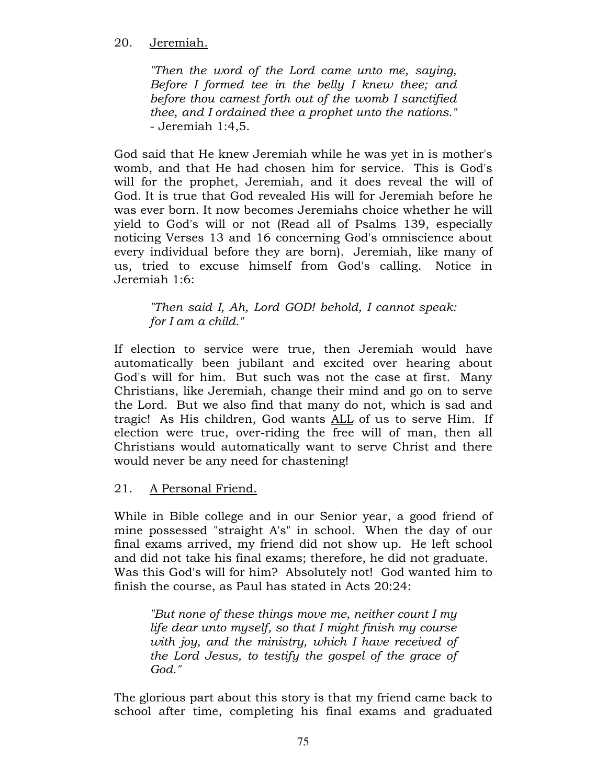### 20. Jeremiah.

"Then the word of the Lord came unto me, saying, Before I formed tee in the belly I knew thee; and before thou camest forth out of the womb I sanctified thee, and I ordained thee a prophet unto the nations." - Jeremiah 1:4,5.

God said that He knew Jeremiah while he was yet in is mother's womb, and that He had chosen him for service. This is God's will for the prophet, Jeremiah, and it does reveal the will of God. It is true that God revealed His will for Jeremiah before he was ever born. It now becomes Jeremiahs choice whether he will yield to God's will or not (Read all of Psalms 139, especially noticing Verses 13 and 16 concerning God's omniscience about every individual before they are born). Jeremiah, like many of us, tried to excuse himself from God's calling. Notice in Jeremiah 1:6:

### "Then said I, Ah, Lord GOD! behold, I cannot speak: for I am a child."

If election to service were true, then Jeremiah would have automatically been jubilant and excited over hearing about God's will for him. But such was not the case at first. Many Christians, like Jeremiah, change their mind and go on to serve the Lord. But we also find that many do not, which is sad and tragic! As His children, God wants ALL of us to serve Him. If election were true, over-riding the free will of man, then all Christians would automatically want to serve Christ and there would never be any need for chastening!

21. A Personal Friend.

While in Bible college and in our Senior year, a good friend of mine possessed "straight A's" in school. When the day of our final exams arrived, my friend did not show up. He left school and did not take his final exams; therefore, he did not graduate. Was this God's will for him? Absolutely not! God wanted him to finish the course, as Paul has stated in Acts 20:24:

"But none of these things move me, neither count I my life dear unto myself, so that I might finish my course with joy, and the ministry, which I have received of the Lord Jesus, to testify the gospel of the grace of God."

The glorious part about this story is that my friend came back to school after time, completing his final exams and graduated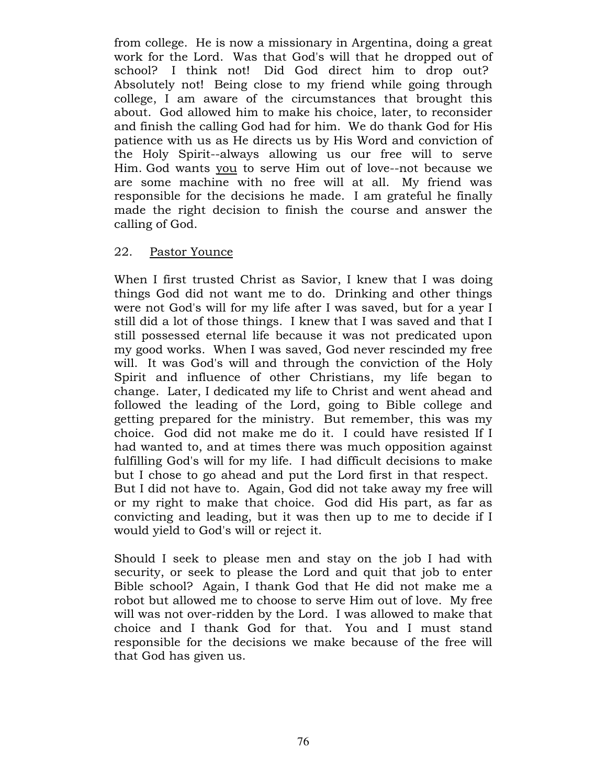from college. He is now a missionary in Argentina, doing a great work for the Lord. Was that God's will that he dropped out of school? I think not! Did God direct him to drop out? Absolutely not! Being close to my friend while going through college, I am aware of the circumstances that brought this about. God allowed him to make his choice, later, to reconsider and finish the calling God had for him. We do thank God for His patience with us as He directs us by His Word and conviction of the Holy Spirit--always allowing us our free will to serve Him. God wants you to serve Him out of love--not because we are some machine with no free will at all. My friend was responsible for the decisions he made. I am grateful he finally made the right decision to finish the course and answer the calling of God.

#### 22. Pastor Younce

When I first trusted Christ as Savior, I knew that I was doing things God did not want me to do. Drinking and other things were not God's will for my life after I was saved, but for a year I still did a lot of those things. I knew that I was saved and that I still possessed eternal life because it was not predicated upon my good works. When I was saved, God never rescinded my free will. It was God's will and through the conviction of the Holy Spirit and influence of other Christians, my life began to change. Later, I dedicated my life to Christ and went ahead and followed the leading of the Lord, going to Bible college and getting prepared for the ministry. But remember, this was my choice. God did not make me do it. I could have resisted If I had wanted to, and at times there was much opposition against fulfilling God's will for my life. I had difficult decisions to make but I chose to go ahead and put the Lord first in that respect. But I did not have to. Again, God did not take away my free will or my right to make that choice. God did His part, as far as convicting and leading, but it was then up to me to decide if I would yield to God's will or reject it.

Should I seek to please men and stay on the job I had with security, or seek to please the Lord and quit that job to enter Bible school? Again, I thank God that He did not make me a robot but allowed me to choose to serve Him out of love. My free will was not over-ridden by the Lord. I was allowed to make that choice and I thank God for that. You and I must stand responsible for the decisions we make because of the free will that God has given us.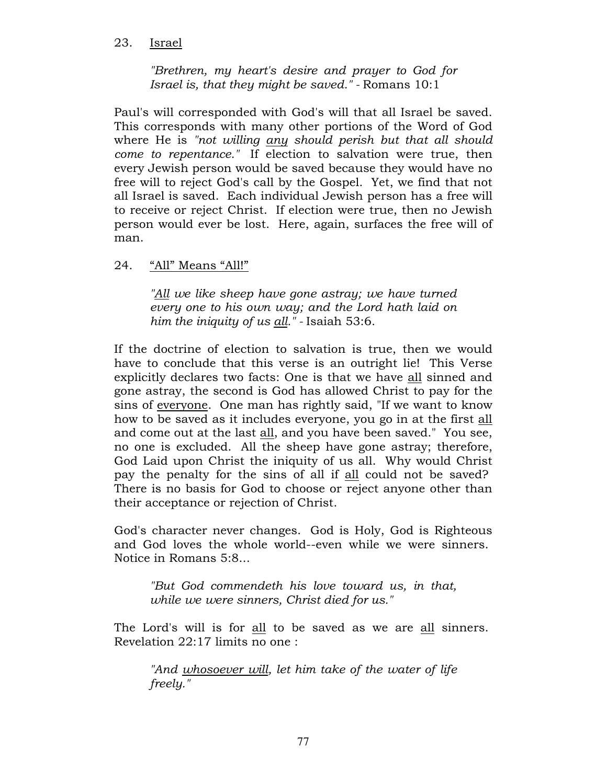### 23. Israel

"Brethren, my heart's desire and prayer to God for Israel is, that they might be saved." - Romans 10:1

Paul's will corresponded with God's will that all Israel be saved. This corresponds with many other portions of the Word of God where He is "not willing any should perish but that all should come to repentance." If election to salvation were true, then every Jewish person would be saved because they would have no free will to reject God's call by the Gospel. Yet, we find that not all Israel is saved. Each individual Jewish person has a free will to receive or reject Christ. If election were true, then no Jewish person would ever be lost. Here, again, surfaces the free will of man.

# 24. "All" Means "All!"

"All we like sheep have gone astray; we have turned every one to his own way; and the Lord hath laid on him the iniquity of us  $all.$ " - Isaiah 53:6.

If the doctrine of election to salvation is true, then we would have to conclude that this verse is an outright lie! This Verse explicitly declares two facts: One is that we have all sinned and gone astray, the second is God has allowed Christ to pay for the sins of everyone. One man has rightly said, "If we want to know how to be saved as it includes everyone, you go in at the first all and come out at the last all, and you have been saved." You see, no one is excluded. All the sheep have gone astray; therefore, God Laid upon Christ the iniquity of us all. Why would Christ pay the penalty for the sins of all if all could not be saved? There is no basis for God to choose or reject anyone other than their acceptance or rejection of Christ.

God's character never changes. God is Holy, God is Righteous and God loves the whole world--even while we were sinners. Notice in Romans 5:8...

"But God commendeth his love toward us, in that, while we were sinners, Christ died for us."

The Lord's will is for all to be saved as we are all sinners. Revelation 22:17 limits no one :

"And whosoever will, let him take of the water of life freely."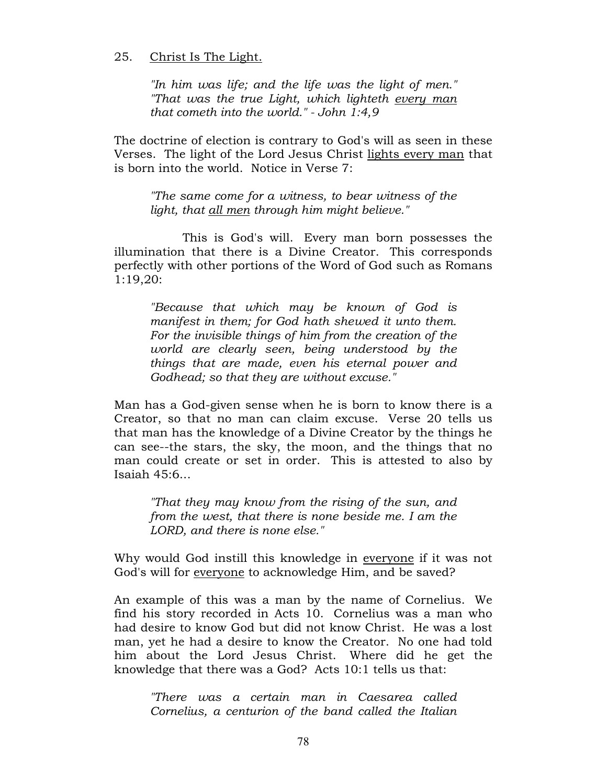#### 25. Christ Is The Light.

"In him was life; and the life was the light of men." "That was the true Light, which lighteth every man that cometh into the world." - John 1:4,9

The doctrine of election is contrary to God's will as seen in these Verses. The light of the Lord Jesus Christ lights every man that is born into the world. Notice in Verse 7:

"The same come for a witness, to bear witness of the light, that all men through him might believe."

This is God's will. Every man born possesses the illumination that there is a Divine Creator. This corresponds perfectly with other portions of the Word of God such as Romans 1:19,20:

"Because that which may be known of God is manifest in them; for God hath shewed it unto them. For the invisible things of him from the creation of the world are clearly seen, being understood by the things that are made, even his eternal power and Godhead; so that they are without excuse."

Man has a God-given sense when he is born to know there is a Creator, so that no man can claim excuse. Verse 20 tells us that man has the knowledge of a Divine Creator by the things he can see--the stars, the sky, the moon, and the things that no man could create or set in order. This is attested to also by Isaiah 45:6...

"That they may know from the rising of the sun, and from the west, that there is none beside me. I am the LORD, and there is none else."

Why would God instill this knowledge in everyone if it was not God's will for everyone to acknowledge Him, and be saved?

An example of this was a man by the name of Cornelius. We find his story recorded in Acts 10. Cornelius was a man who had desire to know God but did not know Christ. He was a lost man, yet he had a desire to know the Creator. No one had told him about the Lord Jesus Christ. Where did he get the knowledge that there was a God? Acts 10:1 tells us that:

"There was a certain man in Caesarea called Cornelius, a centurion of the band called the Italian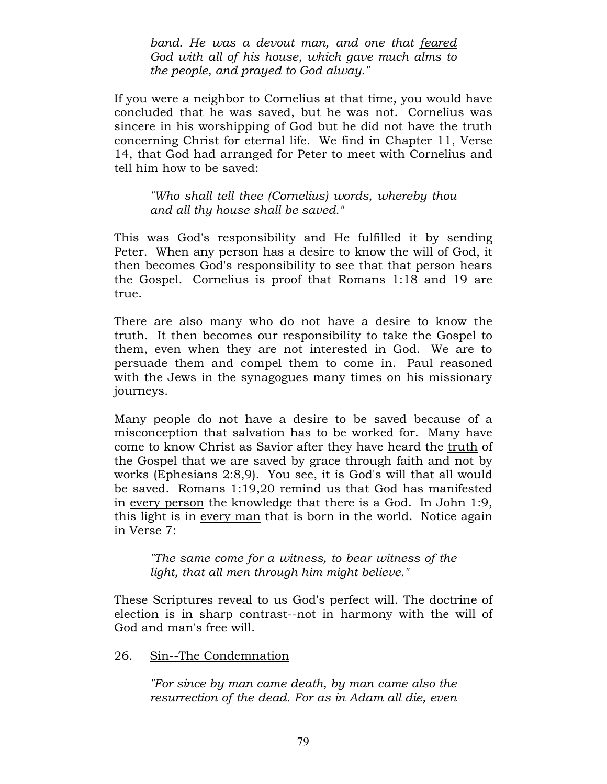band. He was a devout man, and one that feared God with all of his house, which gave much alms to the people, and prayed to God alway."

If you were a neighbor to Cornelius at that time, you would have concluded that he was saved, but he was not. Cornelius was sincere in his worshipping of God but he did not have the truth concerning Christ for eternal life. We find in Chapter 11, Verse 14, that God had arranged for Peter to meet with Cornelius and tell him how to be saved:

"Who shall tell thee (Cornelius) words, whereby thou and all thy house shall be saved."

This was God's responsibility and He fulfilled it by sending Peter. When any person has a desire to know the will of God, it then becomes God's responsibility to see that that person hears the Gospel. Cornelius is proof that Romans 1:18 and 19 are true.

There are also many who do not have a desire to know the truth. It then becomes our responsibility to take the Gospel to them, even when they are not interested in God. We are to persuade them and compel them to come in. Paul reasoned with the Jews in the synagogues many times on his missionary journeys.

Many people do not have a desire to be saved because of a misconception that salvation has to be worked for. Many have come to know Christ as Savior after they have heard the truth of the Gospel that we are saved by grace through faith and not by works (Ephesians 2:8,9). You see, it is God's will that all would be saved. Romans 1:19,20 remind us that God has manifested in every person the knowledge that there is a God. In John 1:9, this light is in every man that is born in the world. Notice again in Verse 7:

"The same come for a witness, to bear witness of the light, that all men through him might believe."

These Scriptures reveal to us God's perfect will. The doctrine of election is in sharp contrast--not in harmony with the will of God and man's free will.

26. Sin--The Condemnation

"For since by man came death, by man came also the resurrection of the dead. For as in Adam all die, even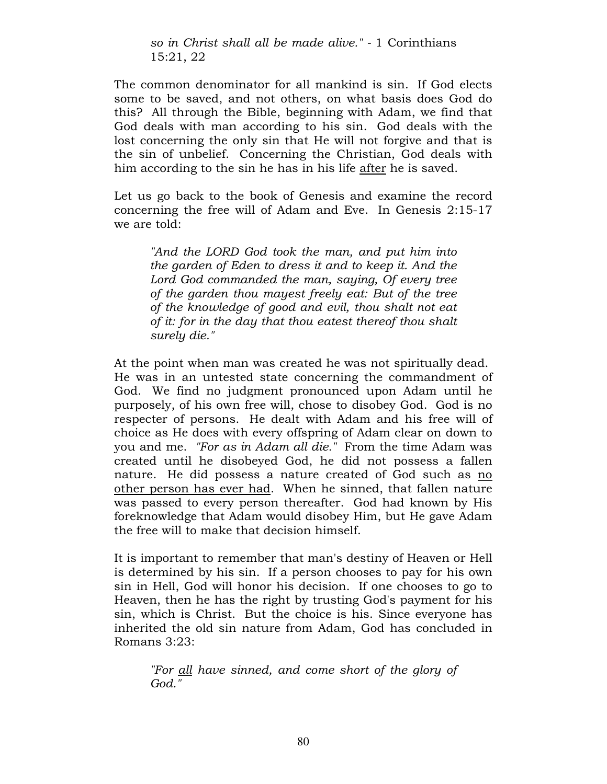so in Christ shall all be made alive." - 1 Corinthians 15:21, 22

The common denominator for all mankind is sin. If God elects some to be saved, and not others, on what basis does God do this? All through the Bible, beginning with Adam, we find that God deals with man according to his sin. God deals with the lost concerning the only sin that He will not forgive and that is the sin of unbelief. Concerning the Christian, God deals with him according to the sin he has in his life after he is saved.

Let us go back to the book of Genesis and examine the record concerning the free will of Adam and Eve. In Genesis 2:15-17 we are told:

"And the LORD God took the man, and put him into the garden of Eden to dress it and to keep it. And the Lord God commanded the man, saying, Of every tree of the garden thou mayest freely eat: But of the tree of the knowledge of good and evil, thou shalt not eat of it: for in the day that thou eatest thereof thou shalt surely die."

At the point when man was created he was not spiritually dead. He was in an untested state concerning the commandment of God. We find no judgment pronounced upon Adam until he purposely, of his own free will, chose to disobey God. God is no respecter of persons. He dealt with Adam and his free will of choice as He does with every offspring of Adam clear on down to you and me. "For as in Adam all die." From the time Adam was created until he disobeyed God, he did not possess a fallen nature. He did possess a nature created of God such as no other person has ever had. When he sinned, that fallen nature was passed to every person thereafter. God had known by His foreknowledge that Adam would disobey Him, but He gave Adam the free will to make that decision himself.

It is important to remember that man's destiny of Heaven or Hell is determined by his sin. If a person chooses to pay for his own sin in Hell, God will honor his decision. If one chooses to go to Heaven, then he has the right by trusting God's payment for his sin, which is Christ. But the choice is his. Since everyone has inherited the old sin nature from Adam, God has concluded in Romans 3:23:

"For all have sinned, and come short of the glory of God."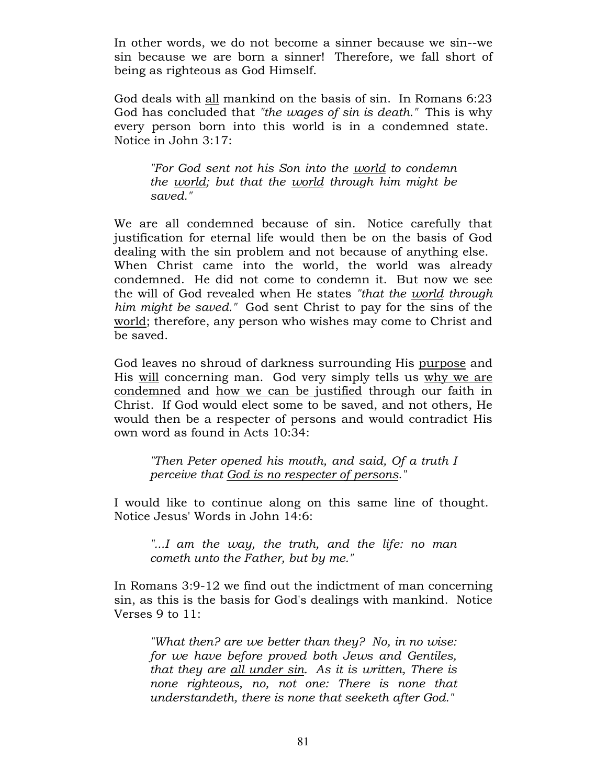In other words, we do not become a sinner because we sin--we sin because we are born a sinner! Therefore, we fall short of being as righteous as God Himself.

God deals with all mankind on the basis of sin. In Romans 6:23 God has concluded that "the wages of sin is death." This is why every person born into this world is in a condemned state. Notice in John 3:17:

"For God sent not his Son into the world to condemn the world; but that the world through him might be saved."

We are all condemned because of sin. Notice carefully that justification for eternal life would then be on the basis of God dealing with the sin problem and not because of anything else. When Christ came into the world, the world was already condemned. He did not come to condemn it. But now we see the will of God revealed when He states "that the world through him might be saved." God sent Christ to pay for the sins of the world; therefore, any person who wishes may come to Christ and be saved.

God leaves no shroud of darkness surrounding His purpose and His will concerning man. God very simply tells us why we are condemned and how we can be justified through our faith in Christ. If God would elect some to be saved, and not others, He would then be a respecter of persons and would contradict His own word as found in Acts 10:34:

"Then Peter opened his mouth, and said, Of a truth I perceive that God is no respecter of persons."

I would like to continue along on this same line of thought. Notice Jesus' Words in John 14:6:

"...I am the way, the truth, and the life: no man cometh unto the Father, but by me."

In Romans 3:9-12 we find out the indictment of man concerning sin, as this is the basis for God's dealings with mankind. Notice Verses 9 to 11:

"What then? are we better than they? No, in no wise: for we have before proved both Jews and Gentiles, that they are all under sin. As it is written, There is none righteous, no, not one: There is none that understandeth, there is none that seeketh after God."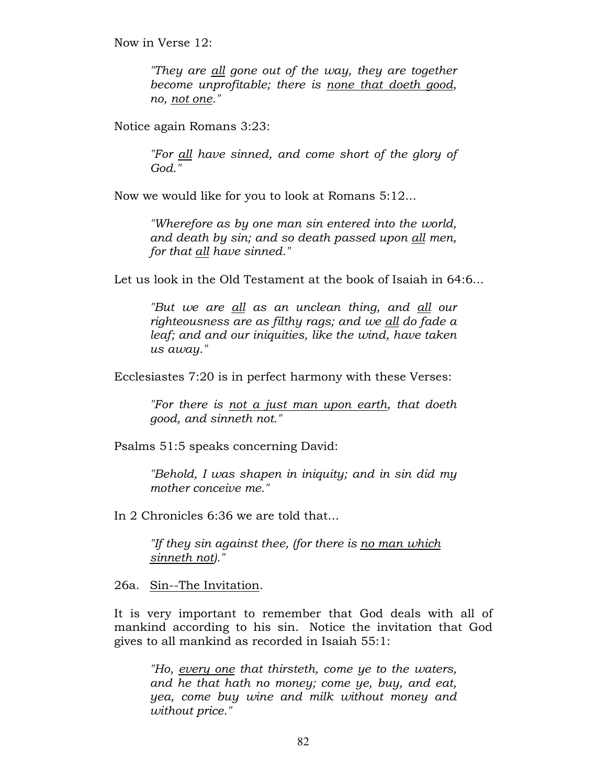Now in Verse 12:

"They are all gone out of the way, they are together become unprofitable; there is none that doeth good, no, not one."

Notice again Romans 3:23:

"For all have sinned, and come short of the glory of God."

Now we would like for you to look at Romans 5:12...

"Wherefore as by one man sin entered into the world, and death by sin; and so death passed upon all men, for that all have sinned."

Let us look in the Old Testament at the book of Isaiah in 64:6...

"But we are all as an unclean thing, and all our righteousness are as filthy rags; and we all do fade a leaf; and and our iniquities, like the wind, have taken us away."

Ecclesiastes 7:20 is in perfect harmony with these Verses:

"For there is not a just man upon earth, that doeth good, and sinneth not."

Psalms 51:5 speaks concerning David:

"Behold, I was shapen in iniquity; and in sin did my mother conceive me."

In 2 Chronicles 6:36 we are told that...

"If they sin against thee, (for there is <u>no man which</u> sinneth not)."

26a. Sin--The Invitation.

It is very important to remember that God deals with all of mankind according to his sin. Notice the invitation that God gives to all mankind as recorded in Isaiah 55:1:

"Ho, every one that thirsteth, come ye to the waters, and he that hath no money; come ye, buy, and eat, yea, come buy wine and milk without money and without price."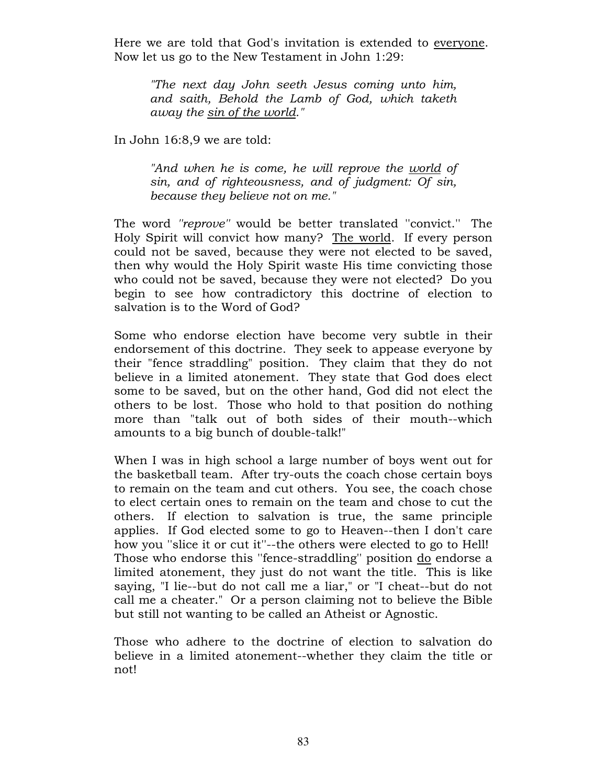Here we are told that God's invitation is extended to everyone. Now let us go to the New Testament in John 1:29:

"The next day John seeth Jesus coming unto him, and saith, Behold the Lamb of God, which taketh away the sin of the world."

In John 16:8,9 we are told:

"And when he is come, he will reprove the world of sin, and of righteousness, and of judgment: Of sin, because they believe not on me."

The word ''reprove'' would be better translated ''convict.'' The Holy Spirit will convict how many? The world. If every person could not be saved, because they were not elected to be saved, then why would the Holy Spirit waste His time convicting those who could not be saved, because they were not elected? Do you begin to see how contradictory this doctrine of election to salvation is to the Word of God?

Some who endorse election have become very subtle in their endorsement of this doctrine. They seek to appease everyone by their "fence straddling" position. They claim that they do not believe in a limited atonement. They state that God does elect some to be saved, but on the other hand, God did not elect the others to be lost. Those who hold to that position do nothing more than "talk out of both sides of their mouth--which amounts to a big bunch of double-talk!"

When I was in high school a large number of boys went out for the basketball team. After try-outs the coach chose certain boys to remain on the team and cut others. You see, the coach chose to elect certain ones to remain on the team and chose to cut the others. If election to salvation is true, the same principle applies. If God elected some to go to Heaven--then I don't care how you ''slice it or cut it''--the others were elected to go to Hell! Those who endorse this "fence-straddling" position do endorse a limited atonement, they just do not want the title. This is like saying, "I lie--but do not call me a liar," or "I cheat--but do not call me a cheater." Or a person claiming not to believe the Bible but still not wanting to be called an Atheist or Agnostic.

Those who adhere to the doctrine of election to salvation do believe in a limited atonement--whether they claim the title or not!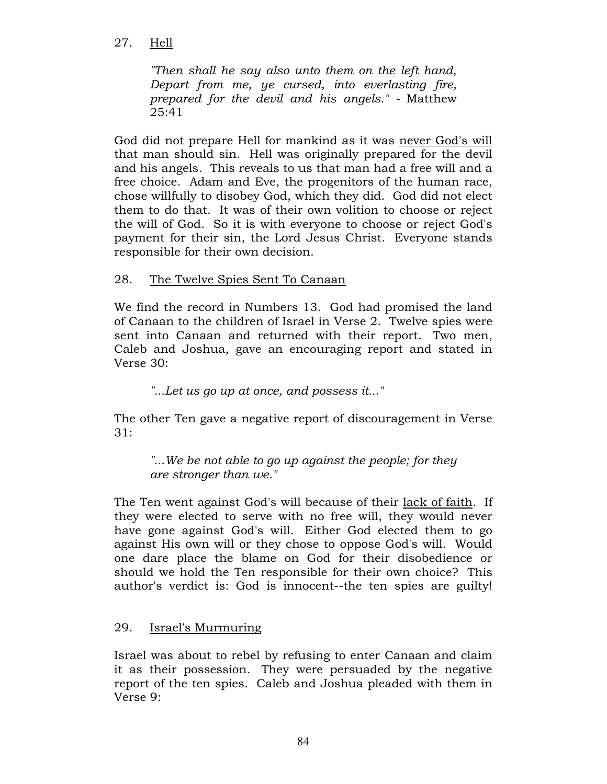## 27. Hell

"Then shall he say also unto them on the left hand, Depart from me, ye cursed, into everlasting fire, prepared for the devil and his angels." - Matthew 25:41

God did not prepare Hell for mankind as it was never God's will that man should sin. Hell was originally prepared for the devil and his angels. This reveals to us that man had a free will and a free choice. Adam and Eve, the progenitors of the human race, chose willfully to disobey God, which they did. God did not elect them to do that. It was of their own volition to choose or reject the will of God. So it is with everyone to choose or reject God's payment for their sin, the Lord Jesus Christ. Everyone stands responsible for their own decision.

# 28. The Twelve Spies Sent To Canaan

We find the record in Numbers 13. God had promised the land of Canaan to the children of Israel in Verse 2. Twelve spies were sent into Canaan and returned with their report. Two men, Caleb and Joshua, gave an encouraging report and stated in Verse 30:

"...Let us go up at once, and possess it..."

The other Ten gave a negative report of discouragement in Verse  $31:$ 

"...We be not able to go up against the people; for they are stronger than we."

The Ten went against God's will because of their lack of faith. If they were elected to serve with no free will, they would never have gone against God's will. Either God elected them to go against His own will or they chose to oppose God's will. Would one dare place the blame on God for their disobedience or should we hold the Ten responsible for their own choice? This author's verdict is: God is innocent--the ten spies are guilty!

# 29. Israel's Murmuring

Israel was about to rebel by refusing to enter Canaan and claim it as their possession. They were persuaded by the negative report of the ten spies. Caleb and Joshua pleaded with them in Verse 9: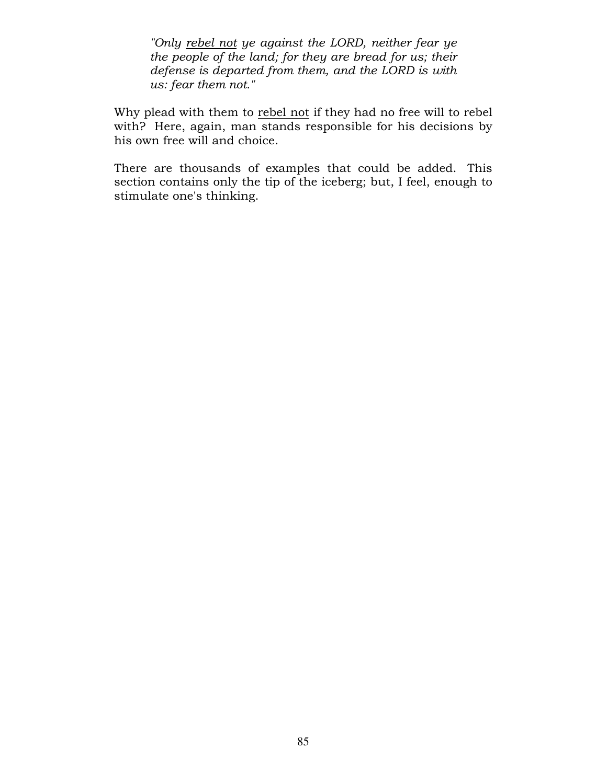"Only rebel not ye against the LORD, neither fear ye the people of the land; for they are bread for us; their defense is departed from them, and the LORD is with us: fear them not."

Why plead with them to rebel not if they had no free will to rebel with? Here, again, man stands responsible for his decisions by his own free will and choice.

There are thousands of examples that could be added. This section contains only the tip of the iceberg; but, I feel, enough to stimulate one's thinking.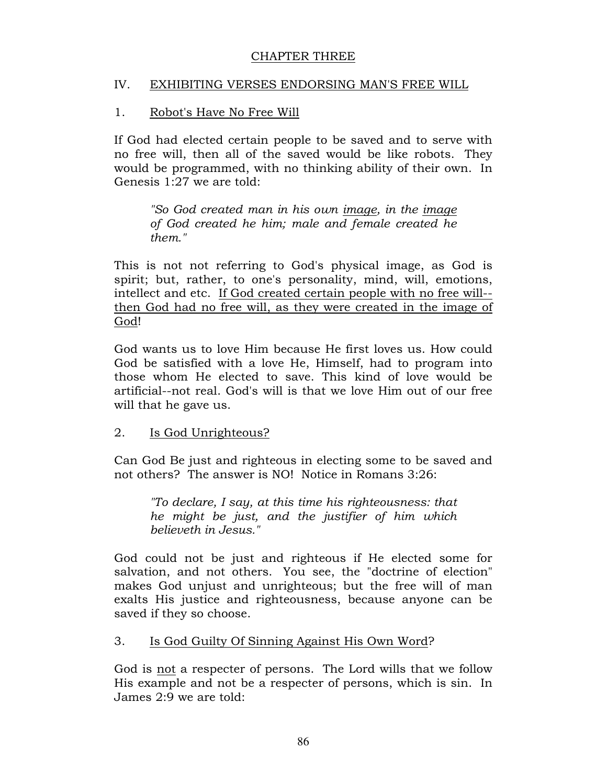### CHAPTER THREE

### IV. EXHIBITING VERSES ENDORSING MAN'S FREE WILL

## 1. Robot's Have No Free Will

If God had elected certain people to be saved and to serve with no free will, then all of the saved would be like robots. They would be programmed, with no thinking ability of their own. In Genesis 1:27 we are told:

"So God created man in his own image, in the image of God created he him; male and female created he them."

This is not not referring to God's physical image, as God is spirit; but, rather, to one's personality, mind, will, emotions, intellect and etc. If God created certain people with no free will- then God had no free will, as they were created in the image of God!

God wants us to love Him because He first loves us. How could God be satisfied with a love He, Himself, had to program into those whom He elected to save. This kind of love would be artificial--not real. God's will is that we love Him out of our free will that he gave us.

### 2. Is God Unrighteous?

Can God Be just and righteous in electing some to be saved and not others? The answer is NO! Notice in Romans 3:26:

"To declare, I say, at this time his righteousness: that he might be just, and the justifier of him which believeth in Jesus."

God could not be just and righteous if He elected some for salvation, and not others. You see, the "doctrine of election" makes God unjust and unrighteous; but the free will of man exalts His justice and righteousness, because anyone can be saved if they so choose.

### 3. Is God Guilty Of Sinning Against His Own Word?

God is not a respecter of persons. The Lord wills that we follow His example and not be a respecter of persons, which is sin. In James 2:9 we are told: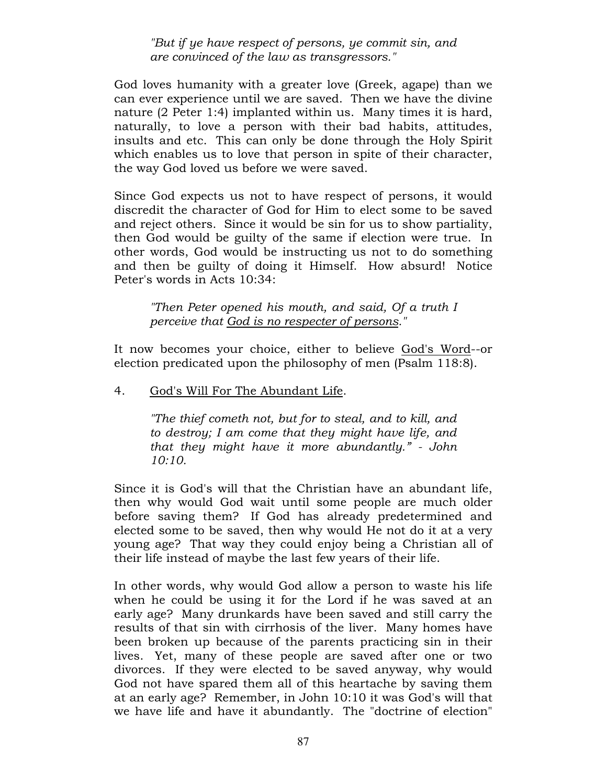"But if ye have respect of persons, ye commit sin, and are convinced of the law as transgressors."

God loves humanity with a greater love (Greek, agape) than we can ever experience until we are saved. Then we have the divine nature (2 Peter 1:4) implanted within us. Many times it is hard, naturally, to love a person with their bad habits, attitudes, insults and etc. This can only be done through the Holy Spirit which enables us to love that person in spite of their character, the way God loved us before we were saved.

Since God expects us not to have respect of persons, it would discredit the character of God for Him to elect some to be saved and reject others. Since it would be sin for us to show partiality, then God would be guilty of the same if election were true. In other words, God would be instructing us not to do something and then be guilty of doing it Himself. How absurd! Notice Peter's words in Acts 10:34:

"Then Peter opened his mouth, and said, Of a truth I perceive that God is no respecter of persons."

It now becomes your choice, either to believe God's Word--or election predicated upon the philosophy of men (Psalm 118:8).

# 4. God's Will For The Abundant Life.

"The thief cometh not, but for to steal, and to kill, and to destroy; I am come that they might have life, and that they might have it more abundantly." - John 10:10.

Since it is God's will that the Christian have an abundant life, then why would God wait until some people are much older before saving them? If God has already predetermined and elected some to be saved, then why would He not do it at a very young age? That way they could enjoy being a Christian all of their life instead of maybe the last few years of their life.

In other words, why would God allow a person to waste his life when he could be using it for the Lord if he was saved at an early age? Many drunkards have been saved and still carry the results of that sin with cirrhosis of the liver. Many homes have been broken up because of the parents practicing sin in their lives. Yet, many of these people are saved after one or two divorces. If they were elected to be saved anyway, why would God not have spared them all of this heartache by saving them at an early age? Remember, in John 10:10 it was God's will that we have life and have it abundantly. The "doctrine of election"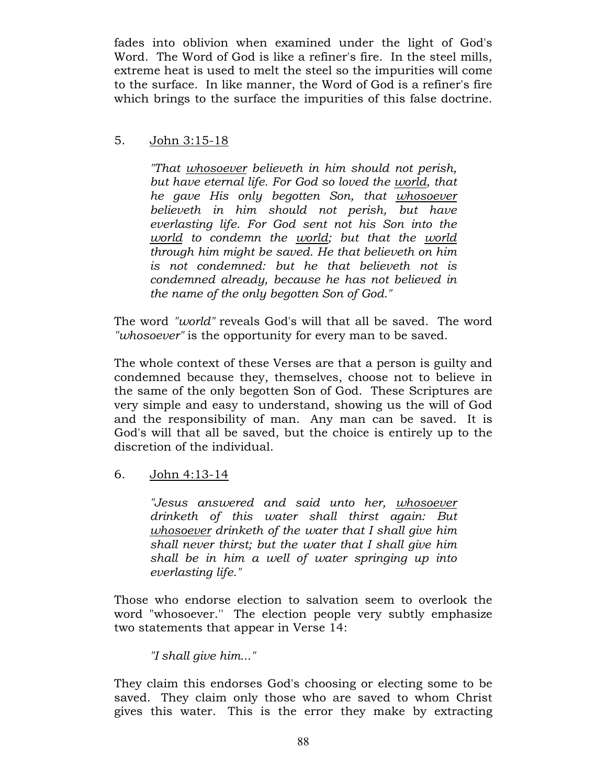fades into oblivion when examined under the light of God's Word. The Word of God is like a refiner's fire. In the steel mills, extreme heat is used to melt the steel so the impurities will come to the surface. In like manner, the Word of God is a refiner's fire which brings to the surface the impurities of this false doctrine.

# 5. John 3:15-18

"That whosoever believeth in him should not perish, but have eternal life. For God so loved the world, that he gave His only begotten Son, that whosoever believeth in him should not perish, but have everlasting life. For God sent not his Son into the world to condemn the world; but that the world through him might be saved. He that believeth on him is not condemned: but he that believeth not is condemned already, because he has not believed in the name of the only begotten Son of God."

The word "world" reveals God's will that all be saved. The word "whosoever" is the opportunity for every man to be saved.

The whole context of these Verses are that a person is guilty and condemned because they, themselves, choose not to believe in the same of the only begotten Son of God. These Scriptures are very simple and easy to understand, showing us the will of God and the responsibility of man. Any man can be saved. It is God's will that all be saved, but the choice is entirely up to the discretion of the individual.

6. John 4:13-14

"Jesus answered and said unto her, whosoever drinketh of this water shall thirst again: But whosoever drinketh of the water that I shall give him shall never thirst; but the water that I shall give him shall be in him a well of water springing up into everlasting life."

Those who endorse election to salvation seem to overlook the word "whosoever.'' The election people very subtly emphasize two statements that appear in Verse 14:

# "I shall give him..."

They claim this endorses God's choosing or electing some to be saved. They claim only those who are saved to whom Christ gives this water. This is the error they make by extracting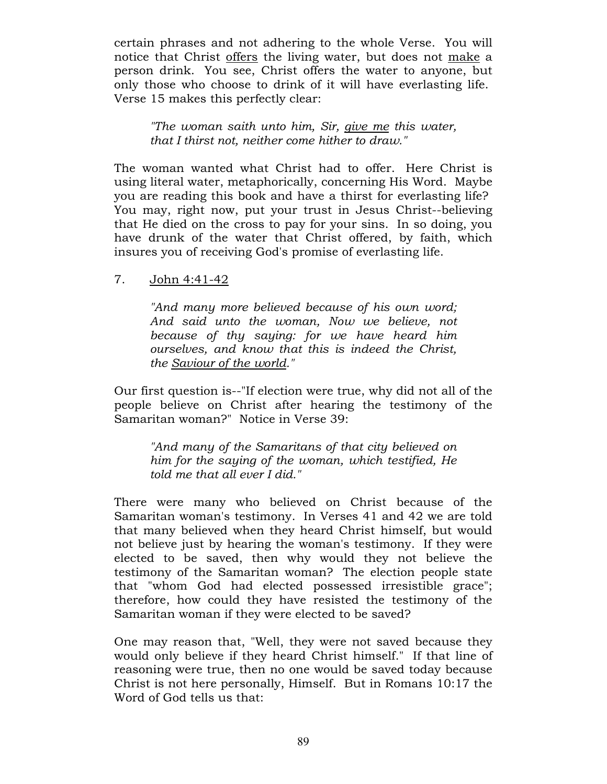certain phrases and not adhering to the whole Verse. You will notice that Christ offers the living water, but does not make a person drink. You see, Christ offers the water to anyone, but only those who choose to drink of it will have everlasting life. Verse 15 makes this perfectly clear:

"The woman saith unto him, Sir, give me this water, that I thirst not, neither come hither to draw."

The woman wanted what Christ had to offer. Here Christ is using literal water, metaphorically, concerning His Word. Maybe you are reading this book and have a thirst for everlasting life? You may, right now, put your trust in Jesus Christ--believing that He died on the cross to pay for your sins. In so doing, you have drunk of the water that Christ offered, by faith, which insures you of receiving God's promise of everlasting life.

7. John 4:41-42

"And many more believed because of his own word; And said unto the woman, Now we believe, not because of thy saying: for we have heard him ourselves, and know that this is indeed the Christ, the Saviour of the world."

Our first question is--"If election were true, why did not all of the people believe on Christ after hearing the testimony of the Samaritan woman?" Notice in Verse 39:

"And many of the Samaritans of that city believed on him for the saying of the woman, which testified, He told me that all ever I did."

There were many who believed on Christ because of the Samaritan woman's testimony. In Verses 41 and 42 we are told that many believed when they heard Christ himself, but would not believe just by hearing the woman's testimony. If they were elected to be saved, then why would they not believe the testimony of the Samaritan woman? The election people state that "whom God had elected possessed irresistible grace"; therefore, how could they have resisted the testimony of the Samaritan woman if they were elected to be saved?

One may reason that, "Well, they were not saved because they would only believe if they heard Christ himself." If that line of reasoning were true, then no one would be saved today because Christ is not here personally, Himself. But in Romans 10:17 the Word of God tells us that: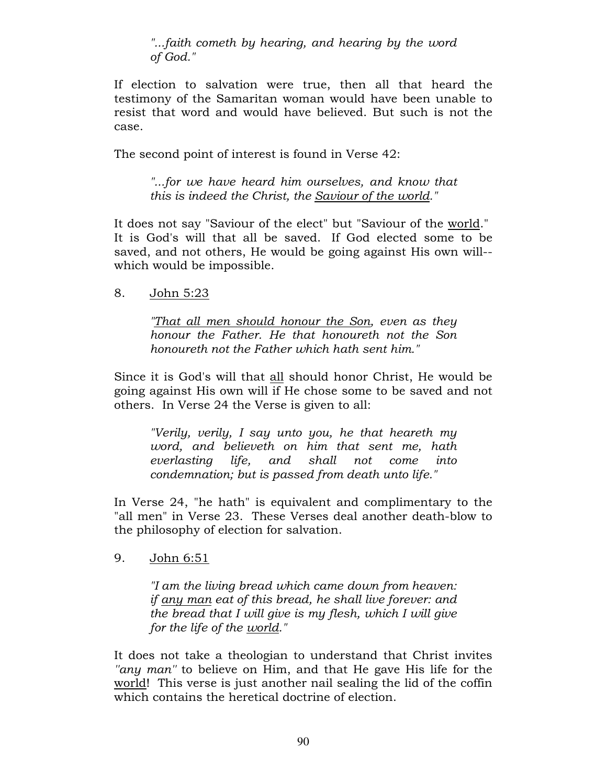"...faith cometh by hearing, and hearing by the word of God."

If election to salvation were true, then all that heard the testimony of the Samaritan woman would have been unable to resist that word and would have believed. But such is not the case.

The second point of interest is found in Verse 42:

"...for we have heard him ourselves, and know that this is indeed the Christ, the Saviour of the world."

It does not say "Saviour of the elect" but "Saviour of the world." It is God's will that all be saved. If God elected some to be saved, and not others, He would be going against His own will- which would be impossible.

8. John 5:23

"That all men should honour the Son, even as they honour the Father. He that honoureth not the Son honoureth not the Father which hath sent him."

Since it is God's will that all should honor Christ, He would be going against His own will if He chose some to be saved and not others. In Verse 24 the Verse is given to all:

"Verily, verily, I say unto you, he that heareth my word, and believeth on him that sent me, hath everlasting life, and shall not come into condemnation; but is passed from death unto life."

In Verse 24, "he hath" is equivalent and complimentary to the "all men" in Verse 23. These Verses deal another death-blow to the philosophy of election for salvation.

9. John 6:51

"I am the living bread which came down from heaven: if any man eat of this bread, he shall live forever: and the bread that I will give is my flesh, which I will give for the life of the world."

It does not take a theologian to understand that Christ invites "any man" to believe on Him, and that He gave His life for the world! This verse is just another nail sealing the lid of the coffin which contains the heretical doctrine of election.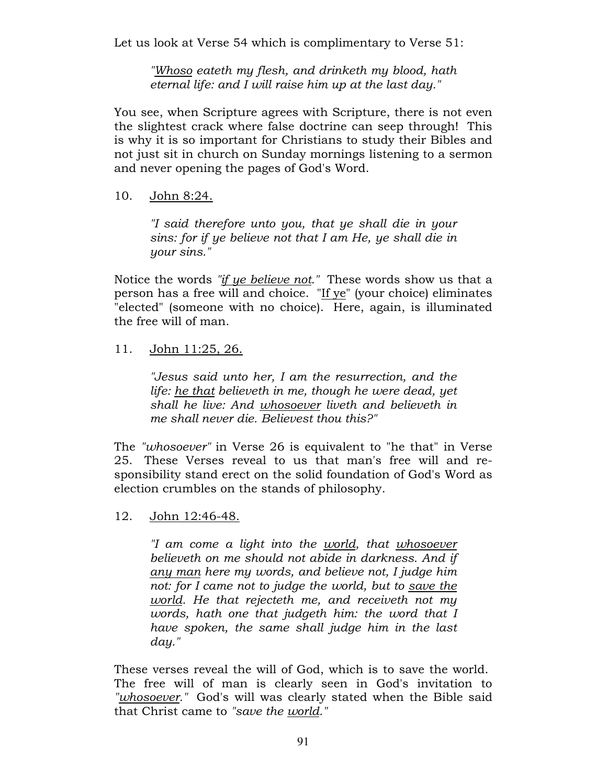Let us look at Verse 54 which is complimentary to Verse 51:

"Whoso eateth my flesh, and drinketh my blood, hath eternal life: and I will raise him up at the last day."

You see, when Scripture agrees with Scripture, there is not even the slightest crack where false doctrine can seep through! This is why it is so important for Christians to study their Bibles and not just sit in church on Sunday mornings listening to a sermon and never opening the pages of God's Word.

### 10. John 8:24.

"I said therefore unto you, that ye shall die in your sins: for if ye believe not that I am He, ye shall die in your sins."

Notice the words "if ye believe not." These words show us that a person has a free will and choice. "If ye" (your choice) eliminates "elected" (someone with no choice). Here, again, is illuminated the free will of man.

# 11. John 11:25, 26.

"Jesus said unto her, I am the resurrection, and the life: he that believeth in me, though he were dead, yet shall he live: And whosoever liveth and believeth in me shall never die. Believest thou this?"

The "whosoever" in Verse 26 is equivalent to "he that" in Verse 25. These Verses reveal to us that man's free will and responsibility stand erect on the solid foundation of God's Word as election crumbles on the stands of philosophy.

12. John 12:46-48.

"I am come a light into the world, that whosoever believeth on me should not abide in darkness. And if any man here my words, and believe not, I judge him not: for I came not to judge the world, but to save the world. He that rejecteth me, and receiveth not my words, hath one that judgeth him: the word that I have spoken, the same shall judge him in the last day."

These verses reveal the will of God, which is to save the world. The free will of man is clearly seen in God's invitation to "whosoever." God's will was clearly stated when the Bible said that Christ came to "save the world."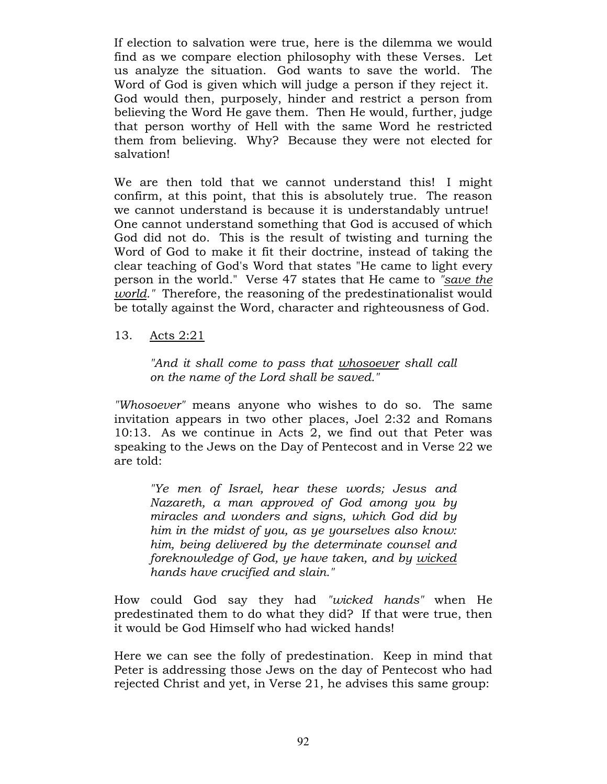If election to salvation were true, here is the dilemma we would find as we compare election philosophy with these Verses. Let us analyze the situation. God wants to save the world. The Word of God is given which will judge a person if they reject it. God would then, purposely, hinder and restrict a person from believing the Word He gave them. Then He would, further, judge that person worthy of Hell with the same Word he restricted them from believing. Why? Because they were not elected for salvation!

We are then told that we cannot understand this! I might confirm, at this point, that this is absolutely true. The reason we cannot understand is because it is understandably untrue! One cannot understand something that God is accused of which God did not do. This is the result of twisting and turning the Word of God to make it fit their doctrine, instead of taking the clear teaching of God's Word that states "He came to light every person in the world." Verse 47 states that He came to "save the world." Therefore, the reasoning of the predestinationalist would be totally against the Word, character and righteousness of God.

13. Acts 2:21

"And it shall come to pass that whosoever shall call on the name of the Lord shall be saved."

"Whosoever" means anyone who wishes to do so. The same invitation appears in two other places, Joel 2:32 and Romans 10:13. As we continue in Acts 2, we find out that Peter was speaking to the Jews on the Day of Pentecost and in Verse 22 we are told:

"Ye men of Israel, hear these words; Jesus and Nazareth, a man approved of God among you by miracles and wonders and signs, which God did by him in the midst of you, as ye yourselves also know: him, being delivered by the determinate counsel and foreknowledge of God, ye have taken, and by wicked hands have crucified and slain."

How could God say they had "wicked hands" when He predestinated them to do what they did? If that were true, then it would be God Himself who had wicked hands!

Here we can see the folly of predestination. Keep in mind that Peter is addressing those Jews on the day of Pentecost who had rejected Christ and yet, in Verse 21, he advises this same group: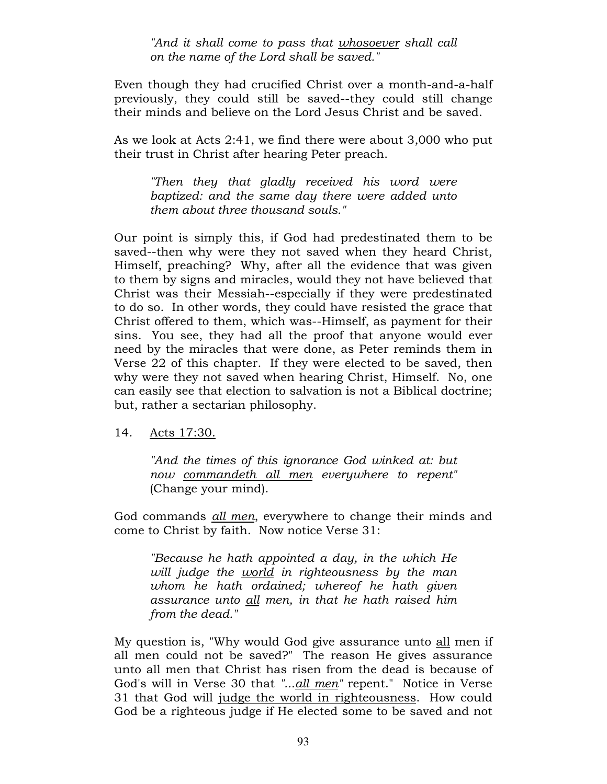"And it shall come to pass that whosoever shall call on the name of the Lord shall be saved."

Even though they had crucified Christ over a month-and-a-half previously, they could still be saved--they could still change their minds and believe on the Lord Jesus Christ and be saved.

As we look at Acts 2:41, we find there were about 3,000 who put their trust in Christ after hearing Peter preach.

"Then they that gladly received his word were baptized: and the same day there were added unto them about three thousand souls."

Our point is simply this, if God had predestinated them to be saved--then why were they not saved when they heard Christ, Himself, preaching? Why, after all the evidence that was given to them by signs and miracles, would they not have believed that Christ was their Messiah--especially if they were predestinated to do so. In other words, they could have resisted the grace that Christ offered to them, which was--Himself, as payment for their sins. You see, they had all the proof that anyone would ever need by the miracles that were done, as Peter reminds them in Verse 22 of this chapter. If they were elected to be saved, then why were they not saved when hearing Christ, Himself. No, one can easily see that election to salvation is not a Biblical doctrine; but, rather a sectarian philosophy.

14. Acts 17:30.

"And the times of this ignorance God winked at: but now commandeth all men everywhere to repent" (Change your mind).

God commands <u>all men</u>, everywhere to change their minds and come to Christ by faith. Now notice Verse 31:

"Because he hath appointed a day, in the which He will judge the world in righteousness by the man whom he hath ordained; whereof he hath given assurance unto all men, in that he hath raised him from the dead."

My question is, "Why would God give assurance unto all men if all men could not be saved?" The reason He gives assurance unto all men that Christ has risen from the dead is because of God's will in Verse 30 that "...all men" repent." Notice in Verse 31 that God will judge the world in righteousness. How could God be a righteous judge if He elected some to be saved and not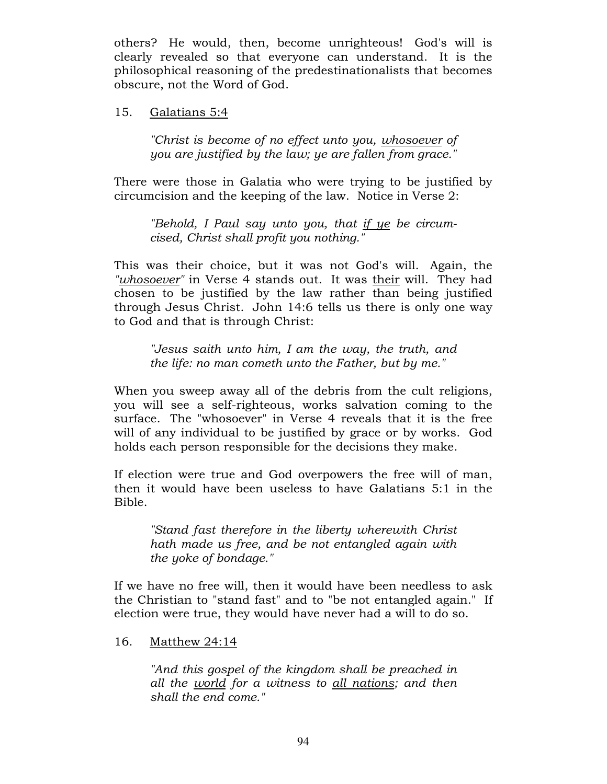others? He would, then, become unrighteous! God's will is clearly revealed so that everyone can understand. It is the philosophical reasoning of the predestinationalists that becomes obscure, not the Word of God.

### 15. Galatians 5:4

"Christ is become of no effect unto you, whosoever of you are justified by the law; ye are fallen from grace."

There were those in Galatia who were trying to be justified by circumcision and the keeping of the law. Notice in Verse 2:

"Behold, I Paul say unto you, that if ye be circumcised, Christ shall profit you nothing."

This was their choice, but it was not God's will. Again, the "whosoever" in Verse 4 stands out. It was their will. They had chosen to be justified by the law rather than being justified through Jesus Christ. John 14:6 tells us there is only one way to God and that is through Christ:

"Jesus saith unto him, I am the way, the truth, and the life: no man cometh unto the Father, but by me."

When you sweep away all of the debris from the cult religions, you will see a self-righteous, works salvation coming to the surface. The "whosoever" in Verse 4 reveals that it is the free will of any individual to be justified by grace or by works. God holds each person responsible for the decisions they make.

If election were true and God overpowers the free will of man, then it would have been useless to have Galatians 5:1 in the Bible.

"Stand fast therefore in the liberty wherewith Christ hath made us free, and be not entangled again with the yoke of bondage."

If we have no free will, then it would have been needless to ask the Christian to "stand fast" and to "be not entangled again." If election were true, they would have never had a will to do so.

16. Matthew 24:14

"And this gospel of the kingdom shall be preached in all the world for a witness to all nations; and then shall the end come."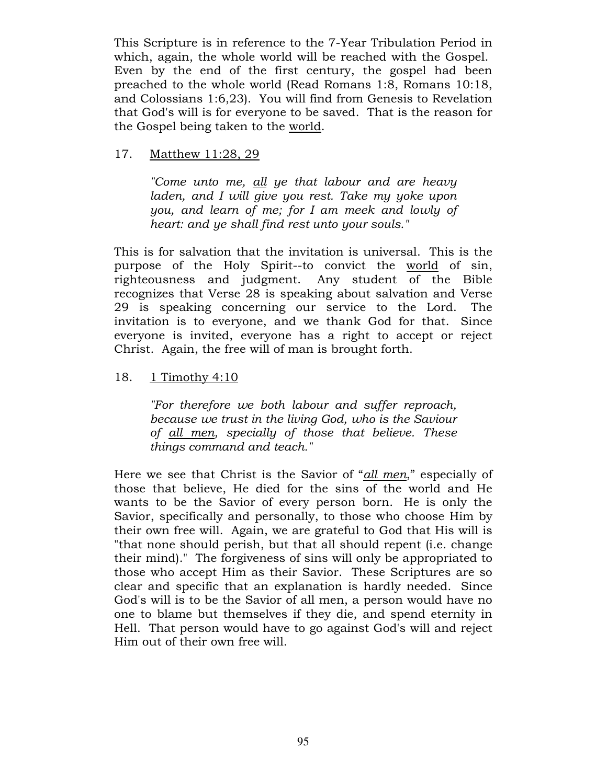This Scripture is in reference to the 7-Year Tribulation Period in which, again, the whole world will be reached with the Gospel. Even by the end of the first century, the gospel had been preached to the whole world (Read Romans 1:8, Romans 10:18, and Colossians 1:6,23). You will find from Genesis to Revelation that God's will is for everyone to be saved. That is the reason for the Gospel being taken to the world.

## 17. Matthew 11:28, 29

"Come unto me, all ye that labour and are heavy laden, and I will give you rest. Take my yoke upon you, and learn of me; for I am meek and lowly of heart: and ye shall find rest unto your souls."

This is for salvation that the invitation is universal. This is the purpose of the Holy Spirit--to convict the world of sin, righteousness and judgment. Any student of the Bible recognizes that Verse 28 is speaking about salvation and Verse 29 is speaking concerning our service to the Lord. The invitation is to everyone, and we thank God for that. Since everyone is invited, everyone has a right to accept or reject Christ. Again, the free will of man is brought forth.

# 18. 1 Timothy 4:10

"For therefore we both labour and suffer reproach, because we trust in the living God, who is the Saviour of all men, specially of those that believe. These things command and teach."

Here we see that Christ is the Savior of "all men," especially of those that believe, He died for the sins of the world and He wants to be the Savior of every person born. He is only the Savior, specifically and personally, to those who choose Him by their own free will. Again, we are grateful to God that His will is "that none should perish, but that all should repent (i.e. change their mind)." The forgiveness of sins will only be appropriated to those who accept Him as their Savior. These Scriptures are so clear and specific that an explanation is hardly needed. Since God's will is to be the Savior of all men, a person would have no one to blame but themselves if they die, and spend eternity in Hell. That person would have to go against God's will and reject Him out of their own free will.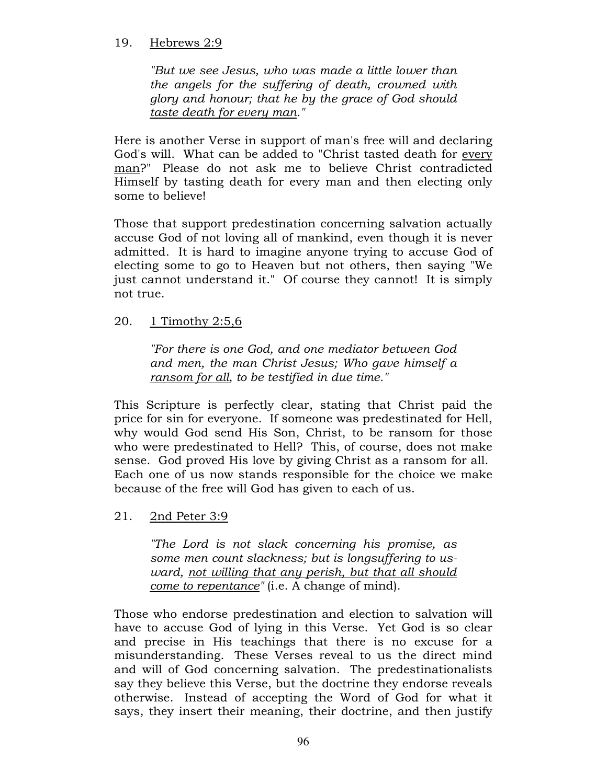## 19. Hebrews 2:9

"But we see Jesus, who was made a little lower than the angels for the suffering of death, crowned with glory and honour; that he by the grace of God should taste death for every man."

Here is another Verse in support of man's free will and declaring God's will. What can be added to "Christ tasted death for every man?" Please do not ask me to believe Christ contradicted Himself by tasting death for every man and then electing only some to believe!

Those that support predestination concerning salvation actually accuse God of not loving all of mankind, even though it is never admitted. It is hard to imagine anyone trying to accuse God of electing some to go to Heaven but not others, then saying "We just cannot understand it." Of course they cannot! It is simply not true.

20. 1 Timothy 2:5,6

"For there is one God, and one mediator between God and men, the man Christ Jesus; Who gave himself a ransom for all, to be testified in due time."

This Scripture is perfectly clear, stating that Christ paid the price for sin for everyone. If someone was predestinated for Hell, why would God send His Son, Christ, to be ransom for those who were predestinated to Hell? This, of course, does not make sense. God proved His love by giving Christ as a ransom for all. Each one of us now stands responsible for the choice we make because of the free will God has given to each of us.

21. 2nd Peter 3:9

"The Lord is not slack concerning his promise, as some men count slackness; but is longsuffering to usward, not willing that any perish, but that all should come to repentance" (i.e. A change of mind).

Those who endorse predestination and election to salvation will have to accuse God of lying in this Verse. Yet God is so clear and precise in His teachings that there is no excuse for a misunderstanding. These Verses reveal to us the direct mind and will of God concerning salvation. The predestinationalists say they believe this Verse, but the doctrine they endorse reveals otherwise. Instead of accepting the Word of God for what it says, they insert their meaning, their doctrine, and then justify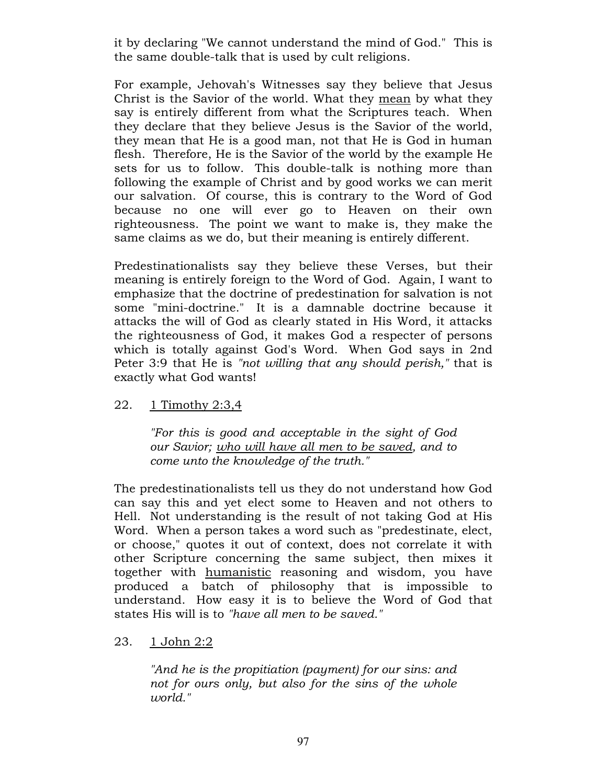it by declaring "We cannot understand the mind of God." This is the same double-talk that is used by cult religions.

For example, Jehovah's Witnesses say they believe that Jesus Christ is the Savior of the world. What they mean by what they say is entirely different from what the Scriptures teach. When they declare that they believe Jesus is the Savior of the world, they mean that He is a good man, not that He is God in human flesh. Therefore, He is the Savior of the world by the example He sets for us to follow. This double-talk is nothing more than following the example of Christ and by good works we can merit our salvation. Of course, this is contrary to the Word of God because no one will ever go to Heaven on their own righteousness. The point we want to make is, they make the same claims as we do, but their meaning is entirely different.

Predestinationalists say they believe these Verses, but their meaning is entirely foreign to the Word of God. Again, I want to emphasize that the doctrine of predestination for salvation is not some "mini-doctrine." It is a damnable doctrine because it attacks the will of God as clearly stated in His Word, it attacks the righteousness of God, it makes God a respecter of persons which is totally against God's Word. When God says in 2nd Peter 3:9 that He is "not willing that any should perish," that is exactly what God wants!

22. 1 Timothy 2:3,4

"For this is good and acceptable in the sight of God our Savior; who will have all men to be saved, and to come unto the knowledge of the truth."

The predestinationalists tell us they do not understand how God can say this and yet elect some to Heaven and not others to Hell. Not understanding is the result of not taking God at His Word. When a person takes a word such as "predestinate, elect, or choose," quotes it out of context, does not correlate it with other Scripture concerning the same subject, then mixes it together with humanistic reasoning and wisdom, you have produced a batch of philosophy that is impossible to understand. How easy it is to believe the Word of God that states His will is to "have all men to be saved."

23. 1 John 2:2

"And he is the propitiation (payment) for our sins: and not for ours only, but also for the sins of the whole world."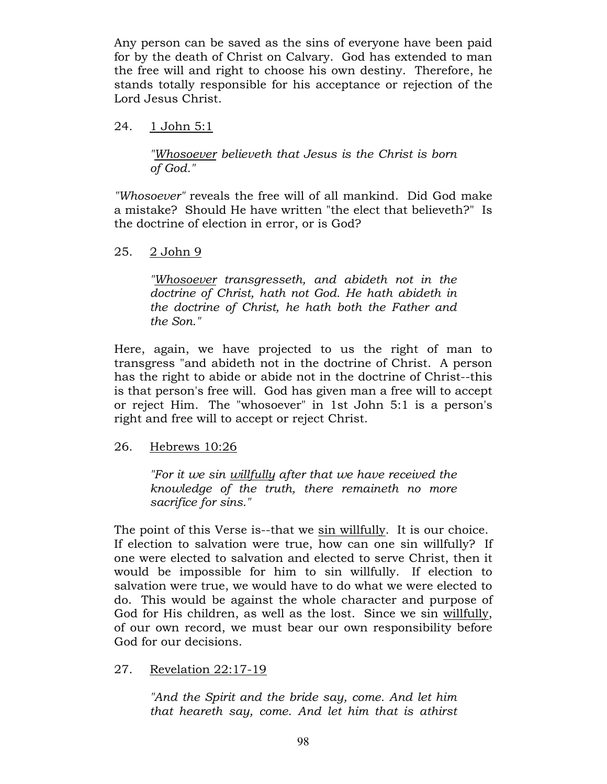Any person can be saved as the sins of everyone have been paid for by the death of Christ on Calvary. God has extended to man the free will and right to choose his own destiny. Therefore, he stands totally responsible for his acceptance or rejection of the Lord Jesus Christ.

## 24. 1 John 5:1

"Whosoever believeth that Jesus is the Christ is born of God."

"Whosoever" reveals the free will of all mankind. Did God make a mistake? Should He have written "the elect that believeth?" Is the doctrine of election in error, or is God?

# 25. 2 John 9

"Whosoever transgresseth, and abideth not in the doctrine of Christ, hath not God. He hath abideth in the doctrine of Christ, he hath both the Father and the Son."

Here, again, we have projected to us the right of man to transgress "and abideth not in the doctrine of Christ. A person has the right to abide or abide not in the doctrine of Christ--this is that person's free will. God has given man a free will to accept or reject Him. The "whosoever" in 1st John 5:1 is a person's right and free will to accept or reject Christ.

### 26. Hebrews 10:26

"For it we sin willfully after that we have received the knowledge of the truth, there remaineth no more sacrifice for sins."

The point of this Verse is--that we sin willfully. It is our choice. If election to salvation were true, how can one sin willfully? If one were elected to salvation and elected to serve Christ, then it would be impossible for him to sin willfully. If election to salvation were true, we would have to do what we were elected to do. This would be against the whole character and purpose of God for His children, as well as the lost. Since we sin willfully, of our own record, we must bear our own responsibility before God for our decisions.

# 27. Revelation 22:17-19

"And the Spirit and the bride say, come. And let him that heareth say, come. And let him that is athirst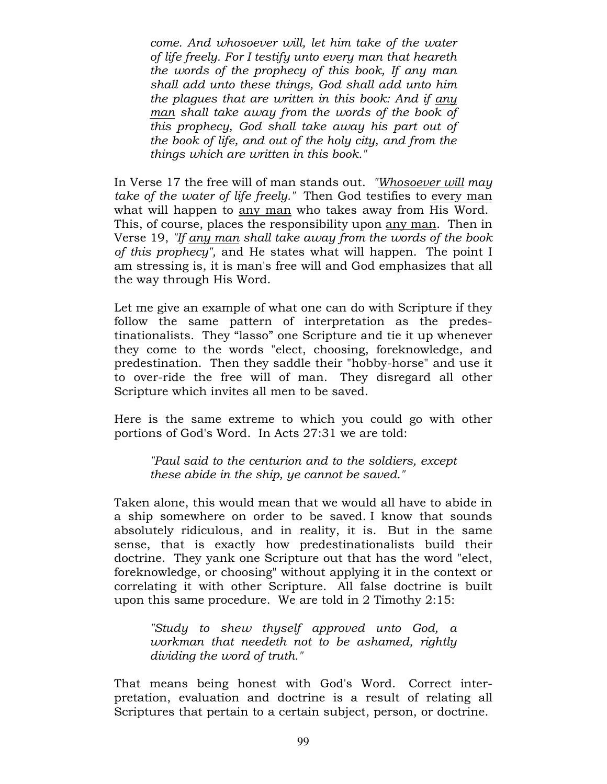come. And whosoever will, let him take of the water of life freely. For I testify unto every man that heareth the words of the prophecy of this book, If any man shall add unto these things, God shall add unto him the plagues that are written in this book: And if any man shall take away from the words of the book of this prophecy, God shall take away his part out of the book of life, and out of the holy city, and from the things which are written in this book."

In Verse 17 the free will of man stands out. "Whosoever will may take of the water of life freely." Then God testifies to every man what will happen to any man who takes away from His Word. This, of course, places the responsibility upon any man. Then in Verse 19, "If any man shall take away from the words of the book of this prophecy", and He states what will happen. The point I am stressing is, it is man's free will and God emphasizes that all the way through His Word.

Let me give an example of what one can do with Scripture if they follow the same pattern of interpretation as the predestinationalists. They "lasso" one Scripture and tie it up whenever they come to the words "elect, choosing, foreknowledge, and predestination. Then they saddle their "hobby-horse" and use it to over-ride the free will of man. They disregard all other Scripture which invites all men to be saved.

Here is the same extreme to which you could go with other portions of God's Word. In Acts 27:31 we are told:

"Paul said to the centurion and to the soldiers, except these abide in the ship, ye cannot be saved."

Taken alone, this would mean that we would all have to abide in a ship somewhere on order to be saved. I know that sounds absolutely ridiculous, and in reality, it is. But in the same sense, that is exactly how predestinationalists build their doctrine. They yank one Scripture out that has the word "elect, foreknowledge, or choosing" without applying it in the context or correlating it with other Scripture. All false doctrine is built upon this same procedure. We are told in 2 Timothy 2:15:

"Study to shew thyself approved unto God, a workman that needeth not to be ashamed, rightly dividing the word of truth."

That means being honest with God's Word. Correct interpretation, evaluation and doctrine is a result of relating all Scriptures that pertain to a certain subject, person, or doctrine.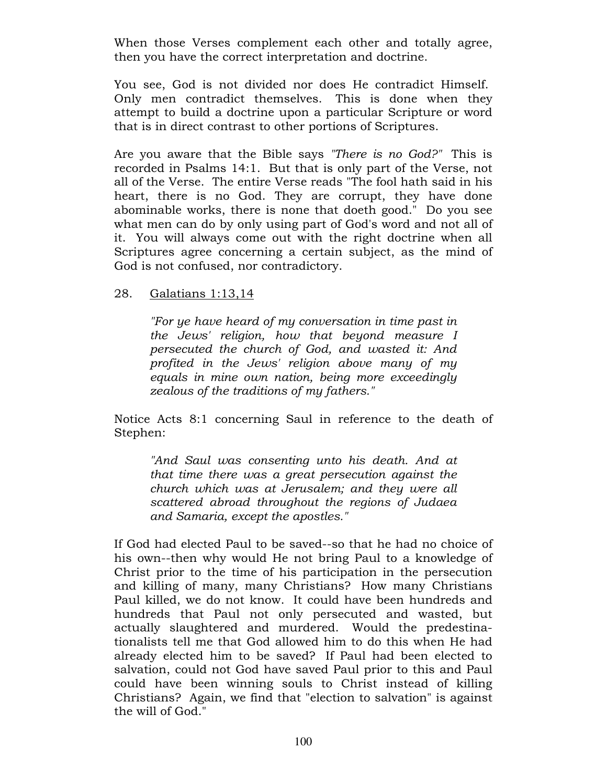When those Verses complement each other and totally agree, then you have the correct interpretation and doctrine.

You see, God is not divided nor does He contradict Himself. Only men contradict themselves. This is done when they attempt to build a doctrine upon a particular Scripture or word that is in direct contrast to other portions of Scriptures.

Are you aware that the Bible says "There is no God?" This is recorded in Psalms 14:1. But that is only part of the Verse, not all of the Verse. The entire Verse reads "The fool hath said in his heart, there is no God. They are corrupt, they have done abominable works, there is none that doeth good." Do you see what men can do by only using part of God's word and not all of it. You will always come out with the right doctrine when all Scriptures agree concerning a certain subject, as the mind of God is not confused, nor contradictory.

# 28. Galatians 1:13,14

"For ye have heard of my conversation in time past in the Jews' religion, how that beyond measure I persecuted the church of God, and wasted it: And profited in the Jews' religion above many of my equals in mine own nation, being more exceedingly zealous of the traditions of my fathers."

Notice Acts 8:1 concerning Saul in reference to the death of Stephen:

"And Saul was consenting unto his death. And at that time there was a great persecution against the church which was at Jerusalem; and they were all scattered abroad throughout the regions of Judaea and Samaria, except the apostles."

If God had elected Paul to be saved--so that he had no choice of his own--then why would He not bring Paul to a knowledge of Christ prior to the time of his participation in the persecution and killing of many, many Christians? How many Christians Paul killed, we do not know. It could have been hundreds and hundreds that Paul not only persecuted and wasted, but actually slaughtered and murdered. Would the predestinationalists tell me that God allowed him to do this when He had already elected him to be saved? If Paul had been elected to salvation, could not God have saved Paul prior to this and Paul could have been winning souls to Christ instead of killing Christians? Again, we find that "election to salvation" is against the will of God."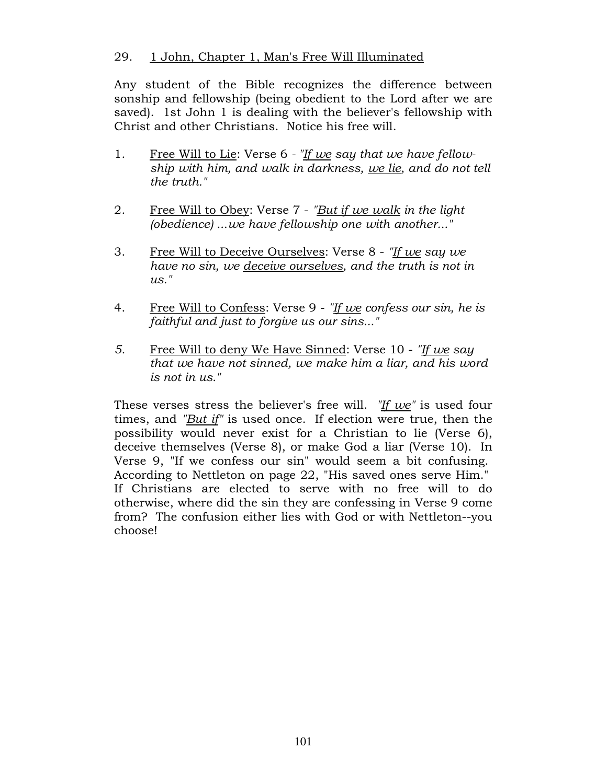# 29. 1 John, Chapter 1, Man's Free Will Illuminated

Any student of the Bible recognizes the difference between sonship and fellowship (being obedient to the Lord after we are saved). 1st John 1 is dealing with the believer's fellowship with Christ and other Christians. Notice his free will.

- 1. Free Will to Lie: Verse 6 "If we say that we have fellowship with him, and walk in darkness, we lie, and do not tell the truth."
- 2. Free Will to Obey: Verse 7 "But if we walk in the light (obedience) ...we have fellowship one with another..."
- 3. Free Will to Deceive Ourselves: Verse 8 "If we say we have no sin, we deceive ourselves, and the truth is not in  $\mathit{us.}''$
- 4. Free Will to Confess: Verse 9 "If we confess our sin, he is faithful and just to forgive us our sins..."
- 5. Free Will to deny We Have Sinned: Verse 10 "If we say that we have not sinned, we make him a liar, and his word is not in us."

These verses stress the believer's free will. "If we" is used four times, and "But if" is used once. If election were true, then the possibility would never exist for a Christian to lie (Verse 6), deceive themselves (Verse 8), or make God a liar (Verse 10). In Verse 9, "If we confess our sin" would seem a bit confusing. According to Nettleton on page 22, "His saved ones serve Him." If Christians are elected to serve with no free will to do otherwise, where did the sin they are confessing in Verse 9 come from? The confusion either lies with God or with Nettleton--you choose!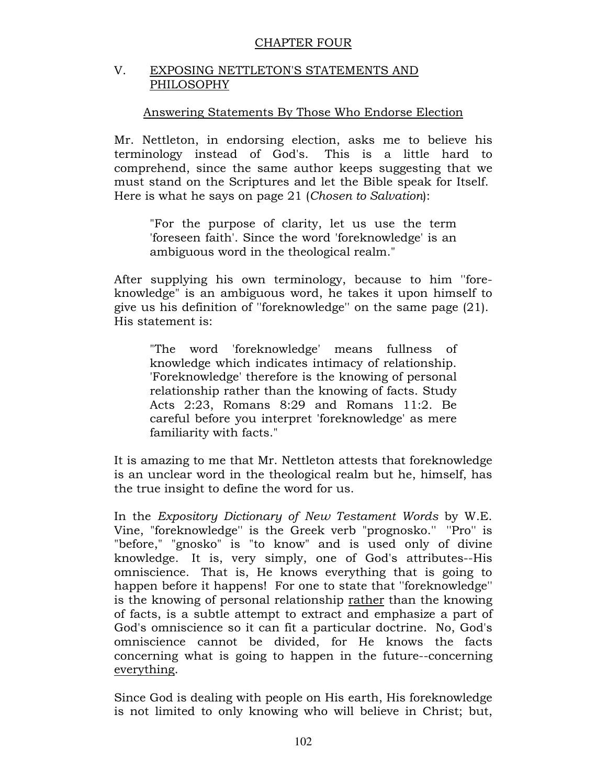## CHAPTER FOUR

# V. EXPOSING NETTLETON'S STATEMENTS AND PHILOSOPHY

# Answering Statements By Those Who Endorse Election

Mr. Nettleton, in endorsing election, asks me to believe his terminology instead of God's. This is a little hard to comprehend, since the same author keeps suggesting that we must stand on the Scriptures and let the Bible speak for Itself. Here is what he says on page 21 (Chosen to Salvation):

"For the purpose of clarity, let us use the term 'foreseen faith'. Since the word 'foreknowledge' is an ambiguous word in the theological realm."

After supplying his own terminology, because to him ''foreknowledge" is an ambiguous word, he takes it upon himself to give us his definition of ''foreknowledge'' on the same page (21). His statement is:

"The word 'foreknowledge' means fullness of knowledge which indicates intimacy of relationship. 'Foreknowledge' therefore is the knowing of personal relationship rather than the knowing of facts. Study Acts 2:23, Romans 8:29 and Romans 11:2. Be careful before you interpret 'foreknowledge' as mere familiarity with facts."

It is amazing to me that Mr. Nettleton attests that foreknowledge is an unclear word in the theological realm but he, himself, has the true insight to define the word for us.

In the Expository Dictionary of New Testament Words by W.E. Vine, "foreknowledge'' is the Greek verb "prognosko.'' ''Pro'' is "before," "gnosko" is "to know" and is used only of divine knowledge. It is, very simply, one of God's attributes--His omniscience. That is, He knows everything that is going to happen before it happens! For one to state that ''foreknowledge'' is the knowing of personal relationship rather than the knowing of facts, is a subtle attempt to extract and emphasize a part of God's omniscience so it can fit a particular doctrine. No, God's omniscience cannot be divided, for He knows the facts concerning what is going to happen in the future--concerning everything.

Since God is dealing with people on His earth, His foreknowledge is not limited to only knowing who will believe in Christ; but,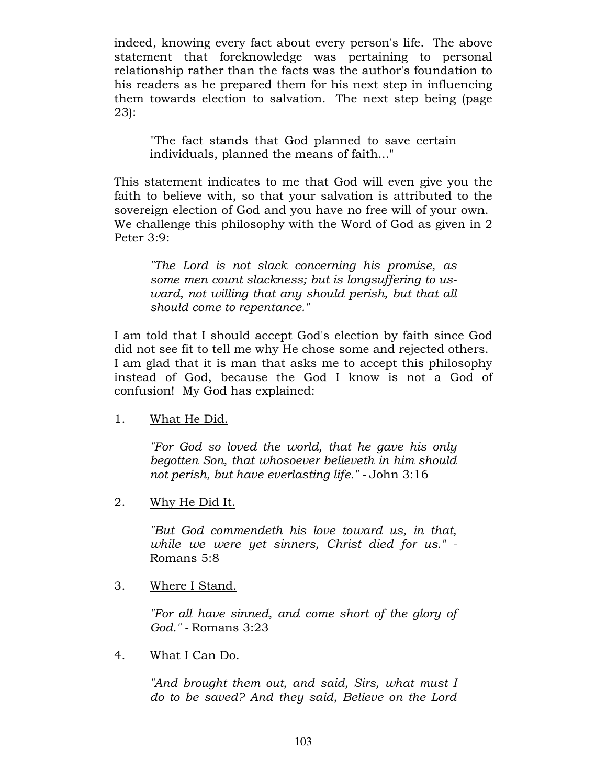indeed, knowing every fact about every person's life. The above statement that foreknowledge was pertaining to personal relationship rather than the facts was the author's foundation to his readers as he prepared them for his next step in influencing them towards election to salvation. The next step being (page 23):

"The fact stands that God planned to save certain individuals, planned the means of faith..."

This statement indicates to me that God will even give you the faith to believe with, so that your salvation is attributed to the sovereign election of God and you have no free will of your own. We challenge this philosophy with the Word of God as given in 2 Peter 3:9:

"The Lord is not slack concerning his promise, as some men count slackness; but is longsuffering to usward, not willing that any should perish, but that all should come to repentance."

I am told that I should accept God's election by faith since God did not see fit to tell me why He chose some and rejected others. I am glad that it is man that asks me to accept this philosophy instead of God, because the God I know is not a God of confusion! My God has explained:

1. What He Did.

"For God so loved the world, that he gave his only begotten Son, that whosoever believeth in him should not perish, but have everlasting life." - John 3:16

2. Why He Did It.

"But God commendeth his love toward us, in that, while we were yet sinners, Christ died for us." - Romans 5:8

3. Where I Stand.

"For all have sinned, and come short of the glory of God." - Romans 3:23

4. What I Can Do.

"And brought them out, and said, Sirs, what must I do to be saved? And they said, Believe on the Lord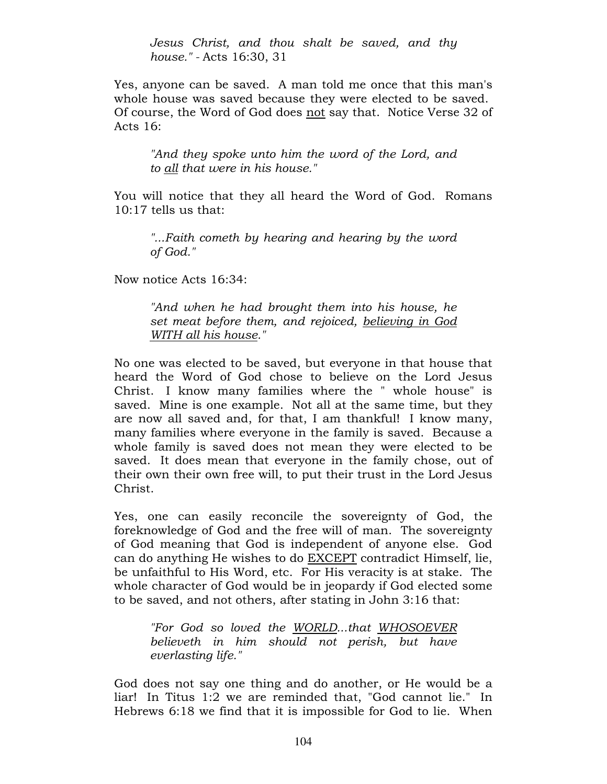Jesus Christ, and thou shalt be saved, and thy house." - Acts 16:30, 31

Yes, anyone can be saved. A man told me once that this man's whole house was saved because they were elected to be saved. Of course, the Word of God does not say that. Notice Verse 32 of Acts 16:

"And they spoke unto him the word of the Lord, and to all that were in his house."

You will notice that they all heard the Word of God. Romans 10:17 tells us that:

"...Faith cometh by hearing and hearing by the word of God."

Now notice Acts 16:34:

"And when he had brought them into his house, he set meat before them, and rejoiced, believing in God WITH all his house."

No one was elected to be saved, but everyone in that house that heard the Word of God chose to believe on the Lord Jesus Christ. I know many families where the " whole house" is saved. Mine is one example. Not all at the same time, but they are now all saved and, for that, I am thankful! I know many, many families where everyone in the family is saved. Because a whole family is saved does not mean they were elected to be saved. It does mean that everyone in the family chose, out of their own their own free will, to put their trust in the Lord Jesus Christ.

Yes, one can easily reconcile the sovereignty of God, the foreknowledge of God and the free will of man. The sovereignty of God meaning that God is independent of anyone else. God can do anything He wishes to do EXCEPT contradict Himself, lie, be unfaithful to His Word, etc. For His veracity is at stake. The whole character of God would be in jeopardy if God elected some to be saved, and not others, after stating in John 3:16 that:

"For God so loved the WORLD...that WHOSOEVER believeth in him should not perish, but have everlasting life."

God does not say one thing and do another, or He would be a liar! In Titus 1:2 we are reminded that, "God cannot lie." In Hebrews 6:18 we find that it is impossible for God to lie. When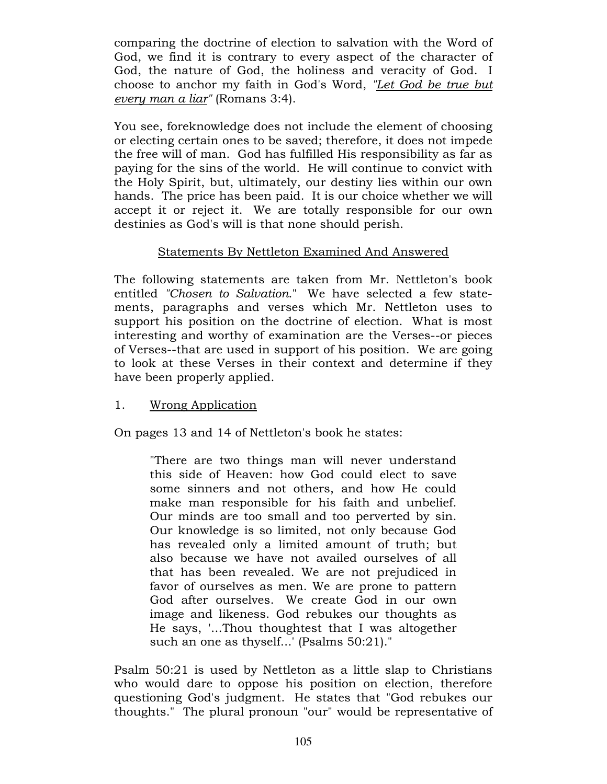comparing the doctrine of election to salvation with the Word of God, we find it is contrary to every aspect of the character of God, the nature of God, the holiness and veracity of God. I choose to anchor my faith in God's Word, "Let God be true but every man a liar" (Romans 3:4).

You see, foreknowledge does not include the element of choosing or electing certain ones to be saved; therefore, it does not impede the free will of man. God has fulfilled His responsibility as far as paying for the sins of the world. He will continue to convict with the Holy Spirit, but, ultimately, our destiny lies within our own hands. The price has been paid. It is our choice whether we will accept it or reject it. We are totally responsible for our own destinies as God's will is that none should perish.

# Statements By Nettleton Examined And Answered

The following statements are taken from Mr. Nettleton's book entitled "Chosen to Salvation." We have selected a few statements, paragraphs and verses which Mr. Nettleton uses to support his position on the doctrine of election. What is most interesting and worthy of examination are the Verses--or pieces of Verses--that are used in support of his position. We are going to look at these Verses in their context and determine if they have been properly applied.

# 1. Wrong Application

On pages 13 and 14 of Nettleton's book he states:

"There are two things man will never understand this side of Heaven: how God could elect to save some sinners and not others, and how He could make man responsible for his faith and unbelief. Our minds are too small and too perverted by sin. Our knowledge is so limited, not only because God has revealed only a limited amount of truth; but also because we have not availed ourselves of all that has been revealed. We are not prejudiced in favor of ourselves as men. We are prone to pattern God after ourselves. We create God in our own image and likeness. God rebukes our thoughts as He says, '...Thou thoughtest that I was altogether such an one as thyself...' (Psalms 50:21)."

Psalm 50:21 is used by Nettleton as a little slap to Christians who would dare to oppose his position on election, therefore questioning God's judgment. He states that "God rebukes our thoughts." The plural pronoun "our" would be representative of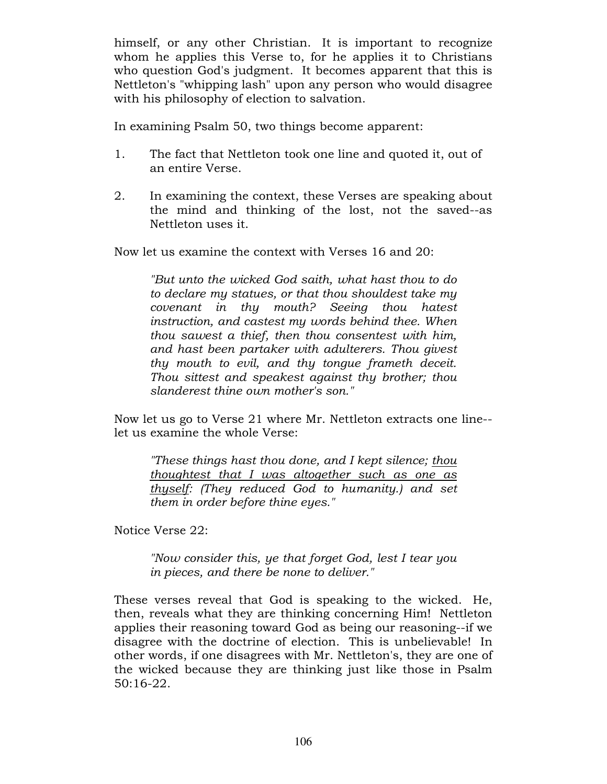himself, or any other Christian. It is important to recognize whom he applies this Verse to, for he applies it to Christians who question God's judgment. It becomes apparent that this is Nettleton's "whipping lash" upon any person who would disagree with his philosophy of election to salvation.

In examining Psalm 50, two things become apparent:

- 1. The fact that Nettleton took one line and quoted it, out of an entire Verse.
- 2. In examining the context, these Verses are speaking about the mind and thinking of the lost, not the saved--as Nettleton uses it.

Now let us examine the context with Verses 16 and 20:

"But unto the wicked God saith, what hast thou to do to declare my statues, or that thou shouldest take my covenant in thy mouth? Seeing thou hatest instruction, and castest my words behind thee. When thou sawest a thief, then thou consentest with him, and hast been partaker with adulterers. Thou givest thy mouth to evil, and thy tongue frameth deceit. Thou sittest and speakest against thy brother; thou slanderest thine own mother's son."

Now let us go to Verse 21 where Mr. Nettleton extracts one line- let us examine the whole Verse:

"These things hast thou done, and I kept silence; thou thoughtest that I was altogether such as one as thyself: (They reduced God to humanity.) and set them in order before thine eyes."

Notice Verse 22:

"Now consider this, ye that forget God, lest I tear you in pieces, and there be none to deliver."

These verses reveal that God is speaking to the wicked. He, then, reveals what they are thinking concerning Him! Nettleton applies their reasoning toward God as being our reasoning--if we disagree with the doctrine of election. This is unbelievable! In other words, if one disagrees with Mr. Nettleton's, they are one of the wicked because they are thinking just like those in Psalm 50:16-22.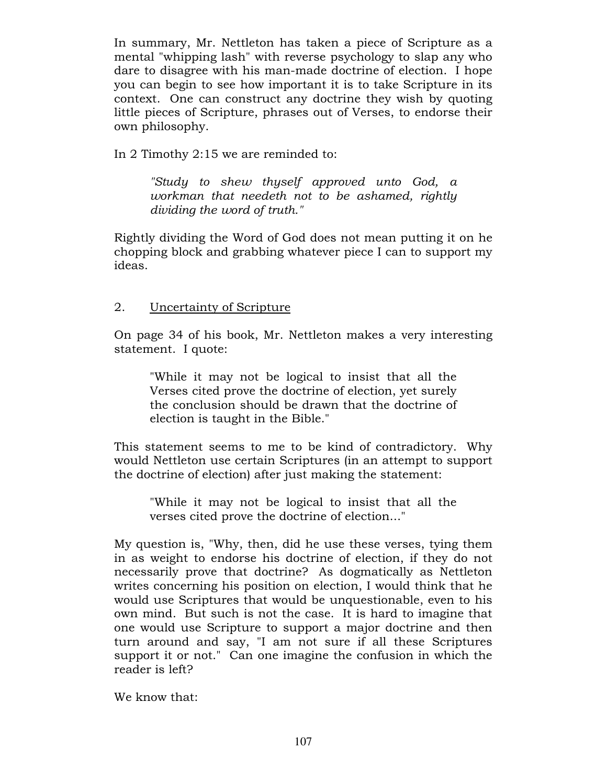In summary, Mr. Nettleton has taken a piece of Scripture as a mental "whipping lash" with reverse psychology to slap any who dare to disagree with his man-made doctrine of election. I hope you can begin to see how important it is to take Scripture in its context. One can construct any doctrine they wish by quoting little pieces of Scripture, phrases out of Verses, to endorse their own philosophy.

In 2 Timothy 2:15 we are reminded to:

"Study to shew thyself approved unto God, a workman that needeth not to be ashamed, rightly dividing the word of truth."

Rightly dividing the Word of God does not mean putting it on he chopping block and grabbing whatever piece I can to support my ideas.

# 2. Uncertainty of Scripture

On page 34 of his book, Mr. Nettleton makes a very interesting statement. I quote:

"While it may not be logical to insist that all the Verses cited prove the doctrine of election, yet surely the conclusion should be drawn that the doctrine of election is taught in the Bible."

This statement seems to me to be kind of contradictory. Why would Nettleton use certain Scriptures (in an attempt to support the doctrine of election) after just making the statement:

"While it may not be logical to insist that all the verses cited prove the doctrine of election..."

My question is, "Why, then, did he use these verses, tying them in as weight to endorse his doctrine of election, if they do not necessarily prove that doctrine? As dogmatically as Nettleton writes concerning his position on election, I would think that he would use Scriptures that would be unquestionable, even to his own mind. But such is not the case. It is hard to imagine that one would use Scripture to support a major doctrine and then turn around and say, "I am not sure if all these Scriptures support it or not." Can one imagine the confusion in which the reader is left?

We know that: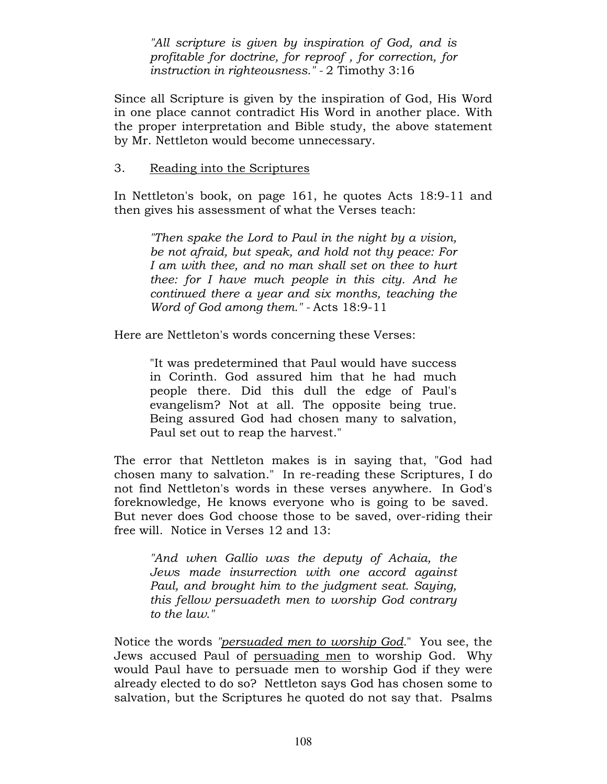"All scripture is given by inspiration of God, and is profitable for doctrine, for reproof , for correction, for instruction in righteousness." - 2 Timothy 3:16

Since all Scripture is given by the inspiration of God, His Word in one place cannot contradict His Word in another place. With the proper interpretation and Bible study, the above statement by Mr. Nettleton would become unnecessary.

## 3. Reading into the Scriptures

In Nettleton's book, on page 161, he quotes Acts 18:9-11 and then gives his assessment of what the Verses teach:

"Then spake the Lord to Paul in the night by a vision, be not afraid, but speak, and hold not thy peace: For I am with thee, and no man shall set on thee to hurt thee: for I have much people in this city. And he continued there a year and six months, teaching the Word of God among them." - Acts 18:9-11

Here are Nettleton's words concerning these Verses:

"It was predetermined that Paul would have success in Corinth. God assured him that he had much people there. Did this dull the edge of Paul's evangelism? Not at all. The opposite being true. Being assured God had chosen many to salvation, Paul set out to reap the harvest."

The error that Nettleton makes is in saying that, "God had chosen many to salvation." In re-reading these Scriptures, I do not find Nettleton's words in these verses anywhere. In God's foreknowledge, He knows everyone who is going to be saved. But never does God choose those to be saved, over-riding their free will. Notice in Verses 12 and 13:

"And when Gallio was the deputy of Achaia, the Jews made insurrection with one accord against Paul, and brought him to the judgment seat. Saying, this fellow persuadeth men to worship God contrary to the law."

Notice the words "persuaded men to worship God." You see, the Jews accused Paul of persuading men to worship God. Why would Paul have to persuade men to worship God if they were already elected to do so? Nettleton says God has chosen some to salvation, but the Scriptures he quoted do not say that. Psalms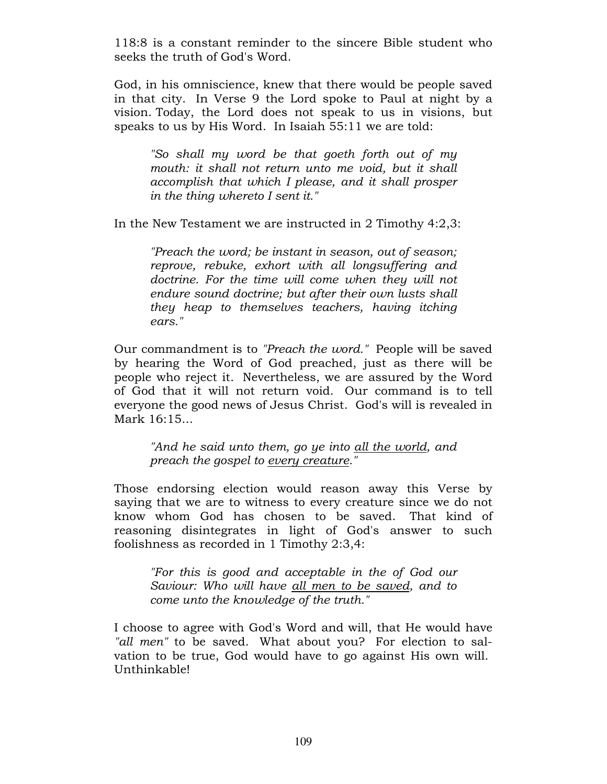118:8 is a constant reminder to the sincere Bible student who seeks the truth of God's Word.

God, in his omniscience, knew that there would be people saved in that city. In Verse 9 the Lord spoke to Paul at night by a vision. Today, the Lord does not speak to us in visions, but speaks to us by His Word. In Isaiah 55:11 we are told:

"So shall my word be that goeth forth out of my mouth: it shall not return unto me void, but it shall accomplish that which I please, and it shall prosper in the thing whereto I sent it."

In the New Testament we are instructed in 2 Timothy 4:2,3:

"Preach the word; be instant in season, out of season; reprove, rebuke, exhort with all longsuffering and doctrine. For the time will come when they will not endure sound doctrine; but after their own lusts shall they heap to themselves teachers, having itching ears."

Our commandment is to "Preach the word." People will be saved by hearing the Word of God preached, just as there will be people who reject it. Nevertheless, we are assured by the Word of God that it will not return void. Our command is to tell everyone the good news of Jesus Christ. God's will is revealed in Mark 16:15...

"And he said unto them, go ye into all the world, and preach the gospel to every creature."

Those endorsing election would reason away this Verse by saying that we are to witness to every creature since we do not know whom God has chosen to be saved. That kind of reasoning disintegrates in light of God's answer to such foolishness as recorded in 1 Timothy 2:3,4:

"For this is good and acceptable in the of God our Saviour: Who will have all men to be saved, and to come unto the knowledge of the truth."

I choose to agree with God's Word and will, that He would have "all men" to be saved. What about you? For election to salvation to be true, God would have to go against His own will. Unthinkable!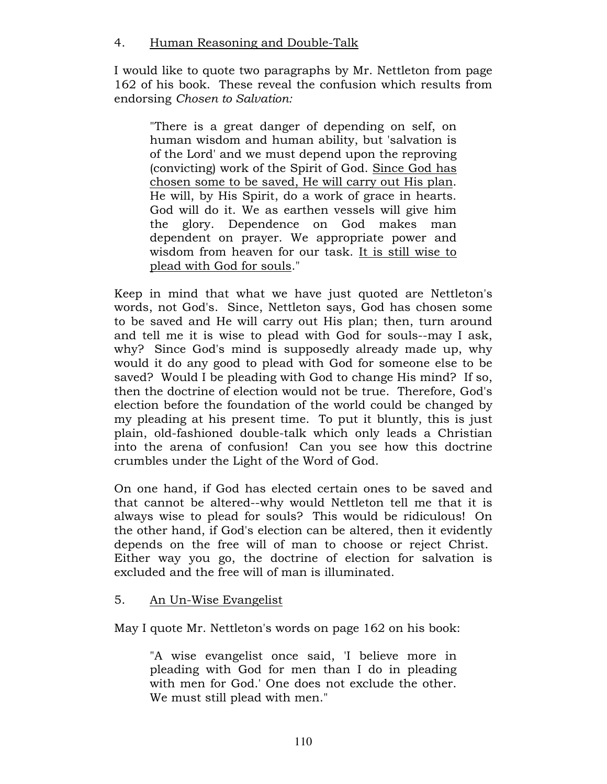# 4. Human Reasoning and Double-Talk

I would like to quote two paragraphs by Mr. Nettleton from page 162 of his book. These reveal the confusion which results from endorsing Chosen to Salvation:

"There is a great danger of depending on self, on human wisdom and human ability, but 'salvation is of the Lord' and we must depend upon the reproving (convicting) work of the Spirit of God. Since God has chosen some to be saved, He will carry out His plan. He will, by His Spirit, do a work of grace in hearts. God will do it. We as earthen vessels will give him the glory. Dependence on God makes man dependent on prayer. We appropriate power and wisdom from heaven for our task. It is still wise to plead with God for souls."

Keep in mind that what we have just quoted are Nettleton's words, not God's. Since, Nettleton says, God has chosen some to be saved and He will carry out His plan; then, turn around and tell me it is wise to plead with God for souls--may I ask, why? Since God's mind is supposedly already made up, why would it do any good to plead with God for someone else to be saved? Would I be pleading with God to change His mind? If so, then the doctrine of election would not be true. Therefore, God's election before the foundation of the world could be changed by my pleading at his present time. To put it bluntly, this is just plain, old-fashioned double-talk which only leads a Christian into the arena of confusion! Can you see how this doctrine crumbles under the Light of the Word of God.

On one hand, if God has elected certain ones to be saved and that cannot be altered--why would Nettleton tell me that it is always wise to plead for souls? This would be ridiculous! On the other hand, if God's election can be altered, then it evidently depends on the free will of man to choose or reject Christ. Either way you go, the doctrine of election for salvation is excluded and the free will of man is illuminated.

# 5. An Un-Wise Evangelist

May I quote Mr. Nettleton's words on page 162 on his book:

"A wise evangelist once said, 'I believe more in pleading with God for men than I do in pleading with men for God.' One does not exclude the other. We must still plead with men."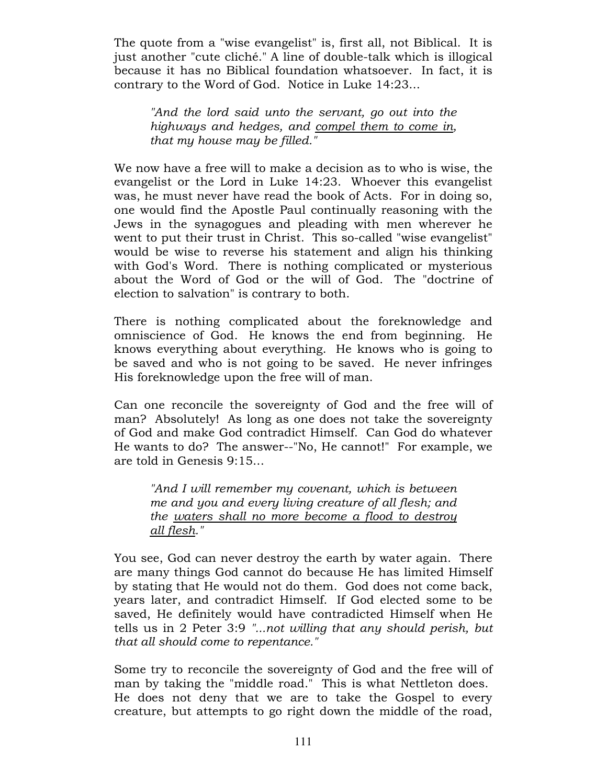The quote from a "wise evangelist" is, first all, not Biblical. It is just another "cute cliché." A line of double-talk which is illogical because it has no Biblical foundation whatsoever. In fact, it is contrary to the Word of God. Notice in Luke 14:23...

"And the lord said unto the servant, go out into the highways and hedges, and compel them to come in, that my house may be filled."

We now have a free will to make a decision as to who is wise, the evangelist or the Lord in Luke 14:23. Whoever this evangelist was, he must never have read the book of Acts. For in doing so, one would find the Apostle Paul continually reasoning with the Jews in the synagogues and pleading with men wherever he went to put their trust in Christ. This so-called "wise evangelist" would be wise to reverse his statement and align his thinking with God's Word. There is nothing complicated or mysterious about the Word of God or the will of God. The "doctrine of election to salvation" is contrary to both.

There is nothing complicated about the foreknowledge and omniscience of God. He knows the end from beginning. He knows everything about everything. He knows who is going to be saved and who is not going to be saved. He never infringes His foreknowledge upon the free will of man.

Can one reconcile the sovereignty of God and the free will of man? Absolutely! As long as one does not take the sovereignty of God and make God contradict Himself. Can God do whatever He wants to do? The answer--"No, He cannot!" For example, we are told in Genesis 9:15...

"And I will remember my covenant, which is between me and you and every living creature of all flesh; and the waters shall no more become a flood to destroy all flesh."

You see, God can never destroy the earth by water again. There are many things God cannot do because He has limited Himself by stating that He would not do them. God does not come back, years later, and contradict Himself. If God elected some to be saved, He definitely would have contradicted Himself when He tells us in 2 Peter 3:9 "...not willing that any should perish, but that all should come to repentance."

Some try to reconcile the sovereignty of God and the free will of man by taking the "middle road." This is what Nettleton does. He does not deny that we are to take the Gospel to every creature, but attempts to go right down the middle of the road,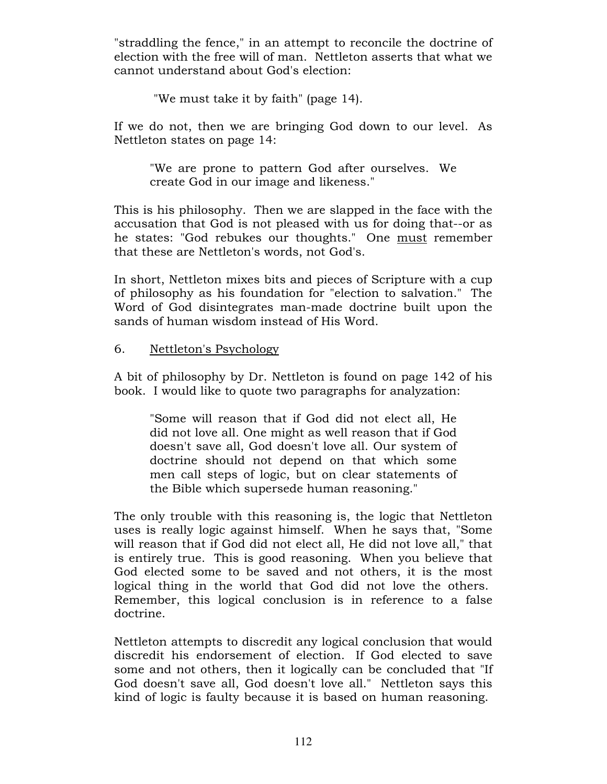"straddling the fence," in an attempt to reconcile the doctrine of election with the free will of man. Nettleton asserts that what we cannot understand about God's election:

"We must take it by faith" (page 14).

If we do not, then we are bringing God down to our level. As Nettleton states on page 14:

"We are prone to pattern God after ourselves. We create God in our image and likeness."

This is his philosophy. Then we are slapped in the face with the accusation that God is not pleased with us for doing that--or as he states: "God rebukes our thoughts." One must remember that these are Nettleton's words, not God's.

In short, Nettleton mixes bits and pieces of Scripture with a cup of philosophy as his foundation for "election to salvation." The Word of God disintegrates man-made doctrine built upon the sands of human wisdom instead of His Word.

# 6. Nettleton's Psychology

A bit of philosophy by Dr. Nettleton is found on page 142 of his book. I would like to quote two paragraphs for analyzation:

"Some will reason that if God did not elect all, He did not love all. One might as well reason that if God doesn't save all, God doesn't love all. Our system of doctrine should not depend on that which some men call steps of logic, but on clear statements of the Bible which supersede human reasoning."

The only trouble with this reasoning is, the logic that Nettleton uses is really logic against himself. When he says that, "Some will reason that if God did not elect all, He did not love all," that is entirely true. This is good reasoning. When you believe that God elected some to be saved and not others, it is the most logical thing in the world that God did not love the others. Remember, this logical conclusion is in reference to a false doctrine.

Nettleton attempts to discredit any logical conclusion that would discredit his endorsement of election. If God elected to save some and not others, then it logically can be concluded that "If God doesn't save all, God doesn't love all." Nettleton says this kind of logic is faulty because it is based on human reasoning.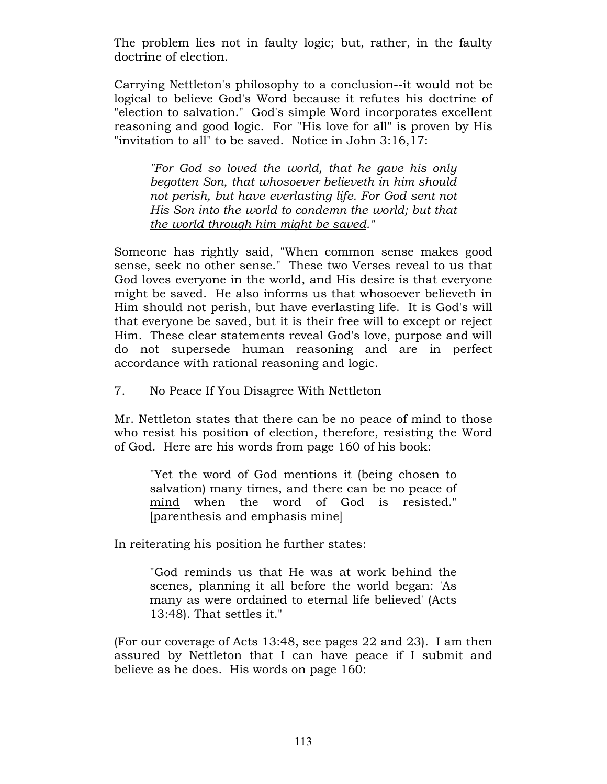The problem lies not in faulty logic; but, rather, in the faulty doctrine of election.

Carrying Nettleton's philosophy to a conclusion--it would not be logical to believe God's Word because it refutes his doctrine of "election to salvation." God's simple Word incorporates excellent reasoning and good logic. For ''His love for all" is proven by His "invitation to all" to be saved. Notice in John 3:16,17:

"For God so loved the world, that he gave his only begotten Son, that whosoever believeth in him should not perish, but have everlasting life. For God sent not His Son into the world to condemn the world; but that the world through him might be saved."

Someone has rightly said, "When common sense makes good sense, seek no other sense." These two Verses reveal to us that God loves everyone in the world, and His desire is that everyone might be saved. He also informs us that whosoever believeth in Him should not perish, but have everlasting life. It is God's will that everyone be saved, but it is their free will to except or reject Him. These clear statements reveal God's love, purpose and will do not supersede human reasoning and are in perfect accordance with rational reasoning and logic.

# 7. No Peace If You Disagree With Nettleton

Mr. Nettleton states that there can be no peace of mind to those who resist his position of election, therefore, resisting the Word of God. Here are his words from page 160 of his book:

"Yet the word of God mentions it (being chosen to salvation) many times, and there can be no peace of mind when the word of God is resisted." [parenthesis and emphasis mine]

In reiterating his position he further states:

"God reminds us that He was at work behind the scenes, planning it all before the world began: 'As many as were ordained to eternal life believed' (Acts 13:48). That settles it."

(For our coverage of Acts 13:48, see pages 22 and 23). I am then assured by Nettleton that I can have peace if I submit and believe as he does. His words on page 160: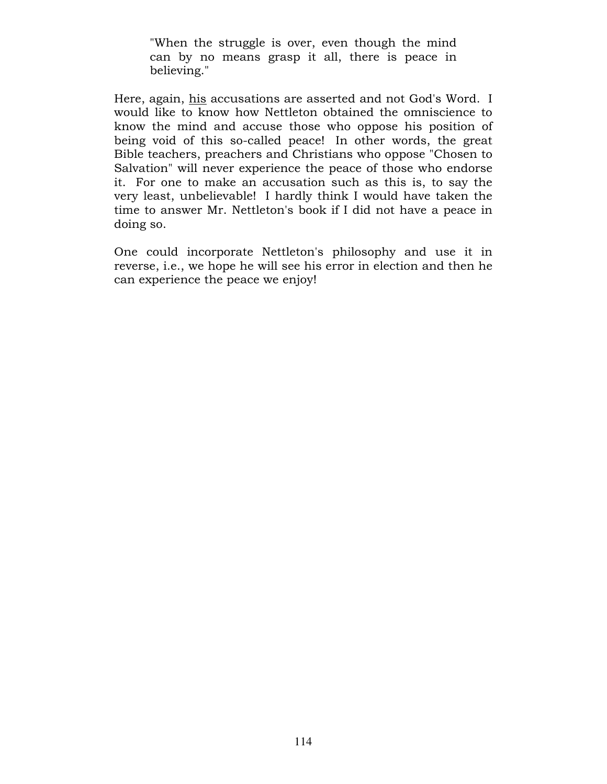"When the struggle is over, even though the mind can by no means grasp it all, there is peace in believing."

Here, again, his accusations are asserted and not God's Word. I would like to know how Nettleton obtained the omniscience to know the mind and accuse those who oppose his position of being void of this so-called peace! In other words, the great Bible teachers, preachers and Christians who oppose "Chosen to Salvation" will never experience the peace of those who endorse it. For one to make an accusation such as this is, to say the very least, unbelievable! I hardly think I would have taken the time to answer Mr. Nettleton's book if I did not have a peace in doing so.

One could incorporate Nettleton's philosophy and use it in reverse, i.e., we hope he will see his error in election and then he can experience the peace we enjoy!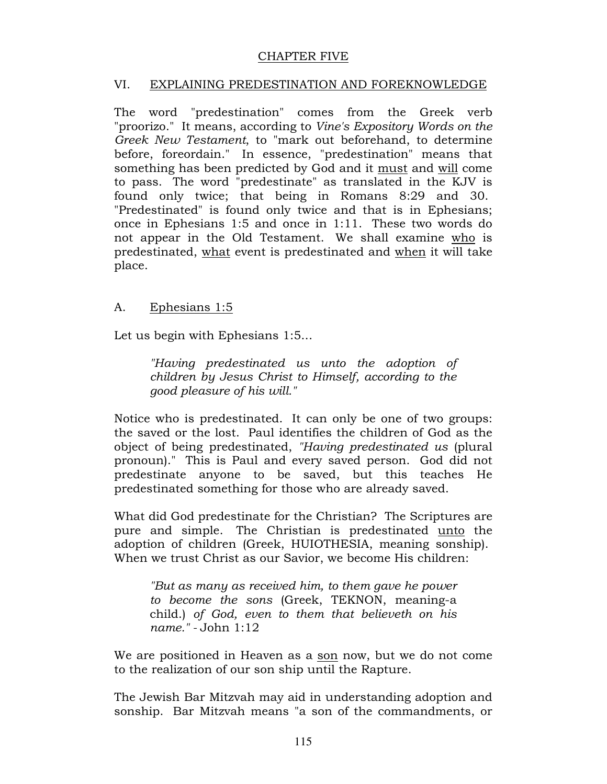# CHAPTER FIVE

## VI. EXPLAINING PREDESTINATION AND FOREKNOWLEDGE

The word "predestination" comes from the Greek verb "proorizo." It means, according to Vine's Expository Words on the Greek New Testament, to "mark out beforehand, to determine before, foreordain." In essence, "predestination" means that something has been predicted by God and it must and will come to pass. The word "predestinate" as translated in the KJV is found only twice; that being in Romans 8:29 and 30. "Predestinated" is found only twice and that is in Ephesians; once in Ephesians 1:5 and once in 1:11. These two words do not appear in the Old Testament. We shall examine who is predestinated, what event is predestinated and when it will take place.

## A. Ephesians 1:5

Let us begin with Ephesians 1:5...

"Having predestinated us unto the adoption of children by Jesus Christ to Himself, according to the good pleasure of his will."

Notice who is predestinated. It can only be one of two groups: the saved or the lost. Paul identifies the children of God as the object of being predestinated, "Having predestinated us (plural pronoun)." This is Paul and every saved person. God did not predestinate anyone to be saved, but this teaches He predestinated something for those who are already saved.

What did God predestinate for the Christian? The Scriptures are pure and simple. The Christian is predestinated unto the adoption of children (Greek, HUIOTHESIA, meaning sonship). When we trust Christ as our Savior, we become His children:

"But as many as received him, to them gave he power to become the sons (Greek, TEKNON, meaning-a child.) of God, even to them that believeth on his name." - John 1:12

We are positioned in Heaven as a son now, but we do not come to the realization of our son ship until the Rapture.

The Jewish Bar Mitzvah may aid in understanding adoption and sonship. Bar Mitzvah means "a son of the commandments, or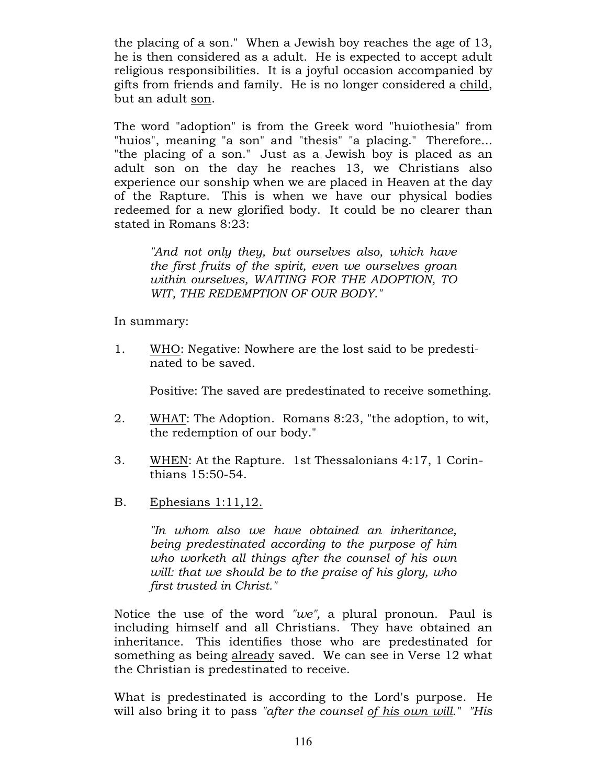the placing of a son." When a Jewish boy reaches the age of 13, he is then considered as a adult. He is expected to accept adult religious responsibilities. It is a joyful occasion accompanied by gifts from friends and family. He is no longer considered a child, but an adult son.

The word "adoption" is from the Greek word "huiothesia" from "huios", meaning "a son" and "thesis" "a placing." Therefore... "the placing of a son." Just as a Jewish boy is placed as an adult son on the day he reaches 13, we Christians also experience our sonship when we are placed in Heaven at the day of the Rapture. This is when we have our physical bodies redeemed for a new glorified body. It could be no clearer than stated in Romans 8:23:

"And not only they, but ourselves also, which have the first fruits of the spirit, even we ourselves groan within ourselves, WAITING FOR THE ADOPTION, TO WIT, THE REDEMPTION OF OUR BODY."

In summary:

1. WHO: Negative: Nowhere are the lost said to be predestinated to be saved.

Positive: The saved are predestinated to receive something.

- 2. WHAT: The Adoption. Romans 8:23, "the adoption, to wit, the redemption of our body."
- 3. WHEN: At the Rapture. 1st Thessalonians 4:17, 1 Corinthians 15:50-54.
- B. Ephesians 1:11,12.

"In whom also we have obtained an inheritance, being predestinated according to the purpose of him who worketh all things after the counsel of his own will: that we should be to the praise of his glory, who first trusted in Christ."

Notice the use of the word " $we$ ", a plural pronoun. Paul is including himself and all Christians. They have obtained an inheritance. This identifies those who are predestinated for something as being already saved. We can see in Verse 12 what the Christian is predestinated to receive.

What is predestinated is according to the Lord's purpose. He will also bring it to pass "after the counsel of his own will." "His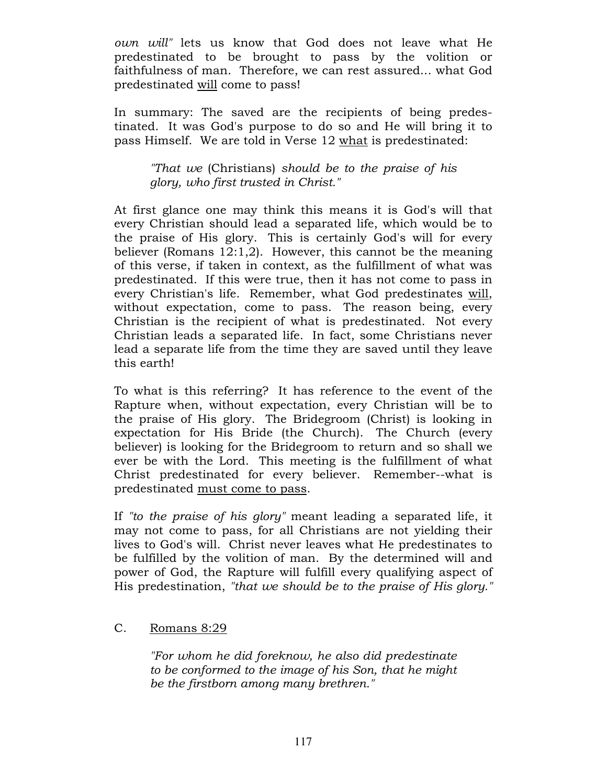own will" lets us know that God does not leave what He predestinated to be brought to pass by the volition or faithfulness of man. Therefore, we can rest assured... what God predestinated will come to pass!

In summary: The saved are the recipients of being predestinated. It was God's purpose to do so and He will bring it to pass Himself. We are told in Verse 12 what is predestinated:

"That we (Christians) should be to the praise of his glory, who first trusted in Christ."

At first glance one may think this means it is God's will that every Christian should lead a separated life, which would be to the praise of His glory. This is certainly God's will for every believer (Romans 12:1,2). However, this cannot be the meaning of this verse, if taken in context, as the fulfillment of what was predestinated. If this were true, then it has not come to pass in every Christian's life. Remember, what God predestinates will, without expectation, come to pass. The reason being, every Christian is the recipient of what is predestinated. Not every Christian leads a separated life. In fact, some Christians never lead a separate life from the time they are saved until they leave this earth!

To what is this referring? It has reference to the event of the Rapture when, without expectation, every Christian will be to the praise of His glory. The Bridegroom (Christ) is looking in expectation for His Bride (the Church). The Church (every believer) is looking for the Bridegroom to return and so shall we ever be with the Lord. This meeting is the fulfillment of what Christ predestinated for every believer. Remember--what is predestinated must come to pass.

If "to the praise of his glory" meant leading a separated life, it may not come to pass, for all Christians are not yielding their lives to God's will. Christ never leaves what He predestinates to be fulfilled by the volition of man. By the determined will and power of God, the Rapture will fulfill every qualifying aspect of His predestination, "that we should be to the praise of His glory."

# C. Romans 8:29

"For whom he did foreknow, he also did predestinate to be conformed to the image of his Son, that he might be the firstborn among many brethren."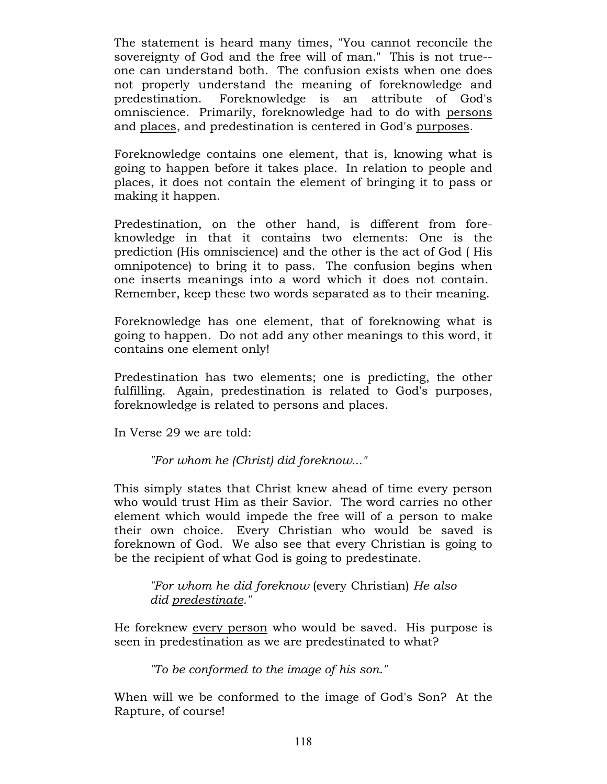The statement is heard many times, "You cannot reconcile the sovereignty of God and the free will of man." This is not true- one can understand both. The confusion exists when one does not properly understand the meaning of foreknowledge and predestination. Foreknowledge is an attribute of God's omniscience. Primarily, foreknowledge had to do with persons and places, and predestination is centered in God's purposes.

Foreknowledge contains one element, that is, knowing what is going to happen before it takes place. In relation to people and places, it does not contain the element of bringing it to pass or making it happen.

Predestination, on the other hand, is different from foreknowledge in that it contains two elements: One is the prediction (His omniscience) and the other is the act of God ( His omnipotence) to bring it to pass. The confusion begins when one inserts meanings into a word which it does not contain. Remember, keep these two words separated as to their meaning.

Foreknowledge has one element, that of foreknowing what is going to happen. Do not add any other meanings to this word, it contains one element only!

Predestination has two elements; one is predicting, the other fulfilling. Again, predestination is related to God's purposes, foreknowledge is related to persons and places.

In Verse 29 we are told:

"For whom he (Christ) did foreknow..."

This simply states that Christ knew ahead of time every person who would trust Him as their Savior. The word carries no other element which would impede the free will of a person to make their own choice. Every Christian who would be saved is foreknown of God. We also see that every Christian is going to be the recipient of what God is going to predestinate.

"For whom he did foreknow (every Christian) He also did predestinate."

He foreknew every person who would be saved. His purpose is seen in predestination as we are predestinated to what?

"To be conformed to the image of his son."

When will we be conformed to the image of God's Son? At the Rapture, of course!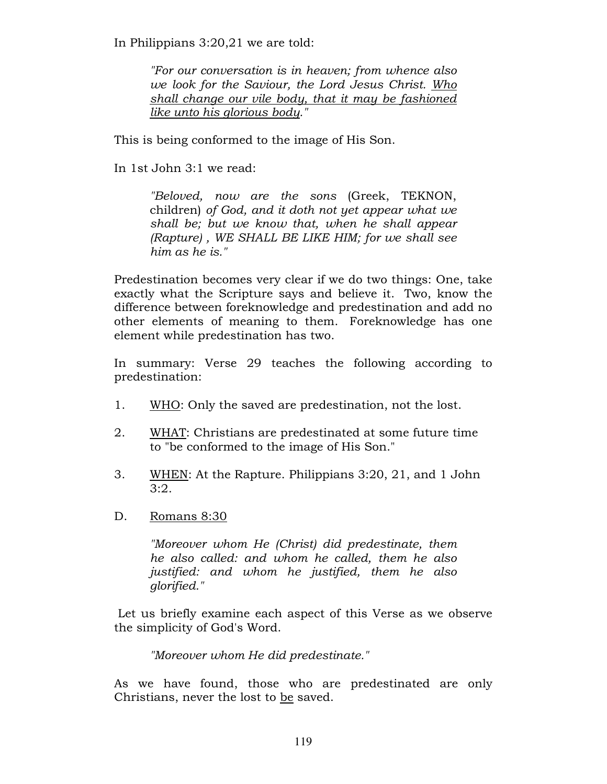In Philippians 3:20,21 we are told:

"For our conversation is in heaven; from whence also we look for the Saviour, the Lord Jesus Christ. Who shall change our vile body, that it may be fashioned like unto his glorious body."

This is being conformed to the image of His Son.

In 1st John 3:1 we read:

"Beloved, now are the sons (Greek, TEKNON, children) of God, and it doth not yet appear what we shall be; but we know that, when he shall appear (Rapture) , WE SHALL BE LIKE HIM; for we shall see him as he is."

Predestination becomes very clear if we do two things: One, take exactly what the Scripture says and believe it. Two, know the difference between foreknowledge and predestination and add no other elements of meaning to them. Foreknowledge has one element while predestination has two.

In summary: Verse 29 teaches the following according to predestination:

- 1. WHO: Only the saved are predestination, not the lost.
- 2. WHAT: Christians are predestinated at some future time to "be conformed to the image of His Son."
- 3. WHEN: At the Rapture. Philippians 3:20, 21, and 1 John 3:2.
- D. Romans 8:30

"Moreover whom He (Christ) did predestinate, them he also called: and whom he called, them he also justified: and whom he justified, them he also glorified."

 Let us briefly examine each aspect of this Verse as we observe the simplicity of God's Word.

"Moreover whom He did predestinate."

As we have found, those who are predestinated are only Christians, never the lost to be saved.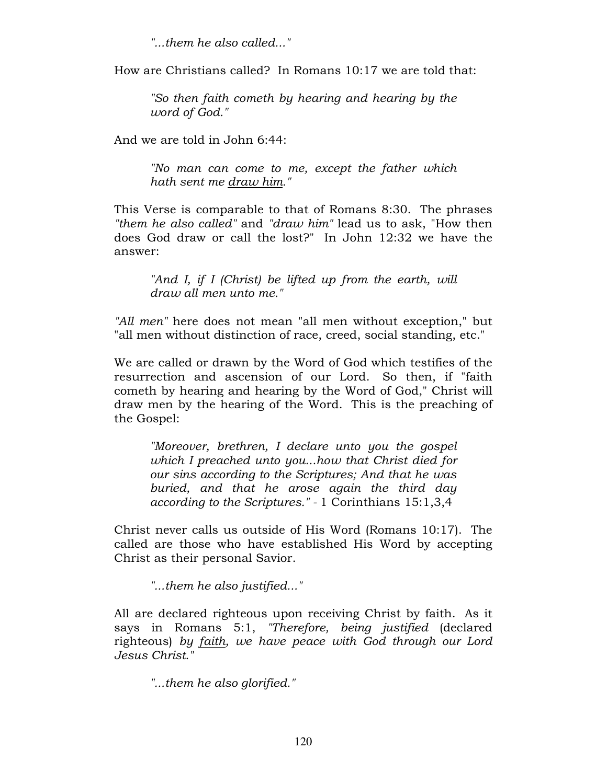"...them he also called..."

How are Christians called? In Romans 10:17 we are told that:

"So then faith cometh by hearing and hearing by the word of God."

And we are told in John 6:44:

"No man can come to me, except the father which hath sent me draw him."

This Verse is comparable to that of Romans 8:30. The phrases "them he also called" and "draw him" lead us to ask, "How then does God draw or call the lost?" In John 12:32 we have the answer:

"And I, if I (Christ) be lifted up from the earth, will draw all men unto me."

"All men" here does not mean "all men without exception," but "all men without distinction of race, creed, social standing, etc."

We are called or drawn by the Word of God which testifies of the resurrection and ascension of our Lord. So then, if "faith cometh by hearing and hearing by the Word of God," Christ will draw men by the hearing of the Word. This is the preaching of the Gospel:

"Moreover, brethren, I declare unto you the gospel which I preached unto you...how that Christ died for our sins according to the Scriptures; And that he was buried, and that he arose again the third day according to the Scriptures." - 1 Corinthians 15:1,3,4

Christ never calls us outside of His Word (Romans 10:17). The called are those who have established His Word by accepting Christ as their personal Savior.

"...them he also justified..."

All are declared righteous upon receiving Christ by faith. As it says in Romans 5:1, "Therefore, being justified (declared righteous) by faith, we have peace with God through our Lord Jesus Christ."

"...them he also glorified."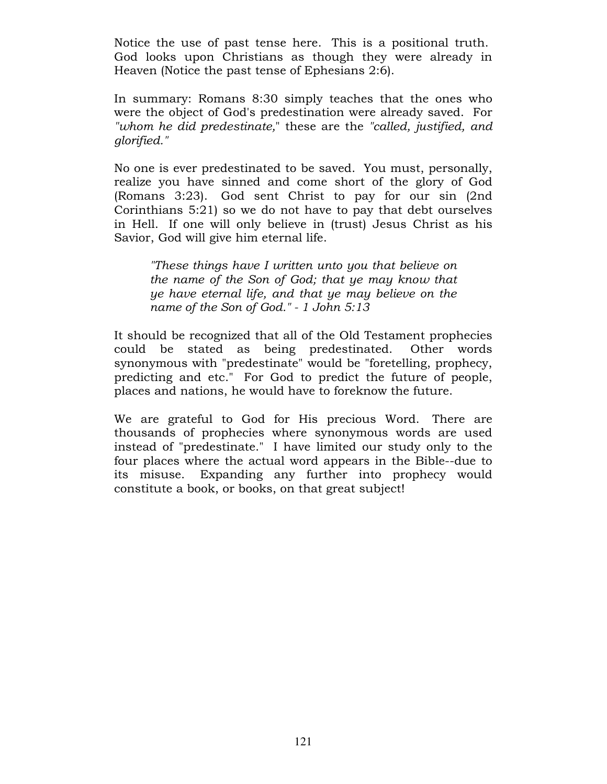Notice the use of past tense here. This is a positional truth. God looks upon Christians as though they were already in Heaven (Notice the past tense of Ephesians 2:6).

In summary: Romans 8:30 simply teaches that the ones who were the object of God's predestination were already saved. For "whom he did predestinate," these are the "called, justified, and glorified."

No one is ever predestinated to be saved. You must, personally, realize you have sinned and come short of the glory of God (Romans 3:23). God sent Christ to pay for our sin (2nd Corinthians 5:21) so we do not have to pay that debt ourselves in Hell. If one will only believe in (trust) Jesus Christ as his Savior, God will give him eternal life.

"These things have I written unto you that believe on the name of the Son of God; that ye may know that ye have eternal life, and that ye may believe on the name of the Son of God." - 1 John 5:13

It should be recognized that all of the Old Testament prophecies could be stated as being predestinated. Other words synonymous with "predestinate" would be "foretelling, prophecy, predicting and etc." For God to predict the future of people, places and nations, he would have to foreknow the future.

We are grateful to God for His precious Word. There are thousands of prophecies where synonymous words are used instead of "predestinate." I have limited our study only to the four places where the actual word appears in the Bible--due to its misuse. Expanding any further into prophecy would constitute a book, or books, on that great subject!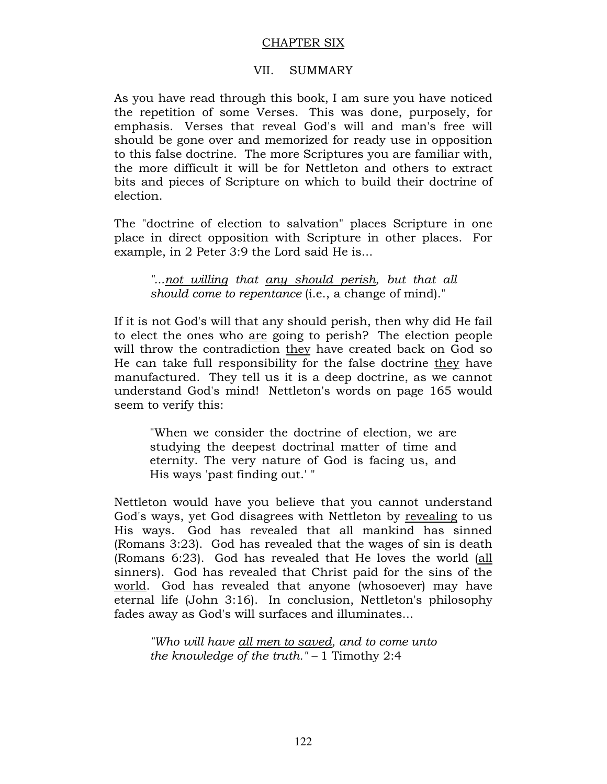## CHAPTER SIX

## VII. SUMMARY

As you have read through this book, I am sure you have noticed the repetition of some Verses. This was done, purposely, for emphasis. Verses that reveal God's will and man's free will should be gone over and memorized for ready use in opposition to this false doctrine. The more Scriptures you are familiar with, the more difficult it will be for Nettleton and others to extract bits and pieces of Scripture on which to build their doctrine of election.

The "doctrine of election to salvation" places Scripture in one place in direct opposition with Scripture in other places. For example, in 2 Peter 3:9 the Lord said He is...

"...not willing that any should perish, but that all should come to repentance (i.e., a change of mind)."

If it is not God's will that any should perish, then why did He fail to elect the ones who are going to perish? The election people will throw the contradiction they have created back on God so He can take full responsibility for the false doctrine they have manufactured. They tell us it is a deep doctrine, as we cannot understand God's mind! Nettleton's words on page 165 would seem to verify this:

"When we consider the doctrine of election, we are studying the deepest doctrinal matter of time and eternity. The very nature of God is facing us, and His ways 'past finding out.' "

Nettleton would have you believe that you cannot understand God's ways, yet God disagrees with Nettleton by revealing to us His ways. God has revealed that all mankind has sinned (Romans 3:23). God has revealed that the wages of sin is death (Romans 6:23). God has revealed that He loves the world (all sinners). God has revealed that Christ paid for the sins of the world. God has revealed that anyone (whosoever) may have eternal life (John 3:16). In conclusion, Nettleton's philosophy fades away as God's will surfaces and illuminates...

"Who will have all men to saved, and to come unto the knowledge of the truth."  $-1$  Timothy 2:4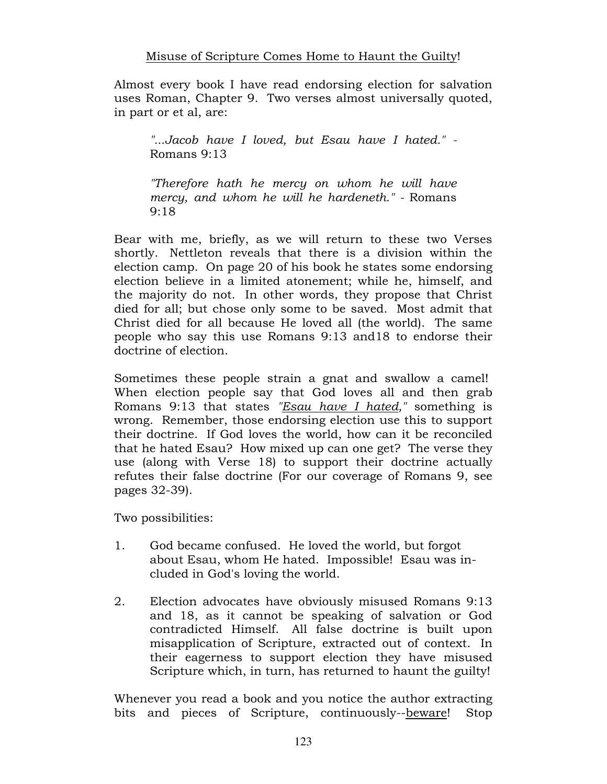Almost every book I have read endorsing election for salvation uses Roman, Chapter 9. Two verses almost universally quoted, in part or et al, are:

"...Jacob have I loved, but Esau have I hated." - Romans 9:13

"Therefore hath he mercy on whom he will have mercy, and whom he will he hardeneth." - Romans 9:18

Bear with me, briefly, as we will return to these two Verses shortly. Nettleton reveals that there is a division within the election camp. On page 20 of his book he states some endorsing election believe in a limited atonement; while he, himself, and the majority do not. In other words, they propose that Christ died for all; but chose only some to be saved. Most admit that Christ died for all because He loved all (the world). The same people who say this use Romans 9:13 and18 to endorse their doctrine of election.

Sometimes these people strain a gnat and swallow a camel! When election people say that God loves all and then grab Romans 9:13 that states "Esau have I hated," something is wrong. Remember, those endorsing election use this to support their doctrine. If God loves the world, how can it be reconciled that he hated Esau? How mixed up can one get? The verse they use (along with Verse 18) to support their doctrine actually refutes their false doctrine (For our coverage of Romans 9, see pages 32-39).

Two possibilities:

- 1. God became confused. He loved the world, but forgot about Esau, whom He hated. Impossible! Esau was included in God's loving the world.
- 2. Election advocates have obviously misused Romans 9:13 and 18, as it cannot be speaking of salvation or God contradicted Himself. All false doctrine is built upon misapplication of Scripture, extracted out of context. In their eagerness to support election they have misused Scripture which, in turn, has returned to haunt the guilty!

Whenever you read a book and you notice the author extracting bits and pieces of Scripture, continuously--beware! Stop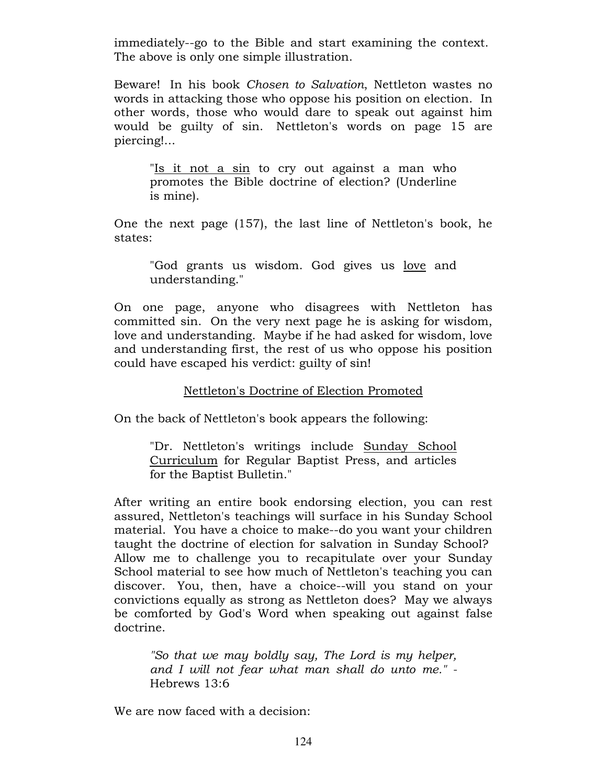immediately--go to the Bible and start examining the context. The above is only one simple illustration.

Beware! In his book Chosen to Salvation, Nettleton wastes no words in attacking those who oppose his position on election. In other words, those who would dare to speak out against him would be guilty of sin. Nettleton's words on page 15 are piercing!...

"Is it not a sin to cry out against a man who promotes the Bible doctrine of election? (Underline is mine).

One the next page (157), the last line of Nettleton's book, he states:

"God grants us wisdom. God gives us love and understanding."

On one page, anyone who disagrees with Nettleton has committed sin. On the very next page he is asking for wisdom, love and understanding. Maybe if he had asked for wisdom, love and understanding first, the rest of us who oppose his position could have escaped his verdict: guilty of sin!

# Nettleton's Doctrine of Election Promoted

On the back of Nettleton's book appears the following:

"Dr. Nettleton's writings include Sunday School Curriculum for Regular Baptist Press, and articles for the Baptist Bulletin."

After writing an entire book endorsing election, you can rest assured, Nettleton's teachings will surface in his Sunday School material. You have a choice to make--do you want your children taught the doctrine of election for salvation in Sunday School? Allow me to challenge you to recapitulate over your Sunday School material to see how much of Nettleton's teaching you can discover. You, then, have a choice--will you stand on your convictions equally as strong as Nettleton does? May we always be comforted by God's Word when speaking out against false doctrine.

"So that we may boldly say, The Lord is my helper, and I will not fear what man shall do unto me." - Hebrews 13:6

We are now faced with a decision: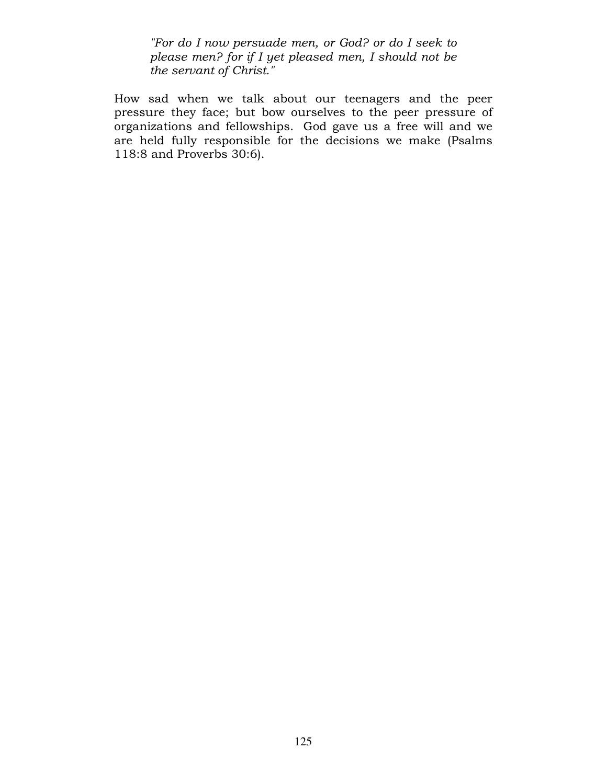"For do I now persuade men, or God? or do I seek to please men? for if I yet pleased men, I should not be the servant of Christ."

How sad when we talk about our teenagers and the peer pressure they face; but bow ourselves to the peer pressure of organizations and fellowships. God gave us a free will and we are held fully responsible for the decisions we make (Psalms 118:8 and Proverbs 30:6).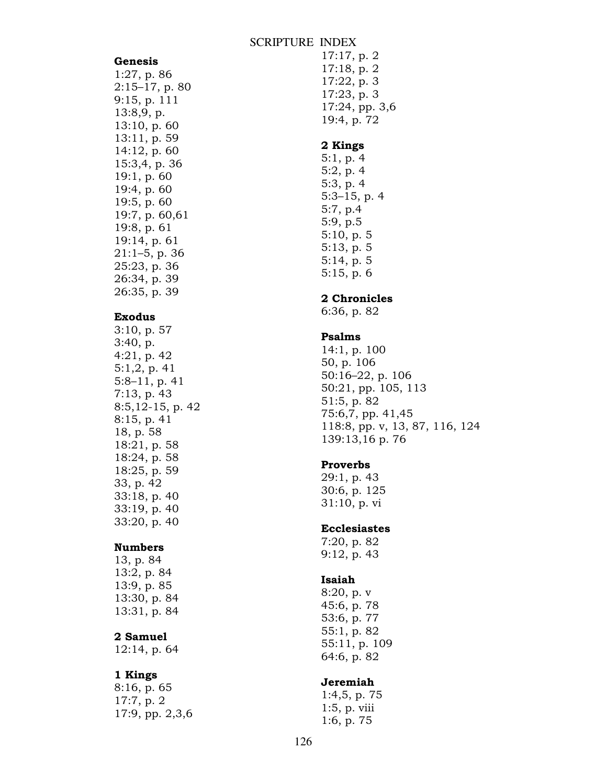#### SCRIPTURE INDEX

#### Genesis

1:27, p. 86 2:15–17, p. 80 9:15, p. 111 13:8,9, p. 13:10, p. 60 13:11, p. 59 14:12, p. 60 15:3,4, p. 36 19:1, p. 60 19:4, p. 60 19:5, p. 60 19:7, p. 60,61 19:8, p. 61 19:14, p. 61 21:1–5, p. 36 25:23, p. 36 26:34, p. 39 26:35, p. 39

### Exodus

3:10, p. 57 3:40, p. 4:21, p. 42 5:1,2, p. 41 5:8–11, p. 41 7:13, p. 43 8:5,12-15, p. 42 8:15, p. 41 18, p. 58 18:21, p. 58 18:24, p. 58 18:25, p. 59 33, p. 42 33:18, p. 40 33:19, p. 40 33:20, p. 40

### Numbers

13, p. 84 13:2, p. 84 13:9, p. 85 13:30, p. 84 13:31, p. 84

## 2 Samuel

12:14, p. 64

#### 1 Kings

8:16, p. 65 17:7, p. 2 17:9, pp. 2,3,6 17:17, p. 2 17:18, p. 2 17:22, p. 3 17:23, p. 3 17:24, pp. 3,6 19:4, p. 72

#### 2 Kings

5:1, p. 4 5:2, p. 4 5:3, p. 4 5:3–15, p. 4 5:7, p.4 5:9, p.5 5:10, p. 5 5:13, p. 5 5:14, p. 5 5:15, p. 6

#### 2 Chronicles

6:36, p. 82

#### Psalms

14:1, p. 100 50, p. 106 50:16–22, p. 106 50:21, pp. 105, 113 51:5, p. 82 75:6,7, pp. 41,45 118:8, pp. v, 13, 87, 116, 124 139:13,16 p. 76

### Proverbs

29:1, p. 43 30:6, p. 125 31:10, p. vi

### Ecclesiastes

7:20, p. 82 9:12, p. 43

#### Isaiah

8:20, p. v 45:6, p. 78 53:6, p. 77 55:1, p. 82 55:11, p. 109 64:6, p. 82

### Jeremiah

1:4,5, p. 75 1:5, p. viii 1:6, p. 75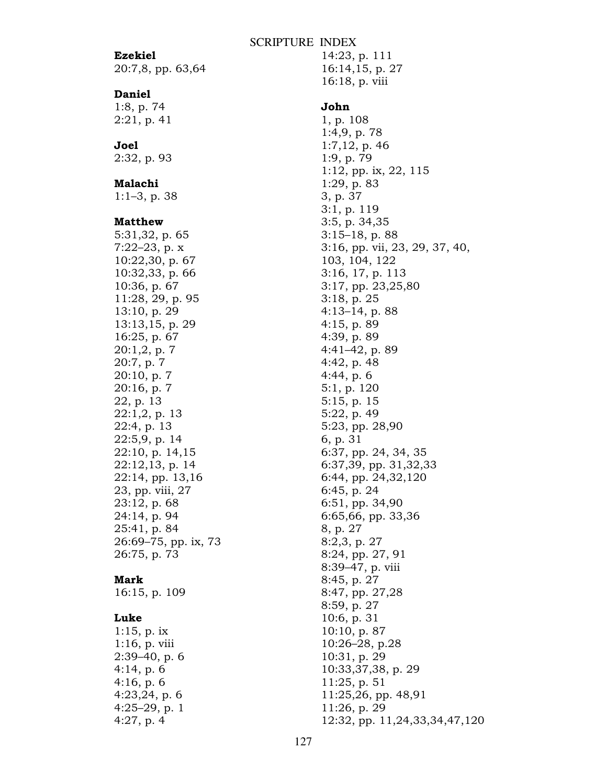#### SCRIPTURE INDEX

### Ezekiel

20:7,8, pp. 63,64

#### Daniel

1:8, p. 74 2:21, p. 41

# Joel

2:32, p. 93

## Malachi

1:1–3, p. 38

#### Matthew

5:31,32, p. 65 7:22–23, p. x 10:22,30, p. 67 10:32,33, p. 66 10:36, p. 67 11:28, 29, p. 95 13:10, p. 29 13:13,15, p. 29 16:25, p. 67 20:1,2, p. 7 20:7, p. 7 20:10, p. 7 20:16, p. 7 22, p. 13 22:1,2, p. 13 22:4, p. 13 22:5,9, p. 14 22:10, p. 14,15 22:12,13, p. 14 22:14, pp. 13,16 23, pp. viii, 27 23:12, p. 68 24:14, p. 94 25:41, p. 84 26:69–75, pp. ix, 73 26:75, p. 73

#### Mark

16:15, p. 109

### Luke

1:15, p. ix 1:16, p. viii 2:39–40, p. 6 4:14, p. 6 4:16, p. 6 4:23,24, p. 6 4:25–29, p. 1 4:27, p. 4

14:23, p. 111 16:14,15, p. 27 16:18, p. viii

#### John

1, p. 108 1:4,9, p. 78 1:7,12, p. 46 1:9, p. 79 1:12, pp. ix, 22, 115 1:29, p. 83 3, p. 37 3:1, p. 119 3:5, p. 34,35 3:15–18, p. 88 3:16, pp. vii, 23, 29, 37, 40, 103, 104, 122 3:16, 17, p. 113 3:17, pp. 23,25,80 3:18, p. 25 4:13–14, p. 88 4:15, p. 89 4:39, p. 89 4:41–42, p. 89 4:42, p. 48 4:44, p. 6 5:1, p. 120 5:15, p. 15 5:22, p. 49 5:23, pp. 28,90 6, p. 31 6:37, pp. 24, 34, 35 6:37,39, pp. 31,32,33 6:44, pp. 24,32,120 6:45, p. 24 6:51, pp. 34,90 6:65,66, pp. 33,36 8, p. 27 8:2,3, p. 27 8:24, pp. 27, 91 8:39–47, p. viii 8:45, p. 27 8:47, pp. 27,28 8:59, p. 27 10:6, p. 31 10:10, p. 87 10:26–28, p.28 10:31, p. 29 10:33,37,38, p. 29 11:25, p. 51 11:25,26, pp. 48,91 11:26, p. 29 12:32, pp. 11,24,33,34,47,120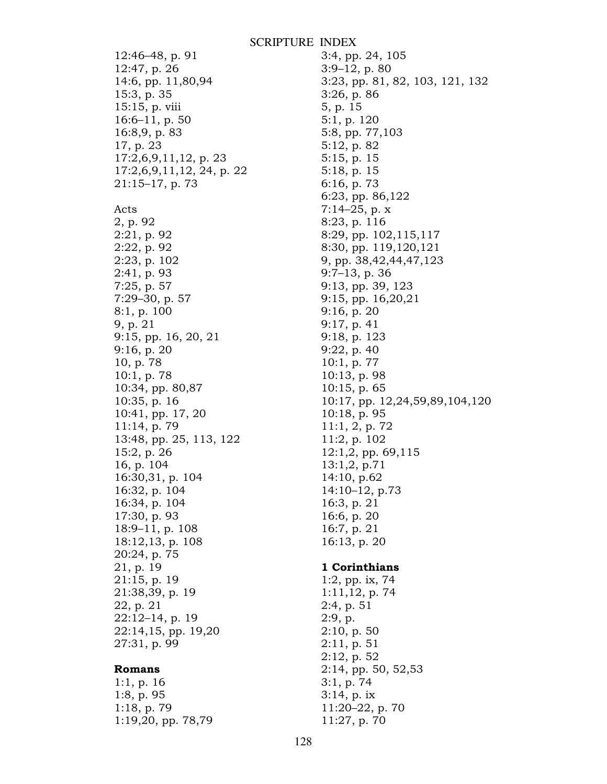12:46–48, p. 91 12:47, p. 26 14:6, pp. 11,80,94 15:3, p. 35 15:15, p. viii 16:6–11, p. 50 16:8,9, p. 83 17, p. 23 17:2,6,9,11,12, p. 23 17:2,6,9,11,12, 24, p. 22 21:15–17, p. 73 Acts 2, p. 92 2:21, p. 92 2:22, p. 92 2:23, p. 102 2:41, p. 93 7:25, p. 57 7:29–30, p. 57 8:1, p. 100 9, p. 21 9:15, pp. 16, 20, 21 9:16, p. 20 10, p. 78 10:1, p. 78 10:34, pp. 80,87 10:35, p. 16 10:41, pp. 17, 20 11:14, p. 79 13:48, pp. 25, 113, 122 15:2, p. 26 16, p. 104 16:30,31, p. 104 16:32, p. 104 16:34, p. 104 17:30, p. 93 18:9–11, p. 108 18:12,13, p. 108 20:24, p. 75 21, p. 19 21:15, p. 19 21:38,39, p. 19 22, p. 21 22:12–14, p. 19 22:14,15, pp. 19,20 27:31, p. 99

### Romans

1:1, p. 16 1:8, p. 95 1:18, p. 79 1:19,20, pp. 78,79

3:4, pp. 24, 105 3:9–12, p. 80 3:23, pp. 81, 82, 103, 121, 132 3:26, p. 86 5, p. 15 5:1, p. 120 5:8, pp. 77,103 5:12, p. 82 5:15, p. 15 5:18, p. 15 6:16, p. 73 6:23, pp. 86,122 7:14–25, p. x 8:23, p. 116 8:29, pp. 102,115,117 8:30, pp. 119,120,121 9, pp. 38,42,44,47,123 9:7–13, p. 36 9:13, pp. 39, 123 9:15, pp. 16,20,21 9:16, p. 20 9:17, p. 41 9:18, p. 123 9:22, p. 40 10:1, p. 77 10:13, p. 98 10:15, p. 65 10:17, pp. 12,24,59,89,104,120 10:18, p. 95 11:1, 2, p. 72 11:2, p. 102 12:1,2, pp. 69,115 13:1,2, p.71 14:10, p.62 14:10–12, p.73 16:3, p. 21 16:6, p. 20 16:7, p. 21 16:13, p. 20

## 1 Corinthians

1:2, pp. ix, 74 1:11,12, p. 74 2:4, p. 51 2:9, p. 2:10, p. 50 2:11, p. 51 2:12, p. 52 2:14, pp. 50, 52,53 3:1, p. 74 3:14, p. ix 11:20–22, p. 70 11:27, p. 70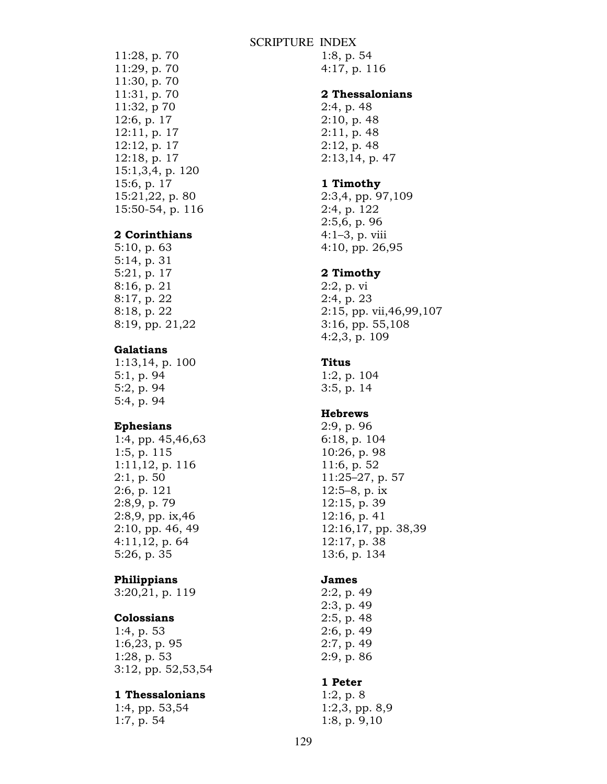### SCRIPTURE INDEX

11:28, p. 70 11:29, p. 70 11:30, p. 70 11:31, p. 70 11:32, p 70 12:6, p. 17 12:11, p. 17 12:12, p. 17 12:18, p. 17 15:1,3,4, p. 120 15:6, p. 17 15:21,22, p. 80 15:50-54, p. 116

### 2 Corinthians

5:10, p. 63 5:14, p. 31 5:21, p. 17 8:16, p. 21 8:17, p. 22 8:18, p. 22 8:19, pp. 21,22

## Galatians

1:13,14, p. 100 5:1, p. 94 5:2, p. 94 5:4, p. 94

### Ephesians

1:4, pp. 45,46,63 1:5, p. 115 1:11,12, p. 116 2:1, p. 50 2:6, p. 121 2:8,9, p. 79 2:8,9, pp. ix,46 2:10, pp. 46, 49 4:11,12, p. 64 5:26, p. 35

#### Philippians

3:20,21, p. 119

## Colossians

1:4, p. 53 1:6,23, p. 95 1:28, p. 53 3:12, pp. 52,53,54

#### 1 Thessalonians

1:4, pp. 53,54 1:7, p. 54

1:8, p. 54 4:17, p. 116

### 2 Thessalonians

2:4, p. 48 2:10, p. 48 2:11, p. 48 2:12, p. 48 2:13,14, p. 47

### 1 Timothy

2:3,4, pp. 97,109 2:4, p. 122 2:5,6, p. 96 4:1–3, p. viii 4:10, pp. 26,95

#### 2 Timothy

2:2, p. vi 2:4, p. 23 2:15, pp. vii,46,99,107 3:16, pp. 55,108 4:2,3, p. 109

#### Titus

1:2, p. 104 3:5, p. 14

## **Hebrews**

2:9, p. 96 6:18, p. 104 10:26, p. 98 11:6, p. 52 11:25–27, p. 57 12:5–8, p. ix 12:15, p. 39 12:16, p. 41 12:16,17, pp. 38,39 12:17, p. 38 13:6, p. 134

#### James

2:2, p. 49 2:3, p. 49 2:5, p. 48 2:6, p. 49 2:7, p. 49 2:9, p. 86

#### 1 Peter

1:2, p. 8 1:2,3, pp. 8,9 1:8, p. 9,10